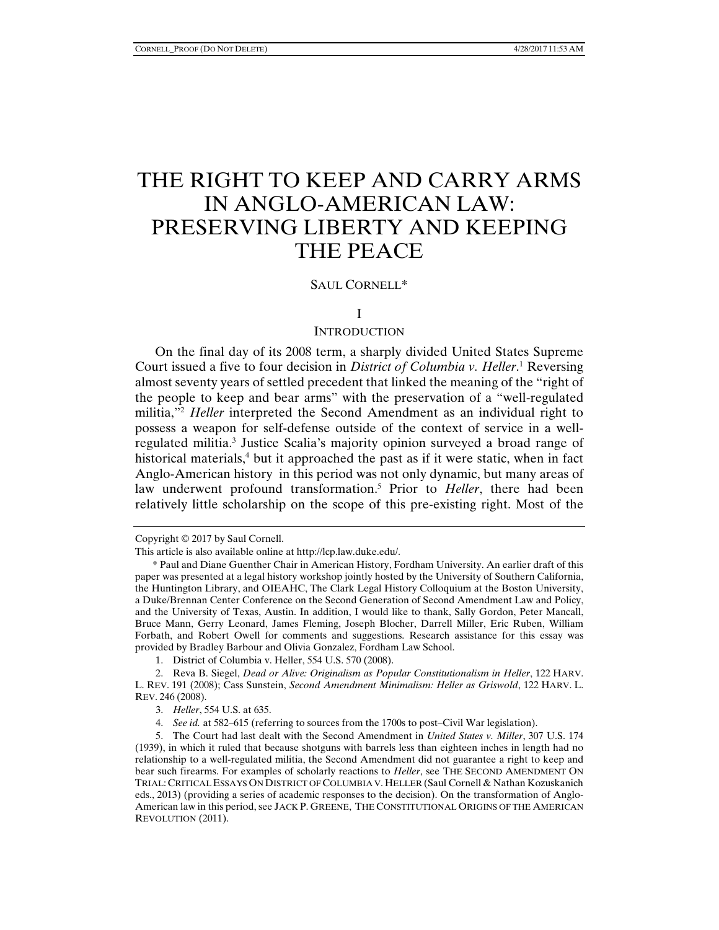# THE RIGHT TO KEEP AND CARRY ARMS IN ANGLO-AMERICAN LAW: PRESERVING LIBERTY AND KEEPING THE PEACE

## SAUL CORNELL\*

## I

#### **INTRODUCTION**

On the final day of its 2008 term, a sharply divided United States Supreme Court issued a five to four decision in *District of Columbia v. Heller*. 1 Reversing almost seventy years of settled precedent that linked the meaning of the "right of the people to keep and bear arms" with the preservation of a "well-regulated militia,"2 *Heller* interpreted the Second Amendment as an individual right to possess a weapon for self-defense outside of the context of service in a wellregulated militia.<sup>3</sup> Justice Scalia's majority opinion surveyed a broad range of historical materials,<sup>4</sup> but it approached the past as if it were static, when in fact Anglo-American history in this period was not only dynamic, but many areas of law underwent profound transformation.<sup>5</sup> Prior to *Heller*, there had been relatively little scholarship on the scope of this pre-existing right. Most of the

Copyright © 2017 by Saul Cornell.

This article is also available online at http://lcp.law.duke.edu/.

<sup>\*</sup> Paul and Diane Guenther Chair in American History, Fordham University. An earlier draft of this paper was presented at a legal history workshop jointly hosted by the University of Southern California, the Huntington Library, and OIEAHC, The Clark Legal History Colloquium at the Boston University, a Duke/Brennan Center Conference on the Second Generation of Second Amendment Law and Policy, and the University of Texas, Austin. In addition, I would like to thank, Sally Gordon, Peter Mancall, Bruce Mann, Gerry Leonard, James Fleming, Joseph Blocher, Darrell Miller, Eric Ruben, William Forbath, and Robert Owell for comments and suggestions. Research assistance for this essay was provided by Bradley Barbour and Olivia Gonzalez, Fordham Law School.

<sup>1.</sup> District of Columbia v. Heller, 554 U.S. 570 (2008).

<sup>2.</sup> Reva B. Siegel, *Dead or Alive: Originalism as Popular Constitutionalism in Heller*, 122 HARV. L. REV. 191 (2008); Cass Sunstein, *Second Amendment Minimalism: Heller as Griswold*, 122 HARV. L. REV. 246 (2008).

<sup>3.</sup> *Heller*, 554 U.S. at 635.

<sup>4.</sup> *See id.* at 582–615 (referring to sources from the 1700s to post–Civil War legislation).

<sup>5.</sup> The Court had last dealt with the Second Amendment in *United States v. Miller*, 307 U.S. 174 (1939), in which it ruled that because shotguns with barrels less than eighteen inches in length had no relationship to a well-regulated militia, the Second Amendment did not guarantee a right to keep and bear such firearms. For examples of scholarly reactions to *Heller*, see THE SECOND AMENDMENT ON TRIAL: CRITICAL ESSAYS ON DISTRICT OF COLUMBIA V. HELLER (Saul Cornell & Nathan Kozuskanich eds., 2013) (providing a series of academic responses to the decision). On the transformation of Anglo-American law in this period, see JACK P. GREENE, THE CONSTITUTIONAL ORIGINS OF THE AMERICAN REVOLUTION (2011).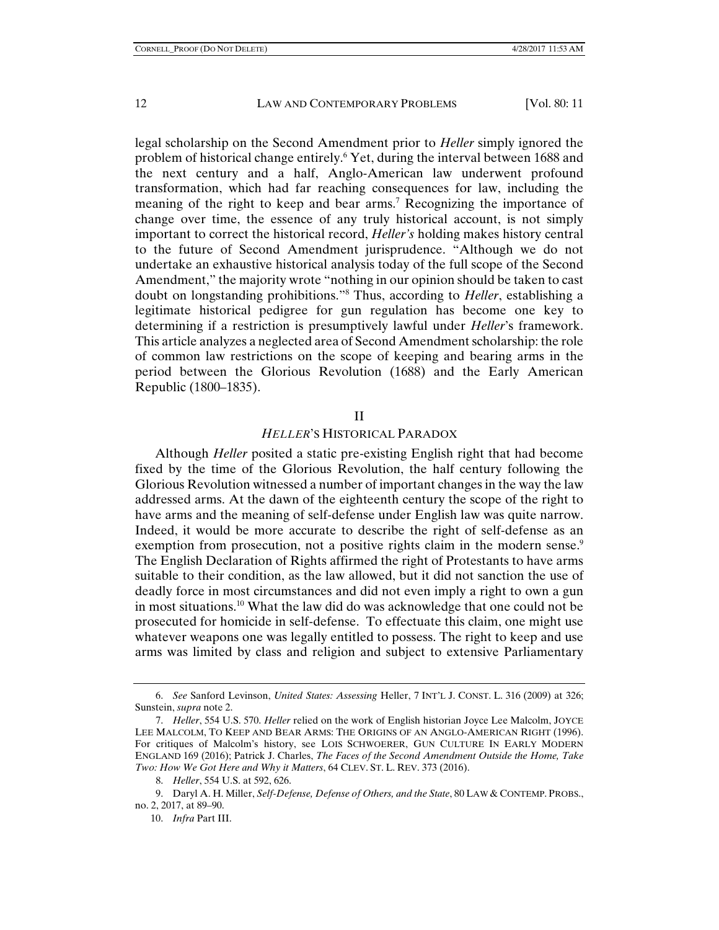legal scholarship on the Second Amendment prior to *Heller* simply ignored the problem of historical change entirely.<sup>6</sup> Yet, during the interval between 1688 and the next century and a half, Anglo-American law underwent profound transformation, which had far reaching consequences for law, including the meaning of the right to keep and bear arms.<sup>7</sup> Recognizing the importance of change over time, the essence of any truly historical account, is not simply important to correct the historical record, *Heller's* holding makes history central to the future of Second Amendment jurisprudence. "Although we do not undertake an exhaustive historical analysis today of the full scope of the Second Amendment," the majority wrote "nothing in our opinion should be taken to cast doubt on longstanding prohibitions."8 Thus, according to *Heller*, establishing a legitimate historical pedigree for gun regulation has become one key to determining if a restriction is presumptively lawful under *Heller*'s framework. This article analyzes a neglected area of Second Amendment scholarship: the role of common law restrictions on the scope of keeping and bearing arms in the period between the Glorious Revolution (1688) and the Early American Republic (1800–1835).

## II

# *HELLER*'S HISTORICAL PARADOX

Although *Heller* posited a static pre-existing English right that had become fixed by the time of the Glorious Revolution, the half century following the Glorious Revolution witnessed a number of important changes in the way the law addressed arms. At the dawn of the eighteenth century the scope of the right to have arms and the meaning of self-defense under English law was quite narrow. Indeed, it would be more accurate to describe the right of self-defense as an exemption from prosecution, not a positive rights claim in the modern sense.<sup>9</sup> The English Declaration of Rights affirmed the right of Protestants to have arms suitable to their condition, as the law allowed, but it did not sanction the use of deadly force in most circumstances and did not even imply a right to own a gun in most situations.10 What the law did do was acknowledge that one could not be prosecuted for homicide in self-defense. To effectuate this claim, one might use whatever weapons one was legally entitled to possess. The right to keep and use arms was limited by class and religion and subject to extensive Parliamentary

 <sup>6.</sup> *See* Sanford Levinson, *United States: Assessing* Heller, 7 INT'L J. CONST. L. 316 (2009) at 326; Sunstein, *supra* note 2.

 <sup>7.</sup> *Heller*, 554 U.S. 570. *Heller* relied on the work of English historian Joyce Lee Malcolm, JOYCE LEE MALCOLM, TO KEEP AND BEAR ARMS: THE ORIGINS OF AN ANGLO-AMERICAN RIGHT (1996). For critiques of Malcolm's history, see LOIS SCHWOERER, GUN CULTURE IN EARLY MODERN ENGLAND 169 (2016); Patrick J. Charles, *The Faces of the Second Amendment Outside the Home, Take Two: How We Got Here and Why it Matters*, 64 CLEV. ST. L. REV. 373 (2016).

 <sup>8.</sup> *Heller*, 554 U.S. at 592, 626.

 <sup>9.</sup> Daryl A. H. Miller, *Self-Defense, Defense of Others, and the State*, 80 LAW & CONTEMP. PROBS., no. 2, 2017, at 89–90.

 <sup>10.</sup> *Infra* Part III.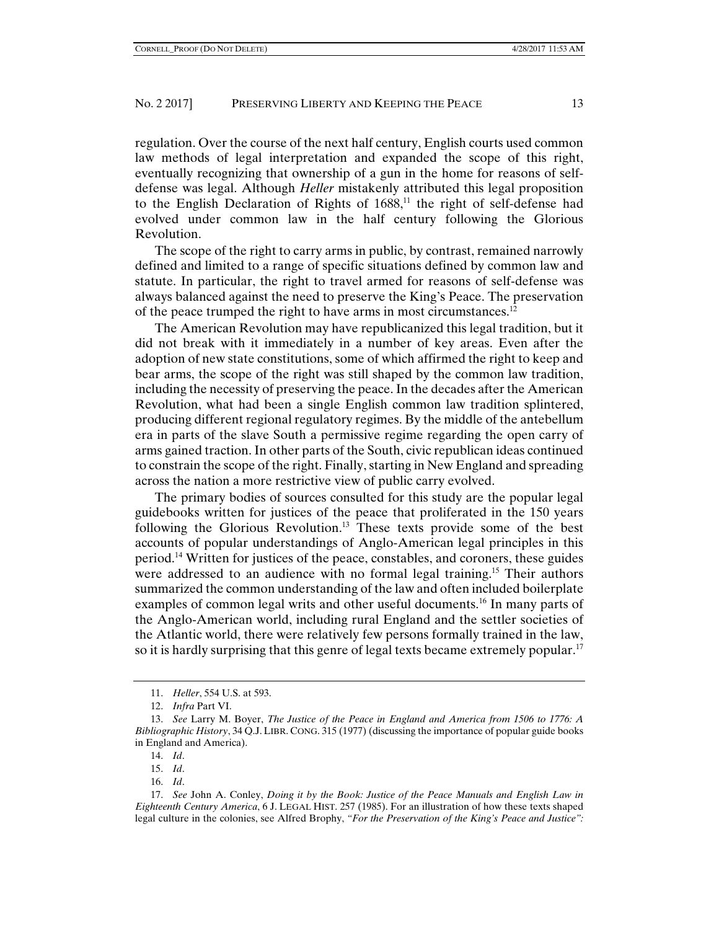regulation. Over the course of the next half century, English courts used common law methods of legal interpretation and expanded the scope of this right, eventually recognizing that ownership of a gun in the home for reasons of selfdefense was legal. Although *Heller* mistakenly attributed this legal proposition to the English Declaration of Rights of  $1688$ ,<sup>11</sup> the right of self-defense had evolved under common law in the half century following the Glorious Revolution.

The scope of the right to carry arms in public, by contrast, remained narrowly defined and limited to a range of specific situations defined by common law and statute. In particular, the right to travel armed for reasons of self-defense was always balanced against the need to preserve the King's Peace. The preservation of the peace trumped the right to have arms in most circumstances.<sup>12</sup>

The American Revolution may have republicanized this legal tradition, but it did not break with it immediately in a number of key areas. Even after the adoption of new state constitutions, some of which affirmed the right to keep and bear arms, the scope of the right was still shaped by the common law tradition, including the necessity of preserving the peace. In the decades after the American Revolution, what had been a single English common law tradition splintered, producing different regional regulatory regimes. By the middle of the antebellum era in parts of the slave South a permissive regime regarding the open carry of arms gained traction. In other parts of the South, civic republican ideas continued to constrain the scope of the right. Finally, starting in New England and spreading across the nation a more restrictive view of public carry evolved.

The primary bodies of sources consulted for this study are the popular legal guidebooks written for justices of the peace that proliferated in the 150 years following the Glorious Revolution.<sup>13</sup> These texts provide some of the best accounts of popular understandings of Anglo-American legal principles in this period.14 Written for justices of the peace, constables, and coroners, these guides were addressed to an audience with no formal legal training.<sup>15</sup> Their authors summarized the common understanding of the law and often included boilerplate examples of common legal writs and other useful documents.<sup>16</sup> In many parts of the Anglo-American world, including rural England and the settler societies of the Atlantic world, there were relatively few persons formally trained in the law, so it is hardly surprising that this genre of legal texts became extremely popular.<sup>17</sup>

 <sup>11.</sup> *Heller*, 554 U.S. at 593.

 <sup>12.</sup> *Infra* Part VI.

 <sup>13.</sup> *See* Larry M. Boyer, *The Justice of the Peace in England and America from 1506 to 1776: A Bibliographic History*, 34 Q.J.LIBR. CONG. 315 (1977) (discussing the importance of popular guide books in England and America).

 <sup>14.</sup> *Id*.

 <sup>15.</sup> *Id*.

 <sup>16.</sup> *Id*.

 <sup>17.</sup> *See* John A. Conley, *Doing it by the Book: Justice of the Peace Manuals and English Law in Eighteenth Century America*, 6 J. LEGAL HIST. 257 (1985). For an illustration of how these texts shaped legal culture in the colonies, see Alfred Brophy, *"For the Preservation of the King's Peace and Justice":*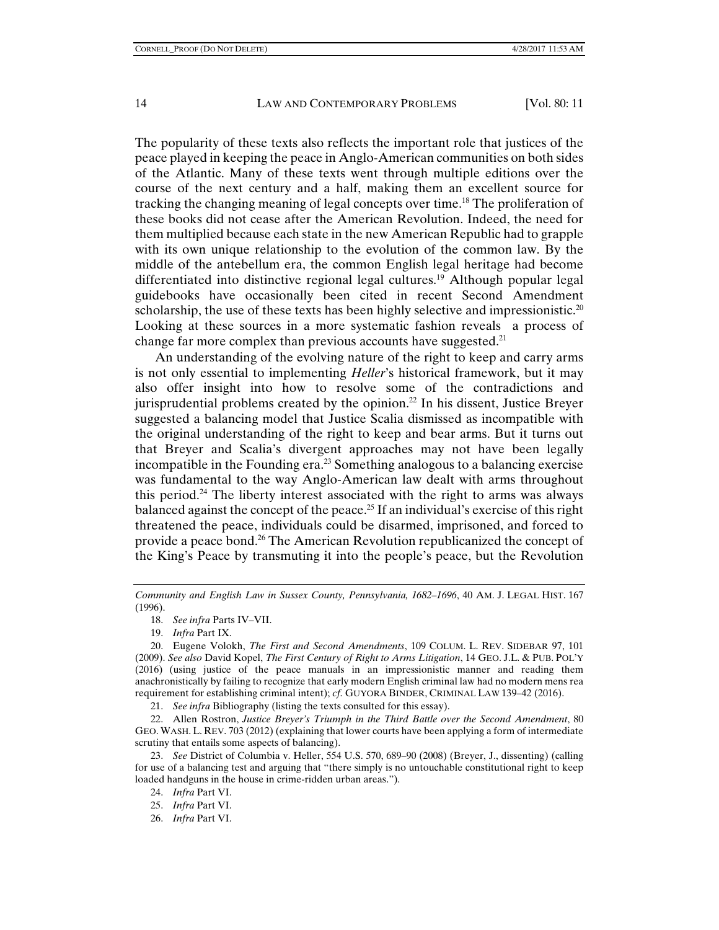The popularity of these texts also reflects the important role that justices of the peace played in keeping the peace in Anglo-American communities on both sides of the Atlantic. Many of these texts went through multiple editions over the course of the next century and a half, making them an excellent source for tracking the changing meaning of legal concepts over time.18 The proliferation of these books did not cease after the American Revolution. Indeed, the need for them multiplied because each state in the new American Republic had to grapple with its own unique relationship to the evolution of the common law. By the middle of the antebellum era, the common English legal heritage had become differentiated into distinctive regional legal cultures.19 Although popular legal guidebooks have occasionally been cited in recent Second Amendment scholarship, the use of these texts has been highly selective and impressionistic.<sup>20</sup> Looking at these sources in a more systematic fashion reveals a process of change far more complex than previous accounts have suggested. $21$ 

An understanding of the evolving nature of the right to keep and carry arms is not only essential to implementing *Heller*'s historical framework, but it may also offer insight into how to resolve some of the contradictions and jurisprudential problems created by the opinion.<sup>22</sup> In his dissent, Justice Breyer suggested a balancing model that Justice Scalia dismissed as incompatible with the original understanding of the right to keep and bear arms. But it turns out that Breyer and Scalia's divergent approaches may not have been legally incompatible in the Founding era.23 Something analogous to a balancing exercise was fundamental to the way Anglo-American law dealt with arms throughout this period.<sup>24</sup> The liberty interest associated with the right to arms was always balanced against the concept of the peace.<sup>25</sup> If an individual's exercise of this right threatened the peace, individuals could be disarmed, imprisoned, and forced to provide a peace bond.26 The American Revolution republicanized the concept of the King's Peace by transmuting it into the people's peace, but the Revolution

21. *See infra* Bibliography (listing the texts consulted for this essay).

 22. Allen Rostron, *Justice Breyer's Triumph in the Third Battle over the Second Amendment*, 80 GEO. WASH. L. REV. 703 (2012) (explaining that lower courts have been applying a form of intermediate scrutiny that entails some aspects of balancing).

 23. *See* District of Columbia v. Heller, 554 U.S. 570, 689–90 (2008) (Breyer, J., dissenting) (calling for use of a balancing test and arguing that "there simply is no untouchable constitutional right to keep loaded handguns in the house in crime-ridden urban areas.").

26. *Infra* Part VI.

*Community and English Law in Sussex County, Pennsylvania, 1682–1696*, 40 AM. J. LEGAL HIST. 167 (1996).

 <sup>18.</sup> *See infra* Parts IV–VII.

 <sup>19.</sup> *Infra* Part IX.

 <sup>20.</sup> Eugene Volokh, *The First and Second Amendments*, 109 COLUM. L. REV. SIDEBAR 97, 101 (2009). *See also* David Kopel, *The First Century of Right to Arms Litigation*, 14 GEO. J.L. & PUB. POL'Y (2016) (using justice of the peace manuals in an impressionistic manner and reading them anachronistically by failing to recognize that early modern English criminal law had no modern mens rea requirement for establishing criminal intent); *cf*. GUYORA BINDER, CRIMINAL LAW 139–42 (2016).

 <sup>24.</sup> *Infra* Part VI.

 <sup>25.</sup> *Infra* Part VI.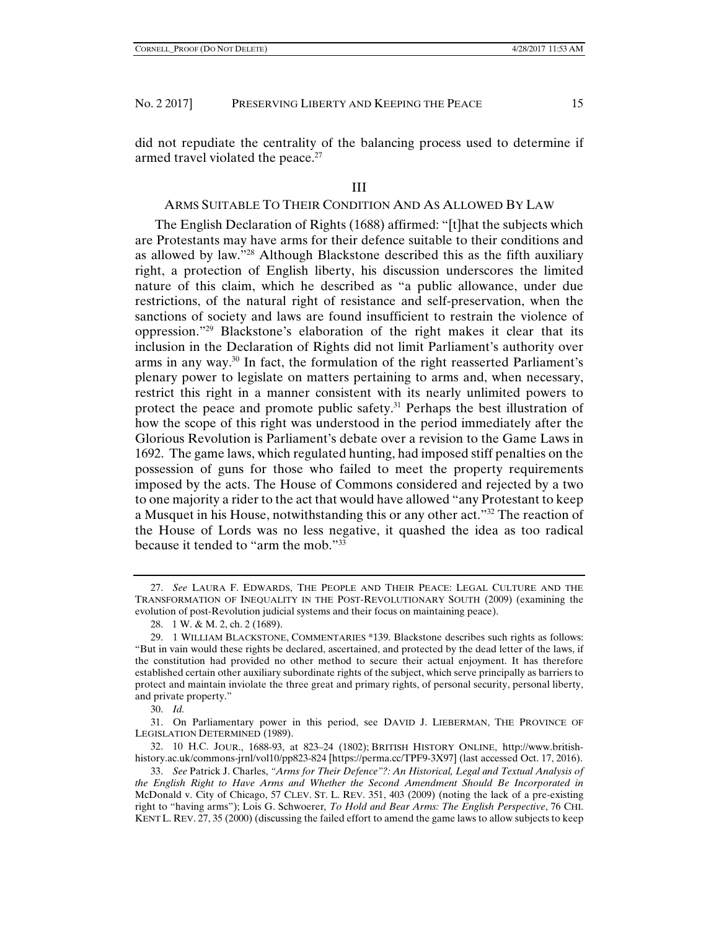did not repudiate the centrality of the balancing process used to determine if armed travel violated the peace.<sup>27</sup>

#### III

## ARMS SUITABLE TO THEIR CONDITION AND AS ALLOWED BY LAW

The English Declaration of Rights (1688) affirmed: "[t]hat the subjects which are Protestants may have arms for their defence suitable to their conditions and as allowed by law."28 Although Blackstone described this as the fifth auxiliary right, a protection of English liberty, his discussion underscores the limited nature of this claim, which he described as "a public allowance, under due restrictions, of the natural right of resistance and self-preservation, when the sanctions of society and laws are found insufficient to restrain the violence of oppression."29 Blackstone's elaboration of the right makes it clear that its inclusion in the Declaration of Rights did not limit Parliament's authority over arms in any way.<sup>30</sup> In fact, the formulation of the right reasserted Parliament's plenary power to legislate on matters pertaining to arms and, when necessary, restrict this right in a manner consistent with its nearly unlimited powers to protect the peace and promote public safety.<sup>31</sup> Perhaps the best illustration of how the scope of this right was understood in the period immediately after the Glorious Revolution is Parliament's debate over a revision to the Game Laws in 1692. The game laws, which regulated hunting, had imposed stiff penalties on the possession of guns for those who failed to meet the property requirements imposed by the acts. The House of Commons considered and rejected by a two to one majority a rider to the act that would have allowed "any Protestant to keep a Musquet in his House, notwithstanding this or any other act."32 The reaction of the House of Lords was no less negative, it quashed the idea as too radical because it tended to "arm the mob." $33$ 

30. *Id.* 

 31. On Parliamentary power in this period, see DAVID J. LIEBERMAN, THE PROVINCE OF LEGISLATION DETERMINED (1989).

 <sup>27.</sup> *See* LAURA F. EDWARDS, THE PEOPLE AND THEIR PEACE: LEGAL CULTURE AND THE TRANSFORMATION OF INEQUALITY IN THE POST-REVOLUTIONARY SOUTH (2009) (examining the evolution of post-Revolution judicial systems and their focus on maintaining peace).

 <sup>28. 1</sup> W. & M. 2, ch. 2 (1689).

 <sup>29. 1</sup> WILLIAM BLACKSTONE, COMMENTARIES \*139. Blackstone describes such rights as follows: "But in vain would these rights be declared, ascertained, and protected by the dead letter of the laws, if the constitution had provided no other method to secure their actual enjoyment. It has therefore established certain other auxiliary subordinate rights of the subject, which serve principally as barriers to protect and maintain inviolate the three great and primary rights, of personal security, personal liberty, and private property."

 <sup>32. 10</sup> H.C. JOUR., 1688-93, at 823–24 (1802); BRITISH HISTORY ONLINE, http://www.britishhistory.ac.uk/commons-jrnl/vol10/pp823-824 [https://perma.cc/TPF9-3X97] (last accessed Oct. 17, 2016).

 <sup>33.</sup> *See* Patrick J. Charles, *"Arms for Their Defence"?: An Historical, Legal and Textual Analysis of the English Right to Have Arms and Whether the Second Amendment Should Be Incorporated in*  McDonald v. City of Chicago, 57 CLEV. ST. L. REV. 351, 403 (2009) (noting the lack of a pre-existing right to "having arms"); Lois G. Schwoerer*, To Hold and Bear Arms: The English Perspective*, 76 CHI. KENT L. REV. 27, 35 (2000) (discussing the failed effort to amend the game laws to allow subjects to keep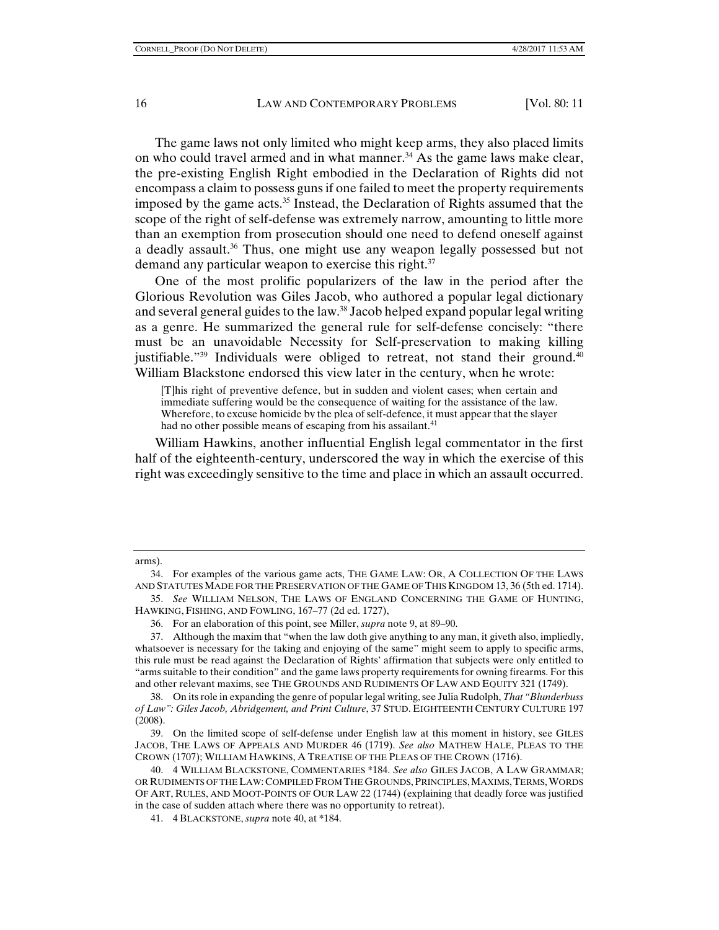The game laws not only limited who might keep arms, they also placed limits on who could travel armed and in what manner.<sup>34</sup> As the game laws make clear, the pre-existing English Right embodied in the Declaration of Rights did not encompass a claim to possess guns if one failed to meet the property requirements imposed by the game acts. $35$  Instead, the Declaration of Rights assumed that the scope of the right of self-defense was extremely narrow, amounting to little more than an exemption from prosecution should one need to defend oneself against a deadly assault.<sup>36</sup> Thus, one might use any weapon legally possessed but not demand any particular weapon to exercise this right. $37$ 

One of the most prolific popularizers of the law in the period after the Glorious Revolution was Giles Jacob, who authored a popular legal dictionary and several general guides to the law.<sup>38</sup> Jacob helped expand popular legal writing as a genre. He summarized the general rule for self-defense concisely: "there must be an unavoidable Necessity for Self-preservation to making killing justifiable." $39$  Individuals were obliged to retreat, not stand their ground. $40$ William Blackstone endorsed this view later in the century, when he wrote:

[T]his right of preventive defence, but in sudden and violent cases; when certain and immediate suffering would be the consequence of waiting for the assistance of the law. Wherefore, to excuse homicide by the plea of self-defence, it must appear that the slayer had no other possible means of escaping from his assailant.<sup>41</sup>

William Hawkins, another influential English legal commentator in the first half of the eighteenth-century, underscored the way in which the exercise of this right was exceedingly sensitive to the time and place in which an assault occurred.

arms).

 <sup>34.</sup> For examples of the various game acts, THE GAME LAW: OR, A COLLECTION OF THE LAWS AND STATUTES MADE FOR THE PRESERVATION OF THE GAME OF THIS KINGDOM 13, 36 (5th ed. 1714).

 <sup>35.</sup> *See* WILLIAM NELSON, THE LAWS OF ENGLAND CONCERNING THE GAME OF HUNTING, HAWKING, FISHING, AND FOWLING, 167–77 (2d ed. 1727),

 <sup>36.</sup> For an elaboration of this point, see Miller, *supra* note 9, at 89–90.

 <sup>37.</sup> Although the maxim that "when the law doth give anything to any man, it giveth also, impliedly, whatsoever is necessary for the taking and enjoying of the same" might seem to apply to specific arms, this rule must be read against the Declaration of Rights' affirmation that subjects were only entitled to "arms suitable to their condition" and the game laws property requirements for owning firearms. For this and other relevant maxims, see THE GROUNDS AND RUDIMENTS OF LAW AND EQUITY 321 (1749).

 <sup>38.</sup> On its role in expanding the genre of popular legal writing, see Julia Rudolph, *That "Blunderbuss of Law": Giles Jacob, Abridgement, and Print Culture*, 37 STUD. EIGHTEENTH CENTURY CULTURE 197 (2008).

 <sup>39.</sup> On the limited scope of self-defense under English law at this moment in history, see GILES JACOB, THE LAWS OF APPEALS AND MURDER 46 (1719). *See also* MATHEW HALE, PLEAS TO THE CROWN (1707); WILLIAM HAWKINS, A TREATISE OF THE PLEAS OF THE CROWN (1716).

 <sup>40. 4</sup> WILLIAM BLACKSTONE, COMMENTARIES \*184. *See also* GILES JACOB, A LAW GRAMMAR; OR RUDIMENTS OF THE LAW: COMPILED FROM THE GROUNDS, PRINCIPLES, MAXIMS, TERMS, WORDS OF ART, RULES, AND MOOT-POINTS OF OUR LAW 22 (1744) (explaining that deadly force was justified in the case of sudden attach where there was no opportunity to retreat).

 <sup>41. 4</sup> BLACKSTONE, *supra* note 40, at \*184.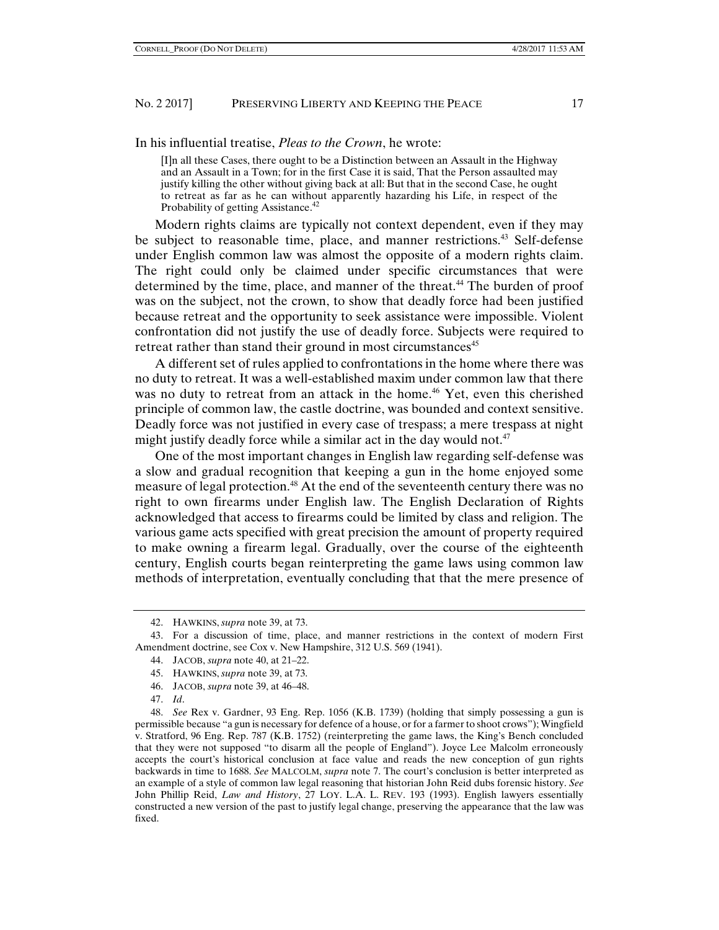In his influential treatise, *Pleas to the Crown*, he wrote:

[I]n all these Cases, there ought to be a Distinction between an Assault in the Highway and an Assault in a Town; for in the first Case it is said, That the Person assaulted may justify killing the other without giving back at all: But that in the second Case, he ought to retreat as far as he can without apparently hazarding his Life, in respect of the Probability of getting Assistance.<sup>42</sup>

Modern rights claims are typically not context dependent, even if they may be subject to reasonable time, place, and manner restrictions.<sup>43</sup> Self-defense under English common law was almost the opposite of a modern rights claim. The right could only be claimed under specific circumstances that were determined by the time, place, and manner of the threat.<sup>44</sup> The burden of proof was on the subject, not the crown, to show that deadly force had been justified because retreat and the opportunity to seek assistance were impossible. Violent confrontation did not justify the use of deadly force. Subjects were required to retreat rather than stand their ground in most circumstances<sup>45</sup>

A different set of rules applied to confrontations in the home where there was no duty to retreat. It was a well-established maxim under common law that there was no duty to retreat from an attack in the home.<sup>46</sup> Yet, even this cherished principle of common law, the castle doctrine, was bounded and context sensitive. Deadly force was not justified in every case of trespass; a mere trespass at night might justify deadly force while a similar act in the day would not.<sup>47</sup>

One of the most important changes in English law regarding self-defense was a slow and gradual recognition that keeping a gun in the home enjoyed some measure of legal protection.<sup>48</sup> At the end of the seventeenth century there was no right to own firearms under English law. The English Declaration of Rights acknowledged that access to firearms could be limited by class and religion. The various game acts specified with great precision the amount of property required to make owning a firearm legal. Gradually, over the course of the eighteenth century, English courts began reinterpreting the game laws using common law methods of interpretation, eventually concluding that that the mere presence of

 <sup>42.</sup> HAWKINS, *supra* note 39, at 73.

 <sup>43.</sup> For a discussion of time, place, and manner restrictions in the context of modern First Amendment doctrine, see Cox v. New Hampshire, 312 U.S. 569 (1941).

 <sup>44.</sup> JACOB, *supra* note 40, at 21–22.

 <sup>45.</sup> HAWKINS, *supra* note 39, at 73.

 <sup>46.</sup> JACOB, *supra* note 39, at 46–48.

 <sup>47.</sup> *Id*.

 <sup>48.</sup> *See* Rex v. Gardner, 93 Eng. Rep. 1056 (K.B. 1739) (holding that simply possessing a gun is permissible because "a gun is necessary for defence of a house, or for a farmer to shoot crows"); Wingfield v. Stratford, 96 Eng. Rep. 787 (K.B. 1752) (reinterpreting the game laws, the King's Bench concluded that they were not supposed "to disarm all the people of England"). Joyce Lee Malcolm erroneously accepts the court's historical conclusion at face value and reads the new conception of gun rights backwards in time to 1688. *See* MALCOLM, *supra* note 7. The court's conclusion is better interpreted as an example of a style of common law legal reasoning that historian John Reid dubs forensic history. *See*  John Phillip Reid, *Law and History*, 27 LOY. L.A. L. REV. 193 (1993). English lawyers essentially constructed a new version of the past to justify legal change, preserving the appearance that the law was fixed.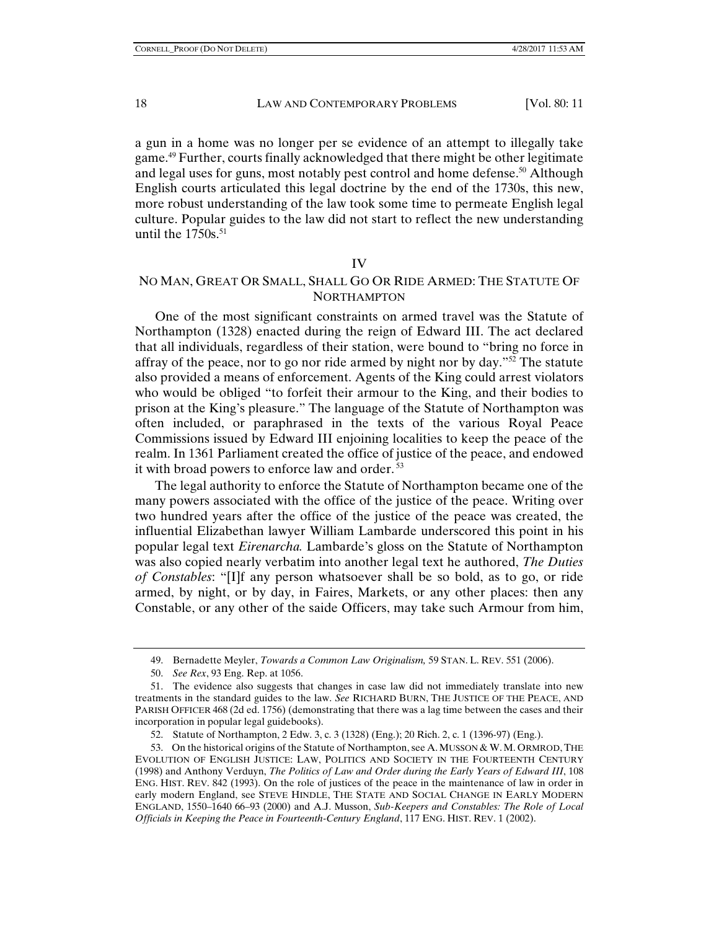a gun in a home was no longer per se evidence of an attempt to illegally take game.49 Further, courts finally acknowledged that there might be other legitimate and legal uses for guns, most notably pest control and home defense.<sup>50</sup> Although English courts articulated this legal doctrine by the end of the 1730s, this new, more robust understanding of the law took some time to permeate English legal culture. Popular guides to the law did not start to reflect the new understanding until the  $1750s$ .<sup>51</sup>

#### IV

# NO MAN, GREAT OR SMALL, SHALL GO OR RIDE ARMED: THE STATUTE OF NORTHAMPTON

One of the most significant constraints on armed travel was the Statute of Northampton (1328) enacted during the reign of Edward III. The act declared that all individuals, regardless of their station, were bound to "bring no force in affray of the peace, nor to go nor ride armed by night nor by day."<sup>52</sup> The statute also provided a means of enforcement. Agents of the King could arrest violators who would be obliged "to forfeit their armour to the King, and their bodies to prison at the King's pleasure." The language of the Statute of Northampton was often included, or paraphrased in the texts of the various Royal Peace Commissions issued by Edward III enjoining localities to keep the peace of the realm. In 1361 Parliament created the office of justice of the peace, and endowed it with broad powers to enforce law and order. 53

The legal authority to enforce the Statute of Northampton became one of the many powers associated with the office of the justice of the peace. Writing over two hundred years after the office of the justice of the peace was created, the influential Elizabethan lawyer William Lambarde underscored this point in his popular legal text *Eirenarcha.* Lambarde's gloss on the Statute of Northampton was also copied nearly verbatim into another legal text he authored, *The Duties of Constables*: "[I]f any person whatsoever shall be so bold, as to go, or ride armed, by night, or by day, in Faires, Markets, or any other places: then any Constable, or any other of the saide Officers, may take such Armour from him,

52. Statute of Northampton, 2 Edw. 3, c. 3 (1328) (Eng.); 20 Rich. 2, c. 1 (1396-97) (Eng.).

 <sup>49.</sup> Bernadette Meyler, *Towards a Common Law Originalism,* 59 STAN. L. REV. 551 (2006).

 <sup>50.</sup> *See Rex*, 93 Eng. Rep. at 1056.

 <sup>51.</sup> The evidence also suggests that changes in case law did not immediately translate into new treatments in the standard guides to the law. *See* RICHARD BURN, THE JUSTICE OF THE PEACE, AND PARISH OFFICER 468 (2d ed. 1756) (demonstrating that there was a lag time between the cases and their incorporation in popular legal guidebooks).

<sup>53.</sup> On the historical origins of the Statute of Northampton, see A. MUSSON & W. M. ORMROD, THE EVOLUTION OF ENGLISH JUSTICE: LAW, POLITICS AND SOCIETY IN THE FOURTEENTH CENTURY (1998) and Anthony Verduyn, *The Politics of Law and Order during the Early Years of Edward III*, 108 ENG. HIST. REV. 842 (1993). On the role of justices of the peace in the maintenance of law in order in early modern England, see STEVE HINDLE, THE STATE AND SOCIAL CHANGE IN EARLY MODERN ENGLAND, 1550–1640 66–93 (2000) and A.J. Musson, *Sub-Keepers and Constables: The Role of Local Officials in Keeping the Peace in Fourteenth-Century England*, 117 ENG. HIST. REV. 1 (2002).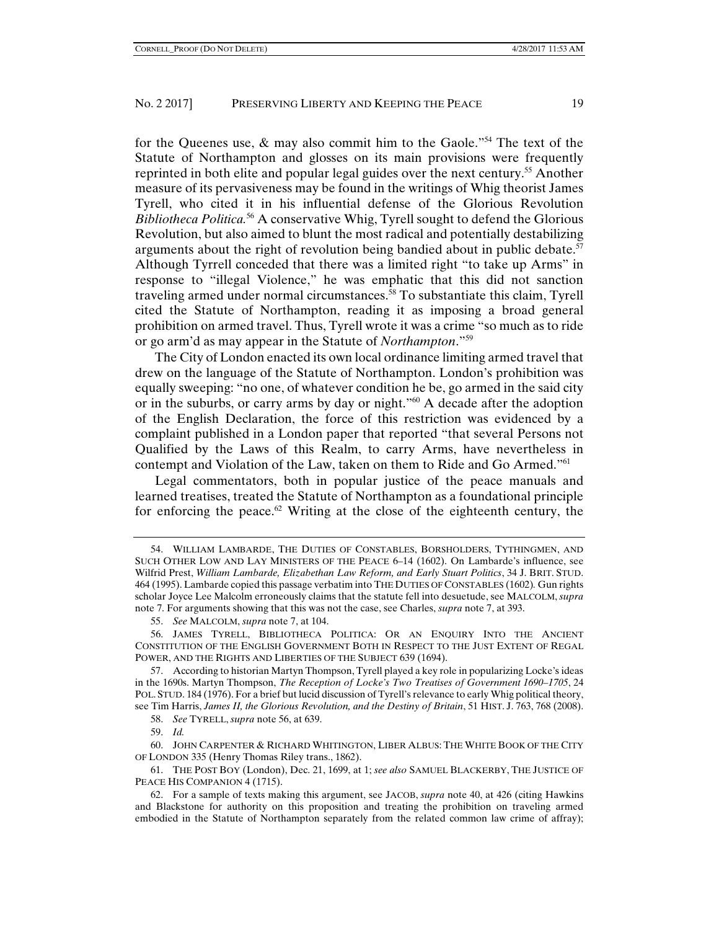for the Queenes use,  $\&$  may also commit him to the Gaole."<sup>54</sup> The text of the Statute of Northampton and glosses on its main provisions were frequently reprinted in both elite and popular legal guides over the next century.<sup>55</sup> Another measure of its pervasiveness may be found in the writings of Whig theorist James Tyrell, who cited it in his influential defense of the Glorious Revolution *Bibliotheca Politica.*56 A conservative Whig, Tyrell sought to defend the Glorious Revolution, but also aimed to blunt the most radical and potentially destabilizing arguments about the right of revolution being bandied about in public debate.<sup>57</sup> Although Tyrrell conceded that there was a limited right "to take up Arms" in response to "illegal Violence," he was emphatic that this did not sanction traveling armed under normal circumstances.58 To substantiate this claim, Tyrell cited the Statute of Northampton, reading it as imposing a broad general prohibition on armed travel. Thus, Tyrell wrote it was a crime "so much as to ride or go arm'd as may appear in the Statute of *Northampton*."59

The City of London enacted its own local ordinance limiting armed travel that drew on the language of the Statute of Northampton. London's prohibition was equally sweeping: "no one, of whatever condition he be, go armed in the said city or in the suburbs, or carry arms by day or night."<sup>60</sup> A decade after the adoption of the English Declaration, the force of this restriction was evidenced by a complaint published in a London paper that reported "that several Persons not Qualified by the Laws of this Realm, to carry Arms, have nevertheless in contempt and Violation of the Law, taken on them to Ride and Go Armed."61

Legal commentators, both in popular justice of the peace manuals and learned treatises, treated the Statute of Northampton as a foundational principle for enforcing the peace.<sup>62</sup> Writing at the close of the eighteenth century, the

58. *See* TYRELL, *supra* note 56, at 639.

59. *Id.*

 62. For a sample of texts making this argument, see JACOB, *supra* note 40, at 426 (citing Hawkins and Blackstone for authority on this proposition and treating the prohibition on traveling armed embodied in the Statute of Northampton separately from the related common law crime of affray);

 <sup>54.</sup> WILLIAM LAMBARDE, THE DUTIES OF CONSTABLES, BORSHOLDERS, TYTHINGMEN, AND SUCH OTHER LOW AND LAY MINISTERS OF THE PEACE 6–14 (1602). On Lambarde's influence, see Wilfrid Prest, *William Lambarde, Elizabethan Law Reform, and Early Stuart Politics*, 34 J. BRIT. STUD. 464 (1995). Lambarde copied this passage verbatim into THE DUTIES OF CONSTABLES (1602)*.* Gun rights scholar Joyce Lee Malcolm erroneously claims that the statute fell into desuetude, see MALCOLM, *supra* note 7. For arguments showing that this was not the case, see Charles, *supra* note 7, at 393.

 <sup>55.</sup> *See* MALCOLM, *supra* note 7, at 104.

 <sup>56.</sup> JAMES TYRELL, BIBLIOTHECA POLITICA: OR AN ENQUIRY INTO THE ANCIENT CONSTITUTION OF THE ENGLISH GOVERNMENT BOTH IN RESPECT TO THE JUST EXTENT OF REGAL POWER, AND THE RIGHTS AND LIBERTIES OF THE SUBJECT 639 (1694).

 <sup>57.</sup> According to historian Martyn Thompson, Tyrell played a key role in popularizing Locke's ideas in the 1690s. Martyn Thompson, *The Reception of Locke's Two Treatises of Government 1690–1705*, 24 POL. STUD. 184 (1976). For a brief but lucid discussion of Tyrell's relevance to early Whig political theory, see Tim Harris, *James II, the Glorious Revolution, and the Destiny of Britain*, 51 HIST. J. 763, 768 (2008).

 <sup>60.</sup> JOHN CARPENTER & RICHARD WHITINGTON, LIBER ALBUS: THE WHITE BOOK OF THE CITY OF LONDON 335 (Henry Thomas Riley trans., 1862).

 <sup>61.</sup> THE POST BOY (London), Dec. 21, 1699, at 1; *see also* SAMUEL BLACKERBY, THE JUSTICE OF PEACE HIS COMPANION 4 (1715).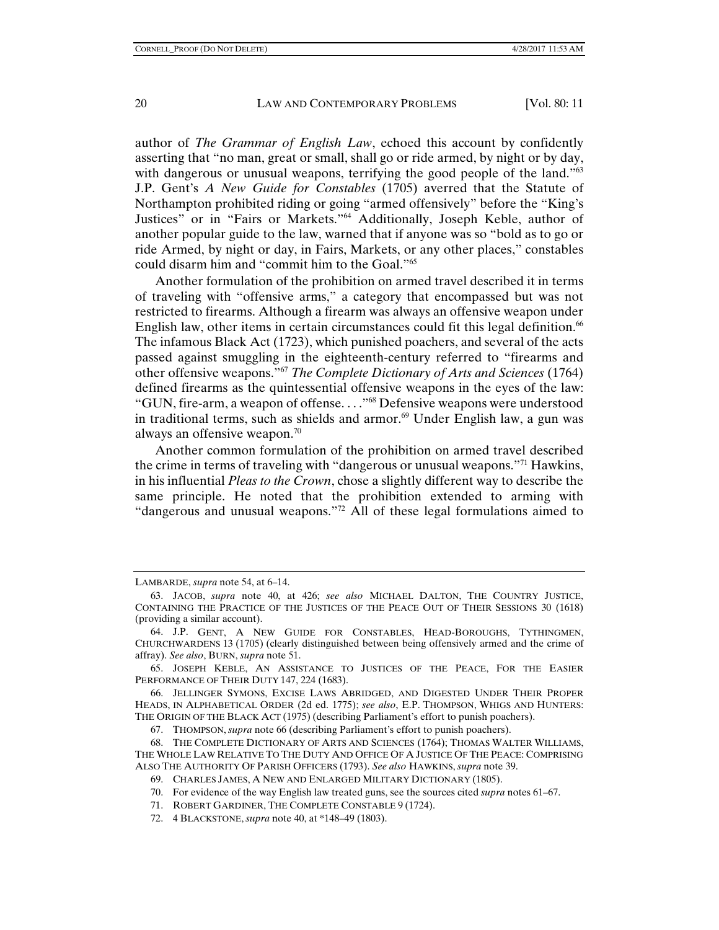author of *The Grammar of English Law*, echoed this account by confidently asserting that "no man, great or small, shall go or ride armed, by night or by day, with dangerous or unusual weapons, terrifying the good people of the land."<sup>63</sup> J.P. Gent's *A New Guide for Constables* (1705) averred that the Statute of Northampton prohibited riding or going "armed offensively" before the "King's Justices" or in "Fairs or Markets."64 Additionally, Joseph Keble, author of another popular guide to the law, warned that if anyone was so "bold as to go or ride Armed, by night or day, in Fairs, Markets, or any other places," constables could disarm him and "commit him to the Goal."65

Another formulation of the prohibition on armed travel described it in terms of traveling with "offensive arms," a category that encompassed but was not restricted to firearms. Although a firearm was always an offensive weapon under English law, other items in certain circumstances could fit this legal definition.<sup>66</sup> The infamous Black Act (1723), which punished poachers, and several of the acts passed against smuggling in the eighteenth-century referred to "firearms and other offensive weapons."67 *The Complete Dictionary of Arts and Sciences* (1764) defined firearms as the quintessential offensive weapons in the eyes of the law: "GUN, fire-arm, a weapon of offense. . . ."68 Defensive weapons were understood in traditional terms, such as shields and armor.<sup>69</sup> Under English law, a gun was always an offensive weapon.<sup>70</sup>

Another common formulation of the prohibition on armed travel described the crime in terms of traveling with "dangerous or unusual weapons."71 Hawkins, in his influential *Pleas to the Crown*, chose a slightly different way to describe the same principle. He noted that the prohibition extended to arming with "dangerous and unusual weapons."72 All of these legal formulations aimed to

LAMBARDE, *supra* note 54, at 6–14.

 <sup>63.</sup> JACOB, *supra* note 40, at 426; *see also* MICHAEL DALTON, THE COUNTRY JUSTICE, CONTAINING THE PRACTICE OF THE JUSTICES OF THE PEACE OUT OF THEIR SESSIONS 30 (1618) (providing a similar account).

 <sup>64.</sup> J.P. GENT, A NEW GUIDE FOR CONSTABLES, HEAD-BOROUGHS, TYTHINGMEN, CHURCHWARDENS 13 (1705) (clearly distinguished between being offensively armed and the crime of affray). *See also*, BURN, *supra* note 51.

 <sup>65.</sup> JOSEPH KEBLE, AN ASSISTANCE TO JUSTICES OF THE PEACE, FOR THE EASIER PERFORMANCE OF THEIR DUTY 147, 224 (1683).

 <sup>66.</sup> JELLINGER SYMONS, EXCISE LAWS ABRIDGED, AND DIGESTED UNDER THEIR PROPER HEADS, IN ALPHABETICAL ORDER (2d ed. 1775); *see also*, E.P. THOMPSON, WHIGS AND HUNTERS: THE ORIGIN OF THE BLACK ACT (1975) (describing Parliament's effort to punish poachers).

 <sup>67.</sup> THOMPSON, *supra* note 66 (describing Parliament's effort to punish poachers).

 <sup>68.</sup> THE COMPLETE DICTIONARY OF ARTS AND SCIENCES (1764); THOMAS WALTER WILLIAMS, THE WHOLE LAW RELATIVE TO THE DUTY AND OFFICE OF A JUSTICE OF THE PEACE: COMPRISING ALSO THE AUTHORITY OF PARISH OFFICERS (1793). *See also* HAWKINS, *supra* note 39.

 <sup>69.</sup> CHARLES JAMES, A NEW AND ENLARGED MILITARY DICTIONARY (1805).

 <sup>70.</sup> For evidence of the way English law treated guns, see the sources cited *supra* notes 61*–*67.

 <sup>71.</sup> ROBERT GARDINER, THE COMPLETE CONSTABLE 9 (1724).

 <sup>72. 4</sup> BLACKSTONE, *supra* note 40, at \*148–49 (1803).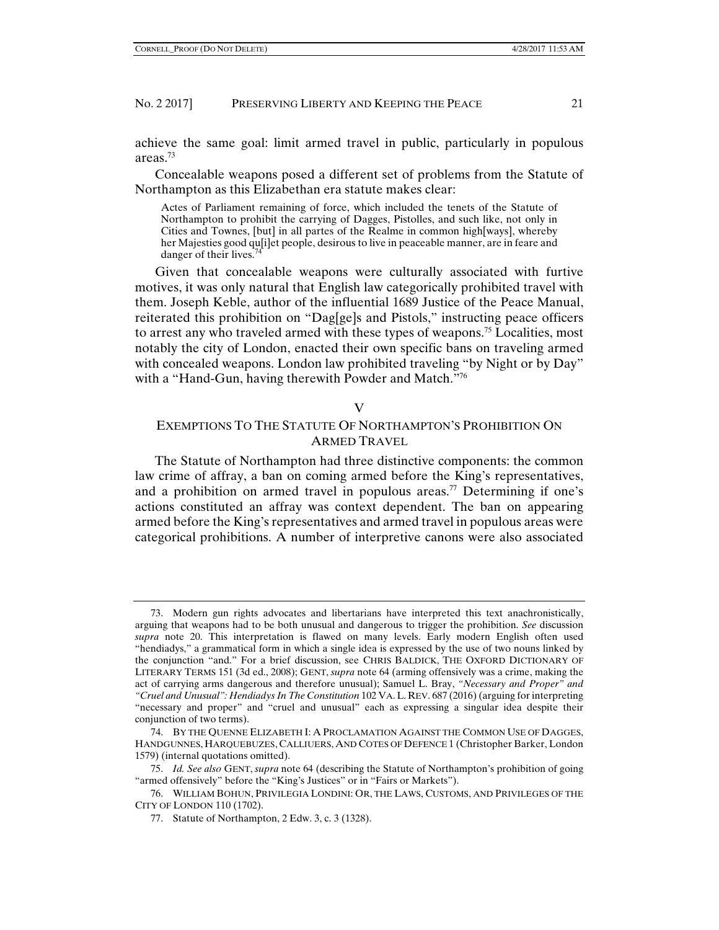achieve the same goal: limit armed travel in public, particularly in populous areas<sup>73</sup>

Concealable weapons posed a different set of problems from the Statute of Northampton as this Elizabethan era statute makes clear:

Actes of Parliament remaining of force, which included the tenets of the Statute of Northampton to prohibit the carrying of Dagges, Pistolles, and such like, not only in Cities and Townes, [but] in all partes of the Realme in common high[ways], whereby her Majesties good qu[i]et people, desirous to live in peaceable manner, are in feare and danger of their lives.<sup>7</sup>

Given that concealable weapons were culturally associated with furtive motives, it was only natural that English law categorically prohibited travel with them. Joseph Keble, author of the influential 1689 Justice of the Peace Manual, reiterated this prohibition on "Dag[ge]s and Pistols," instructing peace officers to arrest any who traveled armed with these types of weapons.<sup>75</sup> Localities, most notably the city of London, enacted their own specific bans on traveling armed with concealed weapons. London law prohibited traveling "by Night or by Day" with a "Hand-Gun, having therewith Powder and Match."<sup>76</sup>

## V

# EXEMPTIONS TO THE STATUTE OF NORTHAMPTON'S PROHIBITION ON ARMED TRAVEL

The Statute of Northampton had three distinctive components: the common law crime of affray, a ban on coming armed before the King's representatives, and a prohibition on armed travel in populous areas.<sup>77</sup> Determining if one's actions constituted an affray was context dependent. The ban on appearing armed before the King's representatives and armed travel in populous areas were categorical prohibitions. A number of interpretive canons were also associated

 <sup>73.</sup> Modern gun rights advocates and libertarians have interpreted this text anachronistically, arguing that weapons had to be both unusual and dangerous to trigger the prohibition. *See* discussion *supra* note 20. This interpretation is flawed on many levels. Early modern English often used "hendiadys," a grammatical form in which a single idea is expressed by the use of two nouns linked by the conjunction "and." For a brief discussion, see CHRIS BALDICK, THE OXFORD DICTIONARY OF LITERARY TERMS 151 (3d ed., 2008); GENT, *supra* note 64 (arming offensively was a crime, making the act of carrying arms dangerous and therefore unusual); Samuel L. Bray, *"Necessary and Proper" and "Cruel and Unusual": Hendiadys In The Constitution* 102 VA.L. REV. 687 (2016) (arguing for interpreting "necessary and proper" and "cruel and unusual" each as expressing a singular idea despite their conjunction of two terms).

 <sup>74.</sup> BY THE QUENNE ELIZABETH I: A PROCLAMATION AGAINST THE COMMON USE OF DAGGES, HANDGUNNES, HARQUEBUZES, CALLIUERS, AND COTES OF DEFENCE 1 (Christopher Barker, London 1579) (internal quotations omitted).

 <sup>75.</sup> *Id. See also* GENT, *supra* note 64 (describing the Statute of Northampton's prohibition of going "armed offensively" before the "King's Justices" or in "Fairs or Markets").

 <sup>76.</sup> WILLIAM BOHUN, PRIVILEGIA LONDINI: OR, THE LAWS, CUSTOMS, AND PRIVILEGES OF THE CITY OF LONDON 110 (1702).

 <sup>77.</sup> Statute of Northampton, 2 Edw. 3, c. 3 (1328).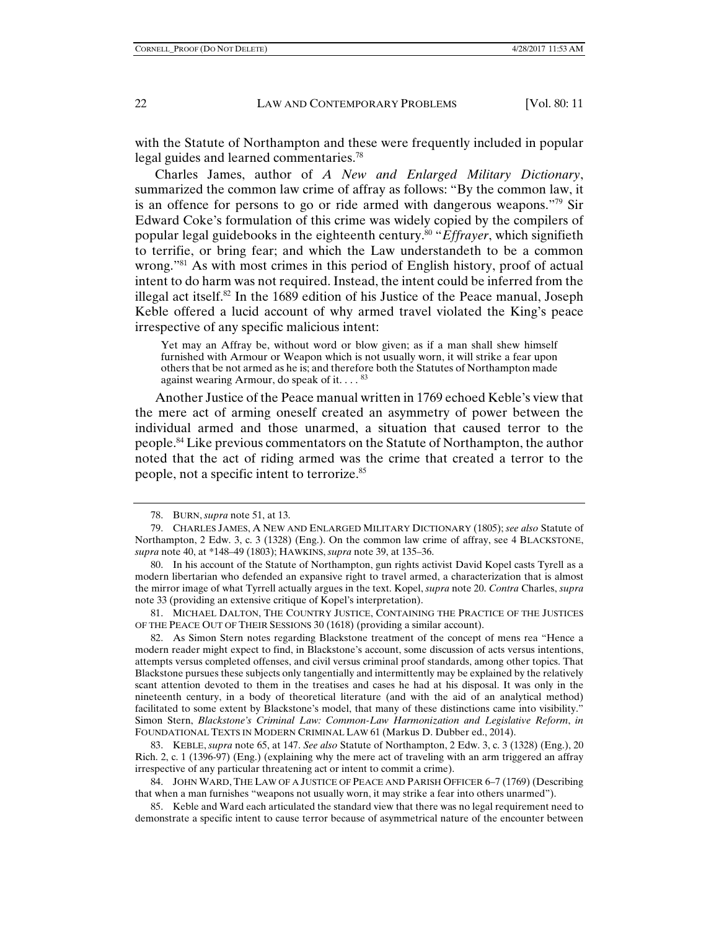with the Statute of Northampton and these were frequently included in popular legal guides and learned commentaries.<sup>78</sup>

Charles James, author of *A New and Enlarged Military Dictionary*, summarized the common law crime of affray as follows: "By the common law, it is an offence for persons to go or ride armed with dangerous weapons."<sup>79</sup> Sir Edward Coke's formulation of this crime was widely copied by the compilers of popular legal guidebooks in the eighteenth century.80 "*Effrayer*, which signifieth to terrifie, or bring fear; and which the Law understandeth to be a common wrong.<sup>881</sup> As with most crimes in this period of English history, proof of actual intent to do harm was not required. Instead, the intent could be inferred from the illegal act itself.<sup>82</sup> In the 1689 edition of his Justice of the Peace manual, Joseph Keble offered a lucid account of why armed travel violated the King's peace irrespective of any specific malicious intent:

Yet may an Affray be, without word or blow given; as if a man shall shew himself furnished with Armour or Weapon which is not usually worn, it will strike a fear upon others that be not armed as he is; and therefore both the Statutes of Northampton made against wearing Armour, do speak of it.  $\ldots$   $83$ 

Another Justice of the Peace manual written in 1769 echoed Keble's view that the mere act of arming oneself created an asymmetry of power between the individual armed and those unarmed, a situation that caused terror to the people.84 Like previous commentators on the Statute of Northampton, the author noted that the act of riding armed was the crime that created a terror to the people, not a specific intent to terrorize.85

 81. MICHAEL DALTON, THE COUNTRY JUSTICE, CONTAINING THE PRACTICE OF THE JUSTICES OF THE PEACE OUT OF THEIR SESSIONS 30 (1618) (providing a similar account).

 82. As Simon Stern notes regarding Blackstone treatment of the concept of mens rea "Hence a modern reader might expect to find, in Blackstone's account, some discussion of acts versus intentions, attempts versus completed offenses, and civil versus criminal proof standards, among other topics. That Blackstone pursues these subjects only tangentially and intermittently may be explained by the relatively scant attention devoted to them in the treatises and cases he had at his disposal. It was only in the nineteenth century, in a body of theoretical literature (and with the aid of an analytical method) facilitated to some extent by Blackstone's model, that many of these distinctions came into visibility." Simon Stern, *Blackstone's Criminal Law: Common-Law Harmonization and Legislative Reform*, *in* FOUNDATIONAL TEXTS IN MODERN CRIMINAL LAW 61 (Markus D. Dubber ed., 2014).

 83. KEBLE, *supra* note 65, at 147. *See also* Statute of Northampton, 2 Edw. 3, c. 3 (1328) (Eng.), 20 Rich. 2, c. 1 (1396-97) (Eng.) (explaining why the mere act of traveling with an arm triggered an affray irrespective of any particular threatening act or intent to commit a crime).

 84. JOHN WARD, THE LAW OF A JUSTICE OF PEACE AND PARISH OFFICER 6–7 (1769) (Describing that when a man furnishes "weapons not usually worn, it may strike a fear into others unarmed").

 85. Keble and Ward each articulated the standard view that there was no legal requirement need to demonstrate a specific intent to cause terror because of asymmetrical nature of the encounter between

 <sup>78.</sup> BURN, *supra* note 51, at 13.

 <sup>79.</sup> CHARLES JAMES, A NEW AND ENLARGED MILITARY DICTIONARY (1805); *see also* Statute of Northampton, 2 Edw. 3, c. 3 (1328) (Eng.). On the common law crime of affray, see 4 BLACKSTONE, *supra* note 40, at \*148–49 (1803); HAWKINS, *supra* note 39, at 135–36.

 <sup>80.</sup> In his account of the Statute of Northampton, gun rights activist David Kopel casts Tyrell as a modern libertarian who defended an expansive right to travel armed, a characterization that is almost the mirror image of what Tyrrell actually argues in the text. Kopel, *supra* note 20. *Contra* Charles, *supra*  note 33 (providing an extensive critique of Kopel's interpretation).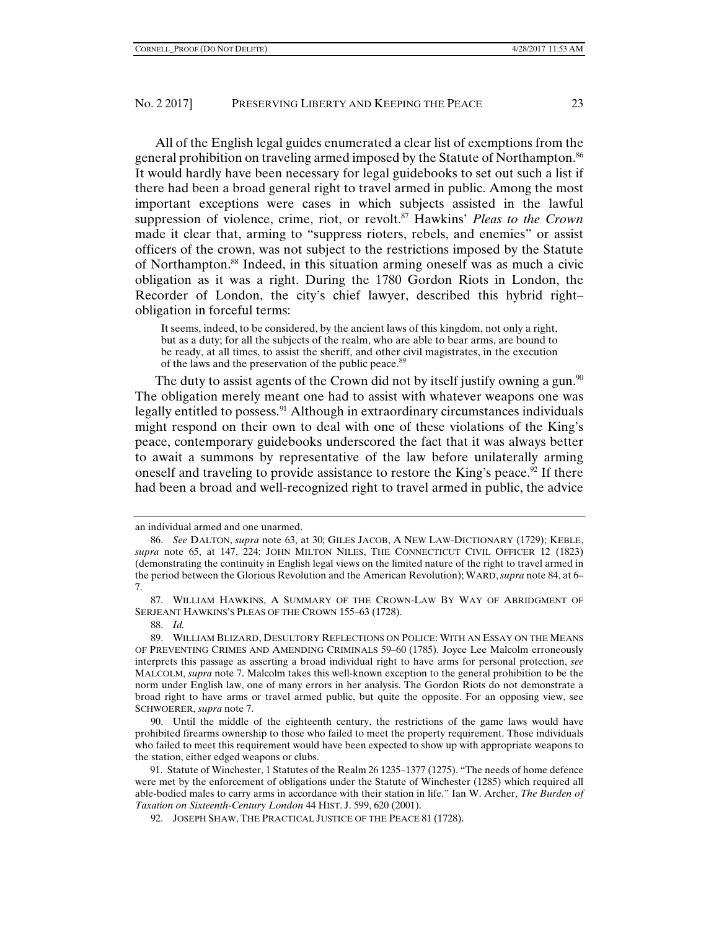All of the English legal guides enumerated a clear list of exemptions from the general prohibition on traveling armed imposed by the Statute of Northampton.<sup>86</sup> It would hardly have been necessary for legal guidebooks to set out such a list if there had been a broad general right to travel armed in public. Among the most important exceptions were cases in which subjects assisted in the lawful suppression of violence, crime, riot, or revolt.87 Hawkins' *Pleas to the Crown* made it clear that, arming to "suppress rioters, rebels, and enemies" or assist officers of the crown, was not subject to the restrictions imposed by the Statute of Northampton.88 Indeed, in this situation arming oneself was as much a civic obligation as it was a right. During the 1780 Gordon Riots in London, the Recorder of London, the city's chief lawyer, described this hybrid right– obligation in forceful terms:

It seems, indeed, to be considered, by the ancient laws of this kingdom, not only a right, but as a duty; for all the subjects of the realm, who are able to bear arms, are bound to be ready, at all times, to assist the sheriff, and other civil magistrates, in the execution of the laws and the preservation of the public peace.<sup>89</sup>

The duty to assist agents of the Crown did not by itself justify owning a gun.<sup>90</sup> The obligation merely meant one had to assist with whatever weapons one was legally entitled to possess.<sup>91</sup> Although in extraordinary circumstances individuals might respond on their own to deal with one of these violations of the King's peace, contemporary guidebooks underscored the fact that it was always better to await a summons by representative of the law before unilaterally arming oneself and traveling to provide assistance to restore the King's peace.<sup>92</sup> If there had been a broad and well-recognized right to travel armed in public, the advice

88. *Id.*

an individual armed and one unarmed.

 <sup>86.</sup> *See* DALTON, *supra* note 63, at 30; GILES JACOB, A NEW LAW-DICTIONARY (1729); KEBLE, *supra* note 65, at 147, 224; JOHN MILTON NILES, THE CONNECTICUT CIVIL OFFICER 12 (1823) (demonstrating the continuity in English legal views on the limited nature of the right to travel armed in the period between the Glorious Revolution and the American Revolution); WARD,*supra* note 84, at 6– 7.

 <sup>87.</sup> WILLIAM HAWKINS, A SUMMARY OF THE CROWN-LAW BY WAY OF ABRIDGMENT OF SERJEANT HAWKINS'S PLEAS OF THE CROWN 155–63 (1728).

 <sup>89.</sup> WILLIAM BLIZARD, DESULTORY REFLECTIONS ON POLICE: WITH AN ESSAY ON THE MEANS OF PREVENTING CRIMES AND AMENDING CRIMINALS 59–60 (1785). Joyce Lee Malcolm erroneously interprets this passage as asserting a broad individual right to have arms for personal protection, *see* MALCOLM, *supra* note 7. Malcolm takes this well-known exception to the general prohibition to be the norm under English law, one of many errors in her analysis. The Gordon Riots do not demonstrate a broad right to have arms or travel armed public, but quite the opposite. For an opposing view, see SCHWOERER, *supra* note 7.

 <sup>90.</sup> Until the middle of the eighteenth century, the restrictions of the game laws would have prohibited firearms ownership to those who failed to meet the property requirement. Those individuals who failed to meet this requirement would have been expected to show up with appropriate weapons to the station, either edged weapons or clubs.

<sup>91.</sup> Statute of Winchester, 1 Statutes of the Realm 26 1235–1377 (1275). "The needs of home defence were met by the enforcement of obligations under the Statute of Winchester (1285) which required all able-bodied males to carry arms in accordance with their station in life." Ian W. Archer, *The Burden of Taxation on Sixteenth-Century London* 44 HIST. J. 599, 620 (2001).

 <sup>92.</sup> JOSEPH SHAW, THE PRACTICAL JUSTICE OF THE PEACE 81 (1728).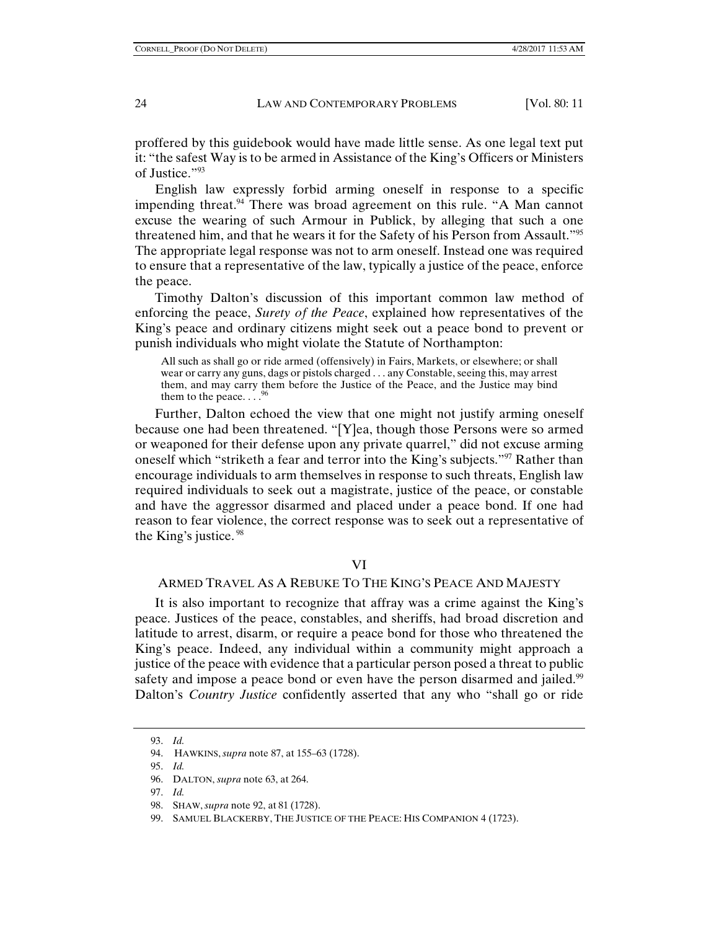proffered by this guidebook would have made little sense. As one legal text put it: "the safest Way is to be armed in Assistance of the King's Officers or Ministers of Justice."93

English law expressly forbid arming oneself in response to a specific impending threat.<sup>94</sup> There was broad agreement on this rule. "A Man cannot excuse the wearing of such Armour in Publick, by alleging that such a one threatened him, and that he wears it for the Safety of his Person from Assault."95 The appropriate legal response was not to arm oneself. Instead one was required to ensure that a representative of the law, typically a justice of the peace, enforce the peace.

Timothy Dalton's discussion of this important common law method of enforcing the peace, *Surety of the Peace*, explained how representatives of the King's peace and ordinary citizens might seek out a peace bond to prevent or punish individuals who might violate the Statute of Northampton:

All such as shall go or ride armed (offensively) in Fairs, Markets, or elsewhere; or shall wear or carry any guns, dags or pistols charged . . . any Constable, seeing this, may arrest them, and may carry them before the Justice of the Peace, and the Justice may bind them to the peace.... $^{96}$ 

Further, Dalton echoed the view that one might not justify arming oneself because one had been threatened. "[Y]ea, though those Persons were so armed or weaponed for their defense upon any private quarrel," did not excuse arming oneself which "striketh a fear and terror into the King's subjects."97 Rather than encourage individuals to arm themselves in response to such threats, English law required individuals to seek out a magistrate, justice of the peace, or constable and have the aggressor disarmed and placed under a peace bond. If one had reason to fear violence, the correct response was to seek out a representative of the King's justice. 98

#### VI

# ARMED TRAVEL AS A REBUKE TO THE KING'S PEACE AND MAJESTY

It is also important to recognize that affray was a crime against the King's peace. Justices of the peace, constables, and sheriffs, had broad discretion and latitude to arrest, disarm, or require a peace bond for those who threatened the King's peace. Indeed, any individual within a community might approach a justice of the peace with evidence that a particular person posed a threat to public safety and impose a peace bond or even have the person disarmed and jailed.<sup>99</sup> Dalton's *Country Justice* confidently asserted that any who "shall go or ride

 <sup>93.</sup> *Id.* 

 <sup>94.</sup> HAWKINS, *supra* note 87, at 155–63 (1728).

 <sup>95.</sup> *Id.*

 <sup>96.</sup> DALTON, *supra* note 63, at 264.

 <sup>97.</sup> *Id.*

 <sup>98.</sup> SHAW, *supra* note 92, at 81 (1728).

 <sup>99.</sup> SAMUEL BLACKERBY, THE JUSTICE OF THE PEACE: HIS COMPANION 4 (1723).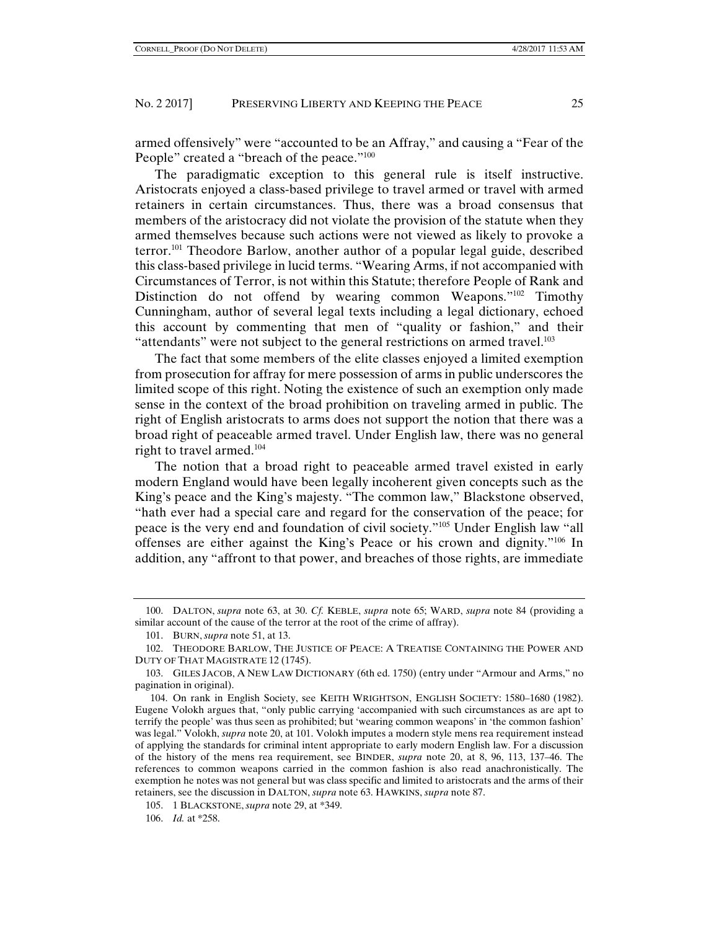armed offensively" were "accounted to be an Affray," and causing a "Fear of the People" created a "breach of the peace."<sup>100</sup>

The paradigmatic exception to this general rule is itself instructive. Aristocrats enjoyed a class-based privilege to travel armed or travel with armed retainers in certain circumstances. Thus, there was a broad consensus that members of the aristocracy did not violate the provision of the statute when they armed themselves because such actions were not viewed as likely to provoke a terror.101 Theodore Barlow, another author of a popular legal guide, described this class-based privilege in lucid terms. "Wearing Arms, if not accompanied with Circumstances of Terror, is not within this Statute; therefore People of Rank and Distinction do not offend by wearing common Weapons."<sup>102</sup> Timothy Cunningham, author of several legal texts including a legal dictionary, echoed this account by commenting that men of "quality or fashion," and their "attendants" were not subject to the general restrictions on armed travel.<sup>103</sup>

The fact that some members of the elite classes enjoyed a limited exemption from prosecution for affray for mere possession of arms in public underscores the limited scope of this right. Noting the existence of such an exemption only made sense in the context of the broad prohibition on traveling armed in public. The right of English aristocrats to arms does not support the notion that there was a broad right of peaceable armed travel. Under English law, there was no general right to travel armed.104

The notion that a broad right to peaceable armed travel existed in early modern England would have been legally incoherent given concepts such as the King's peace and the King's majesty. "The common law," Blackstone observed, "hath ever had a special care and regard for the conservation of the peace; for peace is the very end and foundation of civil society."105 Under English law "all offenses are either against the King's Peace or his crown and dignity."106 In addition, any "affront to that power, and breaches of those rights, are immediate

 <sup>100.</sup> DALTON, *supra* note 63, at 30. *Cf.* KEBLE, *supra* note 65; WARD, *supra* note 84 (providing a similar account of the cause of the terror at the root of the crime of affray).

 <sup>101.</sup> BURN, *supra* note 51, at 13.

 <sup>102.</sup> THEODORE BARLOW, THE JUSTICE OF PEACE: A TREATISE CONTAINING THE POWER AND DUTY OF THAT MAGISTRATE 12 (1745).

 <sup>103.</sup> GILES JACOB, A NEW LAW DICTIONARY (6th ed. 1750) (entry under "Armour and Arms," no pagination in original).

<sup>104.</sup> On rank in English Society, see KEITH WRIGHTSON, ENGLISH SOCIETY: 1580–1680 (1982). Eugene Volokh argues that, "only public carrying 'accompanied with such circumstances as are apt to terrify the people' was thus seen as prohibited; but 'wearing common weapons' in 'the common fashion' was legal." Volokh, *supra* note 20, at 101. Volokh imputes a modern style mens rea requirement instead of applying the standards for criminal intent appropriate to early modern English law. For a discussion of the history of the mens rea requirement, see BINDER, *supra* note 20, at 8, 96, 113, 137–46. The references to common weapons carried in the common fashion is also read anachronistically. The exemption he notes was not general but was class specific and limited to aristocrats and the arms of their retainers, see the discussion in DALTON, *supra* note 63. HAWKINS, *supra* note 87.

 <sup>105. 1</sup> BLACKSTONE, *supra* note 29, at \*349.

 <sup>106.</sup> *Id.* at \*258.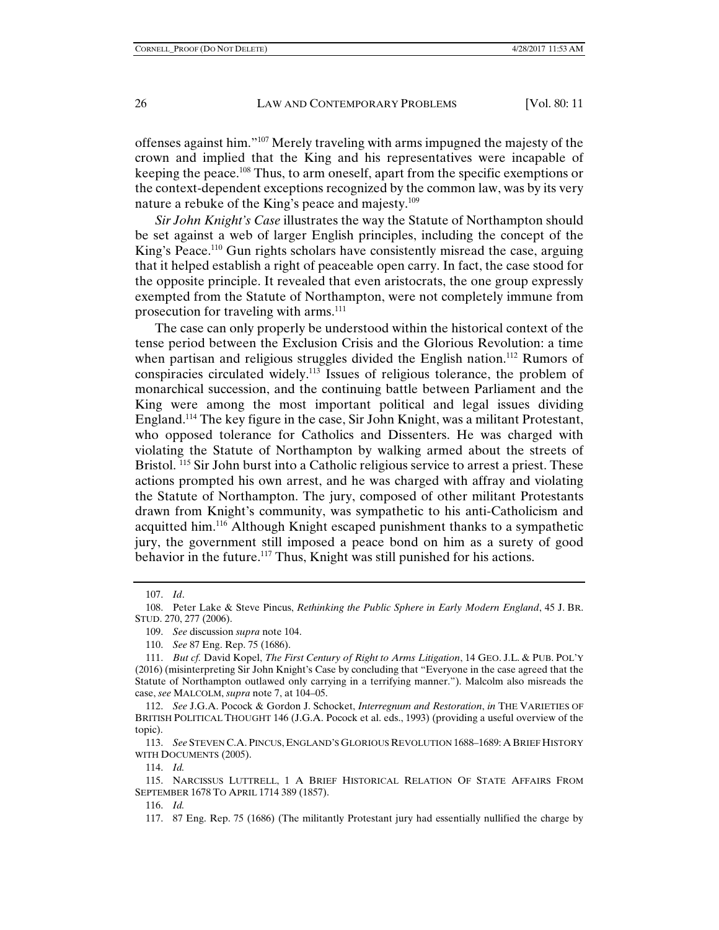offenses against him."107 Merely traveling with arms impugned the majesty of the crown and implied that the King and his representatives were incapable of keeping the peace.108 Thus, to arm oneself, apart from the specific exemptions or the context-dependent exceptions recognized by the common law, was by its very nature a rebuke of the King's peace and majesty.<sup>109</sup>

*Sir John Knight's Case* illustrates the way the Statute of Northampton should be set against a web of larger English principles, including the concept of the King's Peace.<sup>110</sup> Gun rights scholars have consistently misread the case, arguing that it helped establish a right of peaceable open carry. In fact, the case stood for the opposite principle. It revealed that even aristocrats, the one group expressly exempted from the Statute of Northampton, were not completely immune from prosecution for traveling with arms.<sup>111</sup>

The case can only properly be understood within the historical context of the tense period between the Exclusion Crisis and the Glorious Revolution: a time when partisan and religious struggles divided the English nation.<sup>112</sup> Rumors of conspiracies circulated widely.113 Issues of religious tolerance, the problem of monarchical succession, and the continuing battle between Parliament and the King were among the most important political and legal issues dividing England.114 The key figure in the case, Sir John Knight, was a militant Protestant, who opposed tolerance for Catholics and Dissenters. He was charged with violating the Statute of Northampton by walking armed about the streets of Bristol. <sup>115</sup> Sir John burst into a Catholic religious service to arrest a priest. These actions prompted his own arrest, and he was charged with affray and violating the Statute of Northampton. The jury, composed of other militant Protestants drawn from Knight's community, was sympathetic to his anti-Catholicism and acquitted him.116 Although Knight escaped punishment thanks to a sympathetic jury, the government still imposed a peace bond on him as a surety of good behavior in the future.<sup>117</sup> Thus, Knight was still punished for his actions.

 113. *See* STEVEN C.A. PINCUS, ENGLAND'S GLORIOUS REVOLUTION 1688–1689: A BRIEF HISTORY WITH DOCUMENTS (2005).

114. *Id.*

116. *Id.*

117. 87 Eng. Rep. 75 (1686) (The militantly Protestant jury had essentially nullified the charge by

 <sup>107.</sup> *Id*.

 <sup>108.</sup> Peter Lake & Steve Pincus, *Rethinking the Public Sphere in Early Modern England*, 45 J. BR. STUD. 270, 277 (2006).

 <sup>109.</sup> *See* discussion *supra* note 104.

 <sup>110.</sup> *See* 87 Eng. Rep. 75 (1686).

 <sup>111.</sup> *But cf.* David Kopel, *The First Century of Right to Arms Litigation*, 14 GEO. J.L. & PUB. POL'Y (2016) (misinterpreting Sir John Knight's Case by concluding that "Everyone in the case agreed that the Statute of Northampton outlawed only carrying in a terrifying manner."). Malcolm also misreads the case, *see* MALCOLM, *supra* note 7, at 104–05.

 <sup>112.</sup> *See* J.G.A. Pocock & Gordon J. Schocket, *Interregnum and Restoration*, *in* THE VARIETIES OF BRITISH POLITICAL THOUGHT 146 (J.G.A. Pocock et al. eds., 1993) (providing a useful overview of the topic).

 <sup>115.</sup> NARCISSUS LUTTRELL, 1 A BRIEF HISTORICAL RELATION OF STATE AFFAIRS FROM SEPTEMBER 1678 TO APRIL 1714 389 (1857).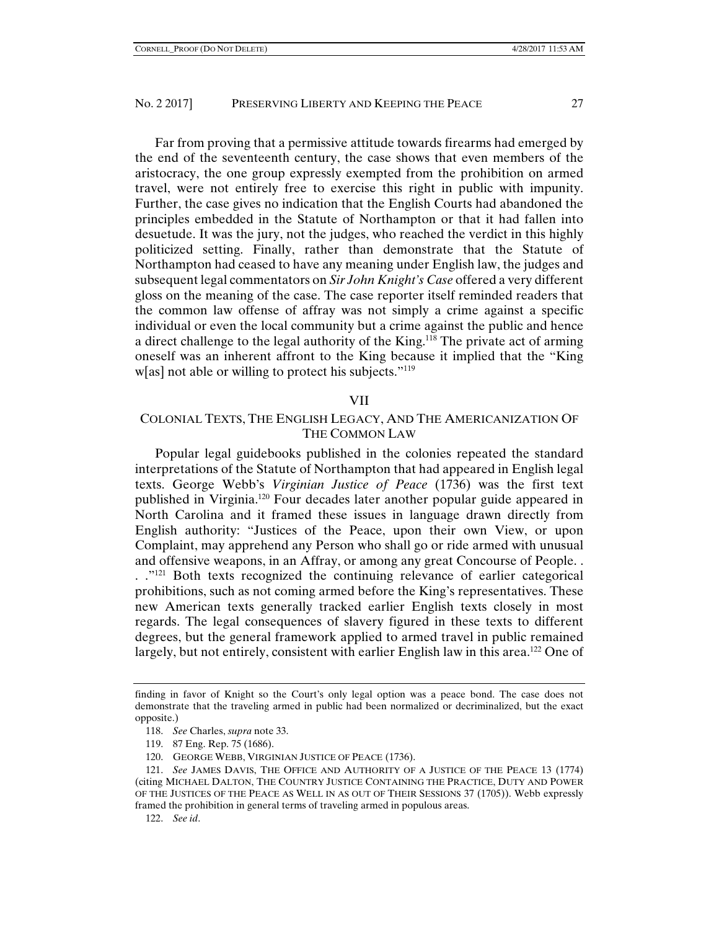Far from proving that a permissive attitude towards firearms had emerged by the end of the seventeenth century, the case shows that even members of the aristocracy, the one group expressly exempted from the prohibition on armed travel, were not entirely free to exercise this right in public with impunity. Further, the case gives no indication that the English Courts had abandoned the principles embedded in the Statute of Northampton or that it had fallen into desuetude. It was the jury, not the judges, who reached the verdict in this highly politicized setting. Finally, rather than demonstrate that the Statute of Northampton had ceased to have any meaning under English law, the judges and subsequent legal commentators on *Sir John Knight's Case* offered a very different gloss on the meaning of the case. The case reporter itself reminded readers that the common law offense of affray was not simply a crime against a specific individual or even the local community but a crime against the public and hence a direct challenge to the legal authority of the King.<sup>118</sup> The private act of arming oneself was an inherent affront to the King because it implied that the "King w[as] not able or willing to protect his subjects."<sup>119</sup>

#### VII

# COLONIAL TEXTS, THE ENGLISH LEGACY, AND THE AMERICANIZATION OF THE COMMON LAW

Popular legal guidebooks published in the colonies repeated the standard interpretations of the Statute of Northampton that had appeared in English legal texts. George Webb's *Virginian Justice of Peace* (1736) was the first text published in Virginia.120 Four decades later another popular guide appeared in North Carolina and it framed these issues in language drawn directly from English authority: "Justices of the Peace, upon their own View, or upon Complaint, may apprehend any Person who shall go or ride armed with unusual and offensive weapons, in an Affray, or among any great Concourse of People. .  $\therefore$  <sup>"121</sup> Both texts recognized the continuing relevance of earlier categorical prohibitions, such as not coming armed before the King's representatives. These new American texts generally tracked earlier English texts closely in most regards. The legal consequences of slavery figured in these texts to different degrees, but the general framework applied to armed travel in public remained largely, but not entirely, consistent with earlier English law in this area.<sup>122</sup> One of

- 118. *See* Charles, *supra* note 33.
- 119. 87 Eng. Rep. 75 (1686).
- 120. GEORGE WEBB, VIRGINIAN JUSTICE OF PEACE (1736).

finding in favor of Knight so the Court's only legal option was a peace bond. The case does not demonstrate that the traveling armed in public had been normalized or decriminalized, but the exact opposite.)

 <sup>121.</sup> *See* JAMES DAVIS, THE OFFICE AND AUTHORITY OF A JUSTICE OF THE PEACE 13 (1774) (citing MICHAEL DALTON, THE COUNTRY JUSTICE CONTAINING THE PRACTICE, DUTY AND POWER OF THE JUSTICES OF THE PEACE AS WELL IN AS OUT OF THEIR SESSIONS 37 (1705)). Webb expressly framed the prohibition in general terms of traveling armed in populous areas.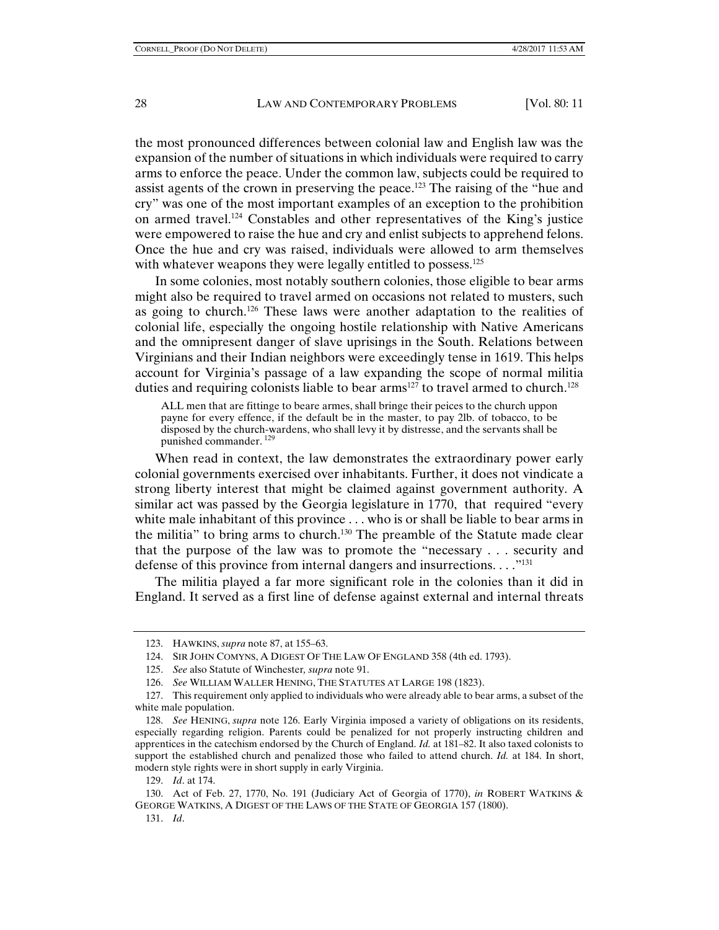the most pronounced differences between colonial law and English law was the expansion of the number of situations in which individuals were required to carry arms to enforce the peace. Under the common law, subjects could be required to assist agents of the crown in preserving the peace.<sup>123</sup> The raising of the "hue and cry" was one of the most important examples of an exception to the prohibition on armed travel.124 Constables and other representatives of the King's justice were empowered to raise the hue and cry and enlist subjects to apprehend felons. Once the hue and cry was raised, individuals were allowed to arm themselves with whatever weapons they were legally entitled to possess.<sup>125</sup>

In some colonies, most notably southern colonies, those eligible to bear arms might also be required to travel armed on occasions not related to musters, such as going to church.126 These laws were another adaptation to the realities of colonial life, especially the ongoing hostile relationship with Native Americans and the omnipresent danger of slave uprisings in the South. Relations between Virginians and their Indian neighbors were exceedingly tense in 1619. This helps account for Virginia's passage of a law expanding the scope of normal militia duties and requiring colonists liable to bear  $\text{arms}^{127}$  to travel armed to church.<sup>128</sup>

ALL men that are fittinge to beare armes, shall bringe their peices to the church uppon payne for every effence, if the default be in the master, to pay 2lb. of tobacco, to be disposed by the church-wardens, who shall levy it by distresse, and the servants shall be punished commander. <sup>129</sup>

When read in context, the law demonstrates the extraordinary power early colonial governments exercised over inhabitants. Further, it does not vindicate a strong liberty interest that might be claimed against government authority. A similar act was passed by the Georgia legislature in 1770, that required "every white male inhabitant of this province . . . who is or shall be liable to bear arms in the militia" to bring arms to church.130 The preamble of the Statute made clear that the purpose of the law was to promote the "necessary . . . security and defense of this province from internal dangers and insurrections.  $\dots$ <sup>"131</sup>

The militia played a far more significant role in the colonies than it did in England. It served as a first line of defense against external and internal threats

<sup>123.</sup> HAWKINS, *supra* note 87, at 155–63.

 <sup>124.</sup> SIR JOHN COMYNS, A DIGEST OF THE LAW OF ENGLAND 358 (4th ed. 1793).

 <sup>125.</sup> *See* also Statute of Winchester*, supra* note 91.

 <sup>126.</sup> *See* WILLIAM WALLER HENING, THE STATUTES AT LARGE 198 (1823).

 <sup>127.</sup> This requirement only applied to individuals who were already able to bear arms, a subset of the white male population.

 <sup>128.</sup> *See* HENING, *supra* note 126. Early Virginia imposed a variety of obligations on its residents, especially regarding religion. Parents could be penalized for not properly instructing children and apprentices in the catechism endorsed by the Church of England. *Id.* at 181–82. It also taxed colonists to support the established church and penalized those who failed to attend church. *Id.* at 184. In short, modern style rights were in short supply in early Virginia.

 <sup>129.</sup> *Id*. at 174.

 <sup>130.</sup> Act of Feb. 27, 1770, No. 191 (Judiciary Act of Georgia of 1770), *in* ROBERT WATKINS & GEORGE WATKINS, A DIGEST OF THE LAWS OF THE STATE OF GEORGIA 157 (1800).

 <sup>131.</sup> *Id*.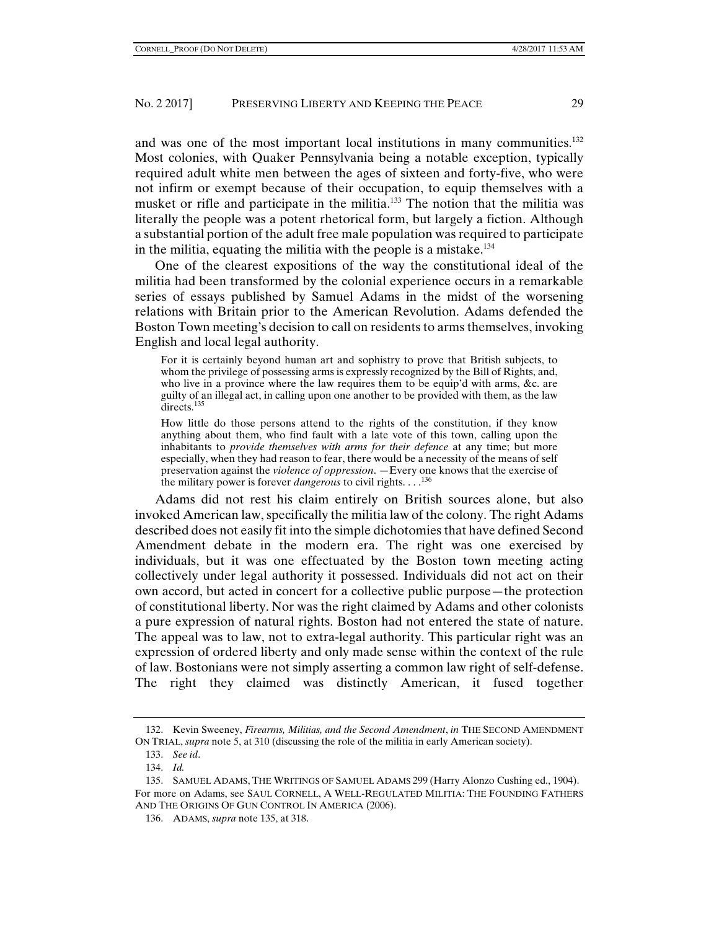and was one of the most important local institutions in many communities.<sup>132</sup> Most colonies, with Quaker Pennsylvania being a notable exception, typically required adult white men between the ages of sixteen and forty-five, who were not infirm or exempt because of their occupation, to equip themselves with a musket or rifle and participate in the militia.133 The notion that the militia was literally the people was a potent rhetorical form, but largely a fiction. Although a substantial portion of the adult free male population was required to participate in the militia, equating the militia with the people is a mistake.134

One of the clearest expositions of the way the constitutional ideal of the militia had been transformed by the colonial experience occurs in a remarkable series of essays published by Samuel Adams in the midst of the worsening relations with Britain prior to the American Revolution. Adams defended the Boston Town meeting's decision to call on residents to arms themselves, invoking English and local legal authority.

For it is certainly beyond human art and sophistry to prove that British subjects, to whom the privilege of possessing arms is expressly recognized by the Bill of Rights, and, who live in a province where the law requires them to be equip'd with arms, &c. are guilty of an illegal act, in calling upon one another to be provided with them, as the law directs.<sup>135</sup>

How little do those persons attend to the rights of the constitution, if they know anything about them, who find fault with a late vote of this town, calling upon the inhabitants to *provide themselves with arms for their defence* at any time; but more especially, when they had reason to fear, there would be a necessity of the means of self preservation against the *violence of oppression*. —Every one knows that the exercise of the military power is forever *dangerous* to civil rights. . . .<sup>136</sup>

Adams did not rest his claim entirely on British sources alone, but also invoked American law, specifically the militia law of the colony. The right Adams described does not easily fit into the simple dichotomies that have defined Second Amendment debate in the modern era. The right was one exercised by individuals, but it was one effectuated by the Boston town meeting acting collectively under legal authority it possessed. Individuals did not act on their own accord, but acted in concert for a collective public purpose—the protection of constitutional liberty. Nor was the right claimed by Adams and other colonists a pure expression of natural rights. Boston had not entered the state of nature. The appeal was to law, not to extra-legal authority. This particular right was an expression of ordered liberty and only made sense within the context of the rule of law. Bostonians were not simply asserting a common law right of self-defense. The right they claimed was distinctly American, it fused together

 <sup>132.</sup> Kevin Sweeney, *Firearms, Militias, and the Second Amendment*, *in* THE SECOND AMENDMENT ON TRIAL, *supra* note 5, at 310 (discussing the role of the militia in early American society).

 <sup>133.</sup> *See id*.

 <sup>134.</sup> *Id.*

 <sup>135.</sup> SAMUEL ADAMS, THE WRITINGS OF SAMUEL ADAMS 299 (Harry Alonzo Cushing ed., 1904). For more on Adams, see SAUL CORNELL, A WELL-REGULATED MILITIA: THE FOUNDING FATHERS AND THE ORIGINS OF GUN CONTROL IN AMERICA (2006).

 <sup>136.</sup> ADAMS, *supra* note 135, at 318.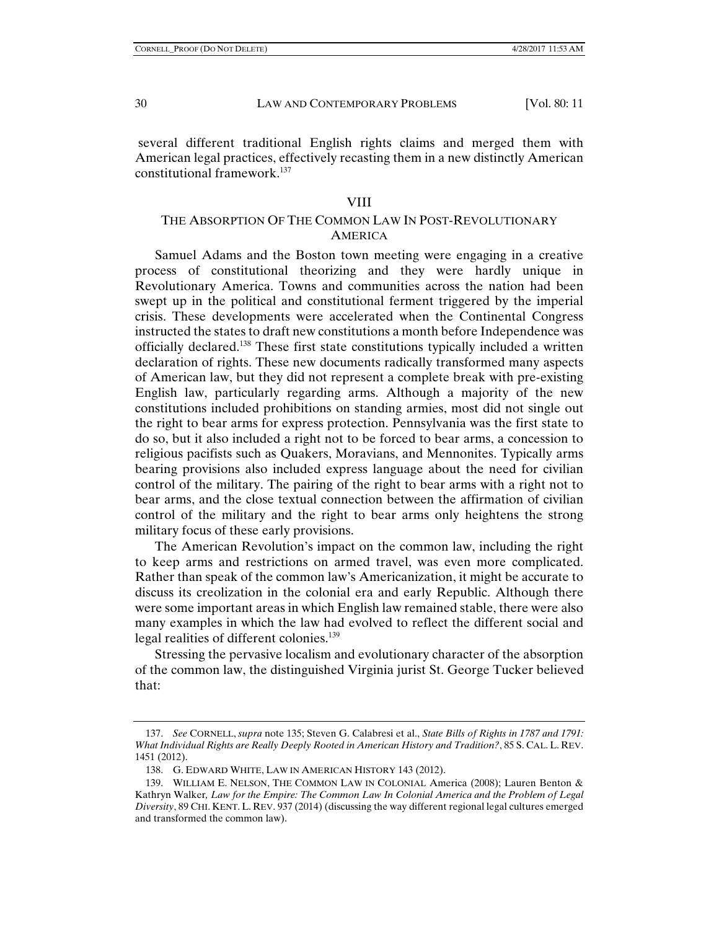several different traditional English rights claims and merged them with American legal practices, effectively recasting them in a new distinctly American constitutional framework.137

#### VIII

# THE ABSORPTION OF THE COMMON LAW IN POST-REVOLUTIONARY **AMERICA**

Samuel Adams and the Boston town meeting were engaging in a creative process of constitutional theorizing and they were hardly unique in Revolutionary America. Towns and communities across the nation had been swept up in the political and constitutional ferment triggered by the imperial crisis. These developments were accelerated when the Continental Congress instructed the states to draft new constitutions a month before Independence was officially declared.138 These first state constitutions typically included a written declaration of rights. These new documents radically transformed many aspects of American law, but they did not represent a complete break with pre-existing English law, particularly regarding arms. Although a majority of the new constitutions included prohibitions on standing armies, most did not single out the right to bear arms for express protection. Pennsylvania was the first state to do so, but it also included a right not to be forced to bear arms, a concession to religious pacifists such as Quakers, Moravians, and Mennonites. Typically arms bearing provisions also included express language about the need for civilian control of the military. The pairing of the right to bear arms with a right not to bear arms, and the close textual connection between the affirmation of civilian control of the military and the right to bear arms only heightens the strong military focus of these early provisions.

The American Revolution's impact on the common law, including the right to keep arms and restrictions on armed travel, was even more complicated. Rather than speak of the common law's Americanization, it might be accurate to discuss its creolization in the colonial era and early Republic. Although there were some important areas in which English law remained stable, there were also many examples in which the law had evolved to reflect the different social and legal realities of different colonies.139

Stressing the pervasive localism and evolutionary character of the absorption of the common law, the distinguished Virginia jurist St. George Tucker believed that:

 <sup>137.</sup> *See* CORNELL, *supra* note 135; Steven G. Calabresi et al., *State Bills of Rights in 1787 and 1791: What Individual Rights are Really Deeply Rooted in American History and Tradition?*, 85 S. CAL. L. REV. 1451 (2012).

 <sup>138.</sup> G. EDWARD WHITE, LAW IN AMERICAN HISTORY 143 (2012).

 <sup>139.</sup> WILLIAM E. NELSON, THE COMMON LAW IN COLONIAL America (2008); Lauren Benton & Kathryn Walker*, Law for the Empire: The Common Law In Colonial America and the Problem of Legal Diversity*, 89 CHI. KENT. L. REV. 937 (2014) (discussing the way different regional legal cultures emerged and transformed the common law).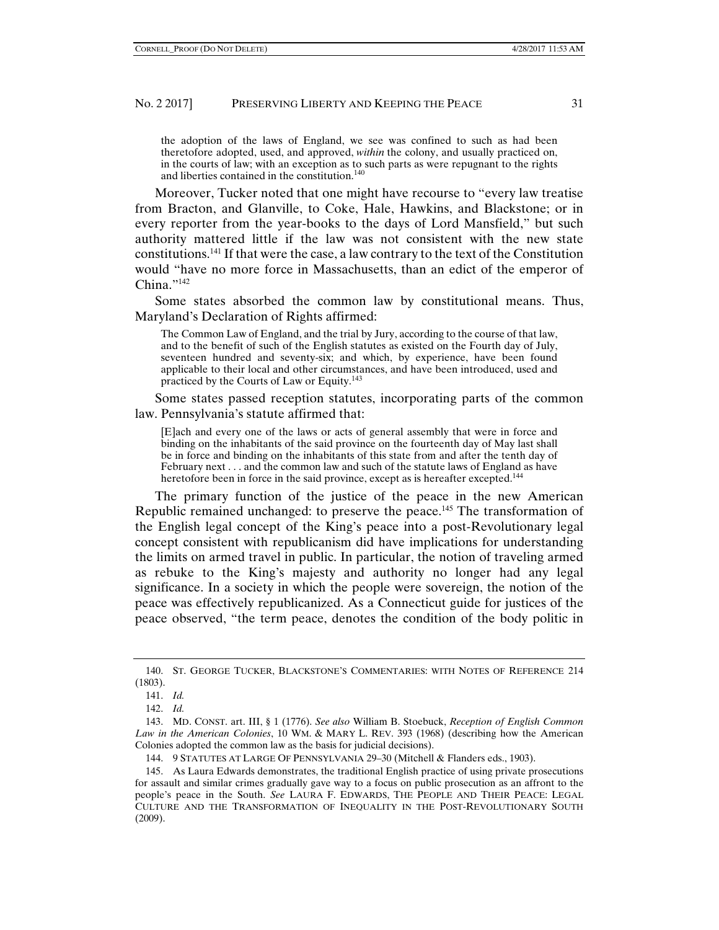the adoption of the laws of England, we see was confined to such as had been theretofore adopted, used, and approved, *within* the colony, and usually practiced on, in the courts of law; with an exception as to such parts as were repugnant to the rights and liberties contained in the constitution.<sup>140</sup>

Moreover, Tucker noted that one might have recourse to "every law treatise from Bracton, and Glanville, to Coke, Hale, Hawkins, and Blackstone; or in every reporter from the year-books to the days of Lord Mansfield," but such authority mattered little if the law was not consistent with the new state constitutions.<sup>141</sup> If that were the case, a law contrary to the text of the Constitution would "have no more force in Massachusetts, than an edict of the emperor of China."<sup>142</sup>

Some states absorbed the common law by constitutional means. Thus, Maryland's Declaration of Rights affirmed:

The Common Law of England, and the trial by Jury, according to the course of that law, and to the benefit of such of the English statutes as existed on the Fourth day of July, seventeen hundred and seventy-six; and which, by experience, have been found applicable to their local and other circumstances, and have been introduced, used and practiced by the Courts of Law or Equity.<sup>143</sup>

Some states passed reception statutes, incorporating parts of the common law. Pennsylvania's statute affirmed that:

[E]ach and every one of the laws or acts of general assembly that were in force and binding on the inhabitants of the said province on the fourteenth day of May last shall be in force and binding on the inhabitants of this state from and after the tenth day of February next . . . and the common law and such of the statute laws of England as have heretofore been in force in the said province, except as is hereafter excepted.<sup>144</sup>

The primary function of the justice of the peace in the new American Republic remained unchanged: to preserve the peace.<sup>145</sup> The transformation of the English legal concept of the King's peace into a post-Revolutionary legal concept consistent with republicanism did have implications for understanding the limits on armed travel in public. In particular, the notion of traveling armed as rebuke to the King's majesty and authority no longer had any legal significance. In a society in which the people were sovereign, the notion of the peace was effectively republicanized. As a Connecticut guide for justices of the peace observed, "the term peace, denotes the condition of the body politic in

 <sup>140.</sup> ST. GEORGE TUCKER, BLACKSTONE'S COMMENTARIES: WITH NOTES OF REFERENCE 214 (1803).

 <sup>141.</sup> *Id.*

 <sup>142.</sup> *Id.* 

 <sup>143.</sup> MD. CONST. art. III, § 1 (1776). *See also* William B. Stoebuck, *Reception of English Common Law in the American Colonies*, 10 WM. & MARY L. REV. 393 (1968) (describing how the American Colonies adopted the common law as the basis for judicial decisions).

 <sup>144. 9</sup> STATUTES AT LARGE OF PENNSYLVANIA 29–30 (Mitchell & Flanders eds., 1903).

 <sup>145.</sup> As Laura Edwards demonstrates, the traditional English practice of using private prosecutions for assault and similar crimes gradually gave way to a focus on public prosecution as an affront to the people's peace in the South. *See* LAURA F. EDWARDS, THE PEOPLE AND THEIR PEACE: LEGAL CULTURE AND THE TRANSFORMATION OF INEQUALITY IN THE POST-REVOLUTIONARY SOUTH (2009).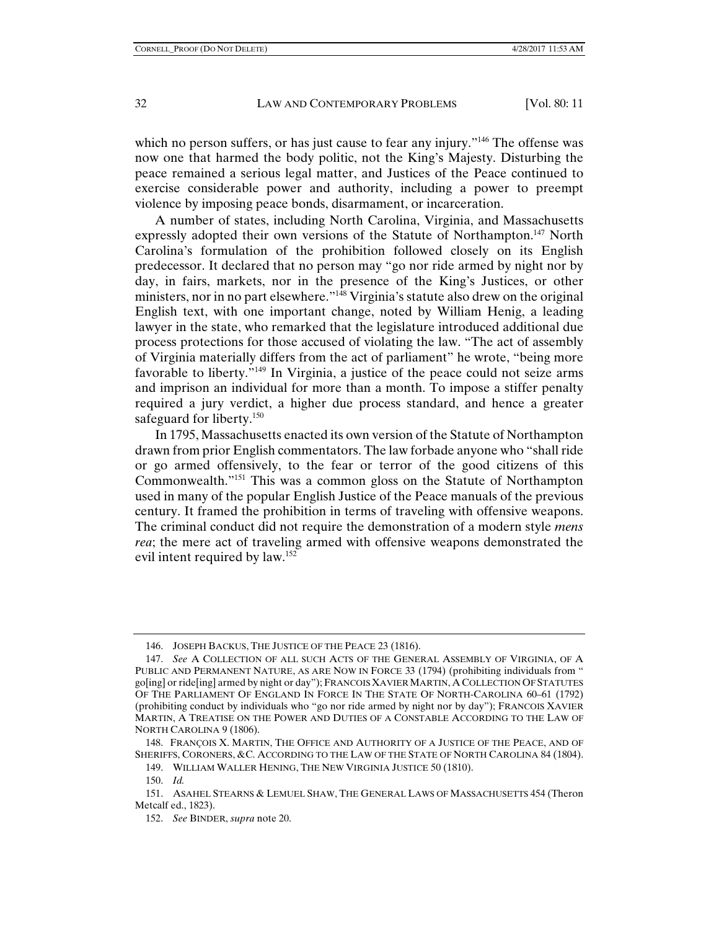which no person suffers, or has just cause to fear any injury.<sup>"146</sup> The offense was now one that harmed the body politic, not the King's Majesty. Disturbing the peace remained a serious legal matter, and Justices of the Peace continued to exercise considerable power and authority, including a power to preempt violence by imposing peace bonds, disarmament, or incarceration.

A number of states, including North Carolina, Virginia, and Massachusetts expressly adopted their own versions of the Statute of Northampton.<sup>147</sup> North Carolina's formulation of the prohibition followed closely on its English predecessor. It declared that no person may "go nor ride armed by night nor by day, in fairs, markets, nor in the presence of the King's Justices, or other ministers, nor in no part elsewhere."<sup>148</sup> Virginia's statute also drew on the original English text, with one important change, noted by William Henig, a leading lawyer in the state, who remarked that the legislature introduced additional due process protections for those accused of violating the law. "The act of assembly of Virginia materially differs from the act of parliament" he wrote, "being more favorable to liberty."149 In Virginia, a justice of the peace could not seize arms and imprison an individual for more than a month. To impose a stiffer penalty required a jury verdict, a higher due process standard, and hence a greater safeguard for liberty.<sup>150</sup>

In 1795, Massachusetts enacted its own version of the Statute of Northampton drawn from prior English commentators. The law forbade anyone who "shall ride or go armed offensively, to the fear or terror of the good citizens of this Commonwealth."151 This was a common gloss on the Statute of Northampton used in many of the popular English Justice of the Peace manuals of the previous century. It framed the prohibition in terms of traveling with offensive weapons. The criminal conduct did not require the demonstration of a modern style *mens rea*; the mere act of traveling armed with offensive weapons demonstrated the evil intent required by law.152

149. WILLIAM WALLER HENING, THE NEW VIRGINIA JUSTICE 50 (1810).

150. *Id.*

 <sup>146.</sup> JOSEPH BACKUS, THE JUSTICE OF THE PEACE 23 (1816).

 <sup>147.</sup> *See* A COLLECTION OF ALL SUCH ACTS OF THE GENERAL ASSEMBLY OF VIRGINIA, OF A PUBLIC AND PERMANENT NATURE, AS ARE NOW IN FORCE 33 (1794) (prohibiting individuals from " go[ing] or ride[ing] armed by night or day"); FRANCOIS XAVIER MARTIN, A COLLECTION OF STATUTES OF THE PARLIAMENT OF ENGLAND IN FORCE IN THE STATE OF NORTH-CAROLINA 60–61 (1792) (prohibiting conduct by individuals who "go nor ride armed by night nor by day"); FRANCOIS XAVIER MARTIN, A TREATISE ON THE POWER AND DUTIES OF A CONSTABLE ACCORDING TO THE LAW OF NORTH CAROLINA 9 (1806).

 <sup>148.</sup> FRANÇOIS X. MARTIN, THE OFFICE AND AUTHORITY OF A JUSTICE OF THE PEACE, AND OF SHERIFFS, CORONERS, &C. ACCORDING TO THE LAW OF THE STATE OF NORTH CAROLINA 84 (1804).

 <sup>151.</sup> ASAHEL STEARNS & LEMUEL SHAW, THE GENERAL LAWS OF MASSACHUSETTS 454 (Theron Metcalf ed., 1823).

 <sup>152.</sup> *See* BINDER, *supra* note 20.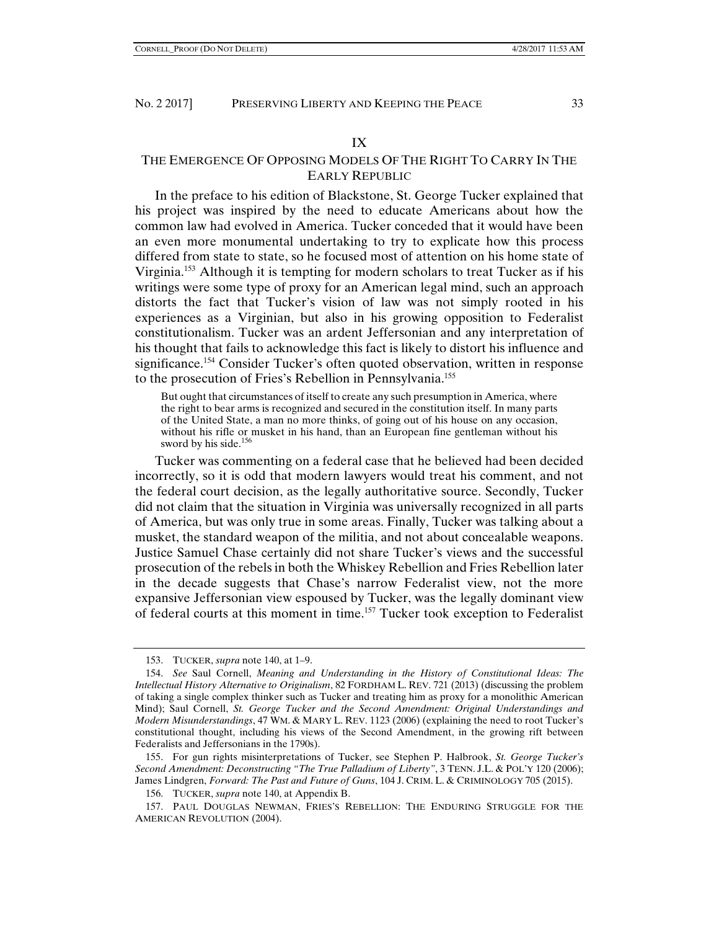#### IX

# THE EMERGENCE OF OPPOSING MODELS OF THE RIGHT TO CARRY IN THE EARLY REPUBLIC

In the preface to his edition of Blackstone, St. George Tucker explained that his project was inspired by the need to educate Americans about how the common law had evolved in America. Tucker conceded that it would have been an even more monumental undertaking to try to explicate how this process differed from state to state, so he focused most of attention on his home state of Virginia.153 Although it is tempting for modern scholars to treat Tucker as if his writings were some type of proxy for an American legal mind, such an approach distorts the fact that Tucker's vision of law was not simply rooted in his experiences as a Virginian, but also in his growing opposition to Federalist constitutionalism. Tucker was an ardent Jeffersonian and any interpretation of his thought that fails to acknowledge this fact is likely to distort his influence and significance.<sup>154</sup> Consider Tucker's often quoted observation, written in response to the prosecution of Fries's Rebellion in Pennsylvania.155

But ought that circumstances of itself to create any such presumption in America, where the right to bear arms is recognized and secured in the constitution itself. In many parts of the United State, a man no more thinks, of going out of his house on any occasion, without his rifle or musket in his hand, than an European fine gentleman without his sword by his side.<sup>156</sup>

Tucker was commenting on a federal case that he believed had been decided incorrectly, so it is odd that modern lawyers would treat his comment, and not the federal court decision, as the legally authoritative source. Secondly, Tucker did not claim that the situation in Virginia was universally recognized in all parts of America, but was only true in some areas. Finally, Tucker was talking about a musket, the standard weapon of the militia, and not about concealable weapons. Justice Samuel Chase certainly did not share Tucker's views and the successful prosecution of the rebels in both the Whiskey Rebellion and Fries Rebellion later in the decade suggests that Chase's narrow Federalist view, not the more expansive Jeffersonian view espoused by Tucker, was the legally dominant view of federal courts at this moment in time.157 Tucker took exception to Federalist

156. TUCKER, *supra* note 140, at Appendix B.

 <sup>153.</sup> TUCKER, *supra* note 140, at 1–9.

 <sup>154.</sup> *See* Saul Cornell, *Meaning and Understanding in the History of Constitutional Ideas: The Intellectual History Alternative to Originalism*, 82 FORDHAM L. REV. 721 (2013) (discussing the problem of taking a single complex thinker such as Tucker and treating him as proxy for a monolithic American Mind); Saul Cornell, *St. George Tucker and the Second Amendment: Original Understandings and Modern Misunderstandings*, 47 WM. & MARY L. REV. 1123 (2006) (explaining the need to root Tucker's constitutional thought, including his views of the Second Amendment, in the growing rift between Federalists and Jeffersonians in the 1790s).

 <sup>155.</sup> For gun rights misinterpretations of Tucker, see Stephen P. Halbrook, *St. George Tucker's Second Amendment: Deconstructing "The True Palladium of Liberty"*, 3 TENN. J.L. & POL'Y 120 (2006); James Lindgren, *Forward: The Past and Future of Guns*, 104 J. CRIM. L. & CRIMINOLOGY 705 (2015).

 <sup>157.</sup> PAUL DOUGLAS NEWMAN, FRIES'S REBELLION: THE ENDURING STRUGGLE FOR THE AMERICAN REVOLUTION (2004).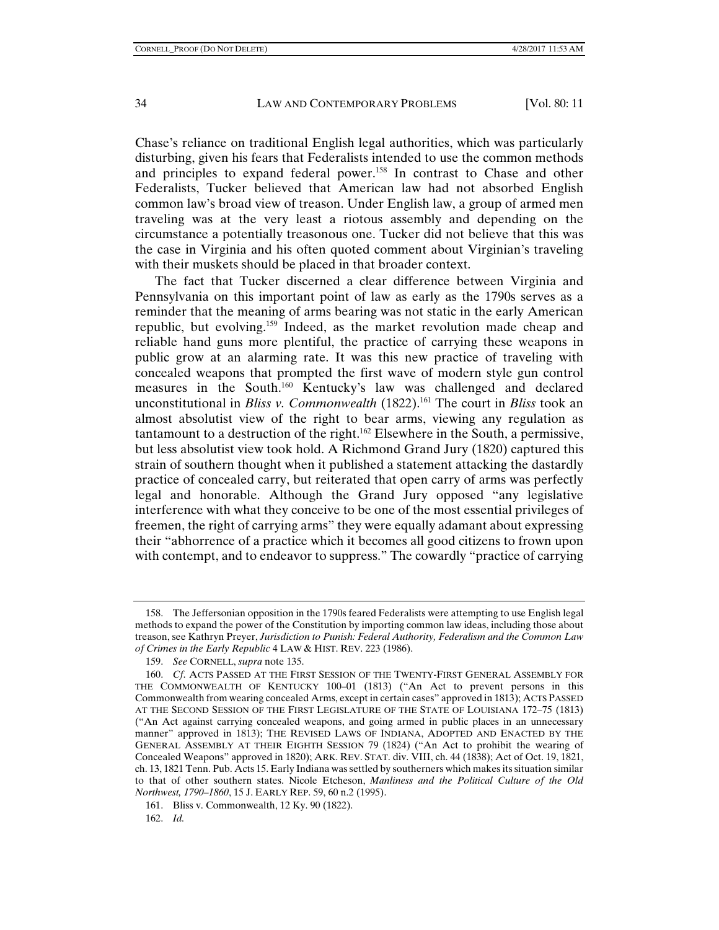Chase's reliance on traditional English legal authorities, which was particularly disturbing, given his fears that Federalists intended to use the common methods and principles to expand federal power.<sup>158</sup> In contrast to Chase and other Federalists, Tucker believed that American law had not absorbed English common law's broad view of treason. Under English law, a group of armed men traveling was at the very least a riotous assembly and depending on the circumstance a potentially treasonous one. Tucker did not believe that this was the case in Virginia and his often quoted comment about Virginian's traveling with their muskets should be placed in that broader context.

The fact that Tucker discerned a clear difference between Virginia and Pennsylvania on this important point of law as early as the 1790s serves as a reminder that the meaning of arms bearing was not static in the early American republic, but evolving.159 Indeed, as the market revolution made cheap and reliable hand guns more plentiful, the practice of carrying these weapons in public grow at an alarming rate. It was this new practice of traveling with concealed weapons that prompted the first wave of modern style gun control measures in the South.160 Kentucky's law was challenged and declared unconstitutional in *Bliss v. Commonwealth* (1822).<sup>161</sup> The court in *Bliss* took an almost absolutist view of the right to bear arms, viewing any regulation as tantamount to a destruction of the right.162 Elsewhere in the South, a permissive, but less absolutist view took hold. A Richmond Grand Jury (1820) captured this strain of southern thought when it published a statement attacking the dastardly practice of concealed carry, but reiterated that open carry of arms was perfectly legal and honorable. Although the Grand Jury opposed "any legislative interference with what they conceive to be one of the most essential privileges of freemen, the right of carrying arms" they were equally adamant about expressing their "abhorrence of a practice which it becomes all good citizens to frown upon with contempt, and to endeavor to suppress." The cowardly "practice of carrying

 <sup>158.</sup> The Jeffersonian opposition in the 1790s feared Federalists were attempting to use English legal methods to expand the power of the Constitution by importing common law ideas, including those about treason, see Kathryn Preyer, *Jurisdiction to Punish: Federal Authority, Federalism and the Common Law of Crimes in the Early Republic* 4 LAW & HIST. REV. 223 (1986).

 <sup>159.</sup> *See* CORNELL, *supra* note 135.

 <sup>160.</sup> *Cf*. ACTS PASSED AT THE FIRST SESSION OF THE TWENTY-FIRST GENERAL ASSEMBLY FOR THE COMMONWEALTH OF KENTUCKY 100–01 (1813) ("An Act to prevent persons in this Commonwealth from wearing concealed Arms, except in certain cases" approved in 1813); ACTS PASSED AT THE SECOND SESSION OF THE FIRST LEGISLATURE OF THE STATE OF LOUISIANA 172–75 (1813) ("An Act against carrying concealed weapons, and going armed in public places in an unnecessary manner" approved in 1813); THE REVISED LAWS OF INDIANA, ADOPTED AND ENACTED BY THE GENERAL ASSEMBLY AT THEIR EIGHTH SESSION 79 (1824) ("An Act to prohibit the wearing of Concealed Weapons" approved in 1820); ARK. REV. STAT. div. VIII, ch. 44 (1838); Act of Oct. 19, 1821, ch. 13, 1821 Tenn. Pub. Acts 15. Early Indiana was settled by southerners which makes its situation similar to that of other southern states. Nicole Etcheson, *Manliness and the Political Culture of the Old Northwest, 1790–1860*, 15 J. EARLY REP. 59, 60 n.2 (1995).

 <sup>161.</sup> Bliss v. Commonwealth, 12 Ky. 90 (1822).

 <sup>162.</sup> *Id.*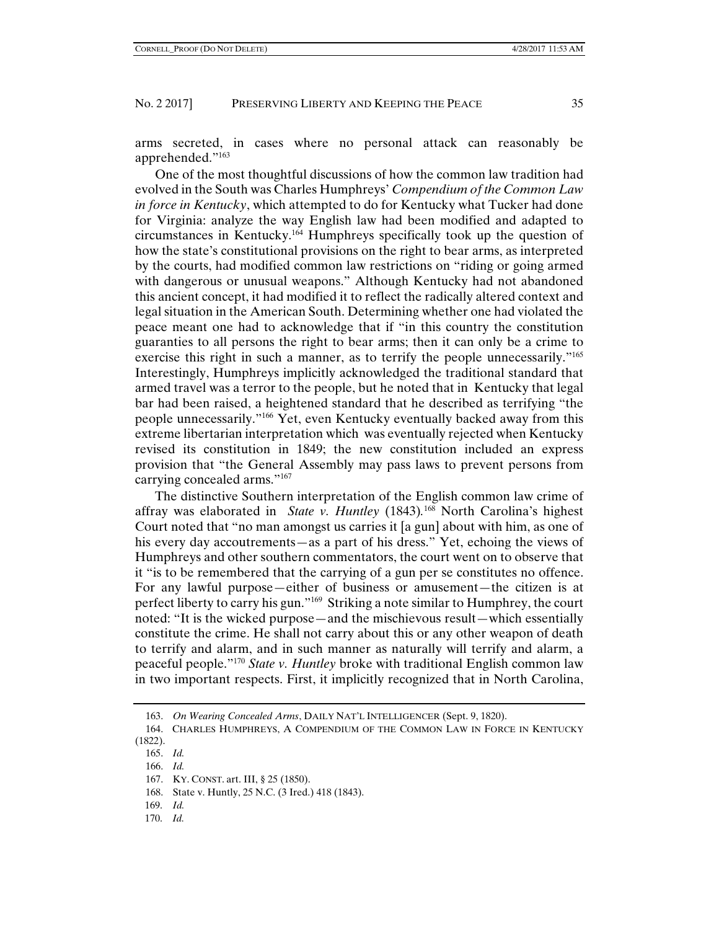arms secreted, in cases where no personal attack can reasonably be apprehended."163

One of the most thoughtful discussions of how the common law tradition had evolved in the South was Charles Humphreys' *Compendium of the Common Law in force in Kentucky*, which attempted to do for Kentucky what Tucker had done for Virginia: analyze the way English law had been modified and adapted to circumstances in Kentucky.164 Humphreys specifically took up the question of how the state's constitutional provisions on the right to bear arms, as interpreted by the courts, had modified common law restrictions on "riding or going armed with dangerous or unusual weapons." Although Kentucky had not abandoned this ancient concept, it had modified it to reflect the radically altered context and legal situation in the American South. Determining whether one had violated the peace meant one had to acknowledge that if "in this country the constitution guaranties to all persons the right to bear arms; then it can only be a crime to exercise this right in such a manner, as to terrify the people unnecessarily."<sup>165</sup> Interestingly, Humphreys implicitly acknowledged the traditional standard that armed travel was a terror to the people, but he noted that in Kentucky that legal bar had been raised, a heightened standard that he described as terrifying "the people unnecessarily."166 Yet, even Kentucky eventually backed away from this extreme libertarian interpretation which was eventually rejected when Kentucky revised its constitution in 1849; the new constitution included an express provision that "the General Assembly may pass laws to prevent persons from carrying concealed arms."167

The distinctive Southern interpretation of the English common law crime of affray was elaborated in *State v. Huntley* (1843)*.* <sup>168</sup> North Carolina's highest Court noted that "no man amongst us carries it [a gun] about with him, as one of his every day accoutrements—as a part of his dress." Yet, echoing the views of Humphreys and other southern commentators, the court went on to observe that it "is to be remembered that the carrying of a gun per se constitutes no offence. For any lawful purpose—either of business or amusement—the citizen is at perfect liberty to carry his gun."169 Striking a note similar to Humphrey, the court noted: "It is the wicked purpose—and the mischievous result—which essentially constitute the crime. He shall not carry about this or any other weapon of death to terrify and alarm, and in such manner as naturally will terrify and alarm, a peaceful people."170 *State v. Huntley* broke with traditional English common law in two important respects. First, it implicitly recognized that in North Carolina,

- 165. *Id.*
- 166. *Id.*

- 168. State v. Huntly, 25 N.C. (3 Ired.) 418 (1843).
- 169. *Id.*
- 170. *Id.*

 <sup>163.</sup> *On Wearing Concealed Arms*, DAILY NAT'L INTELLIGENCER (Sept. 9, 1820).

 <sup>164.</sup> CHARLES HUMPHREYS, A COMPENDIUM OF THE COMMON LAW IN FORCE IN KENTUCKY (1822).

 <sup>167.</sup> KY. CONST. art. III, § 25 (1850).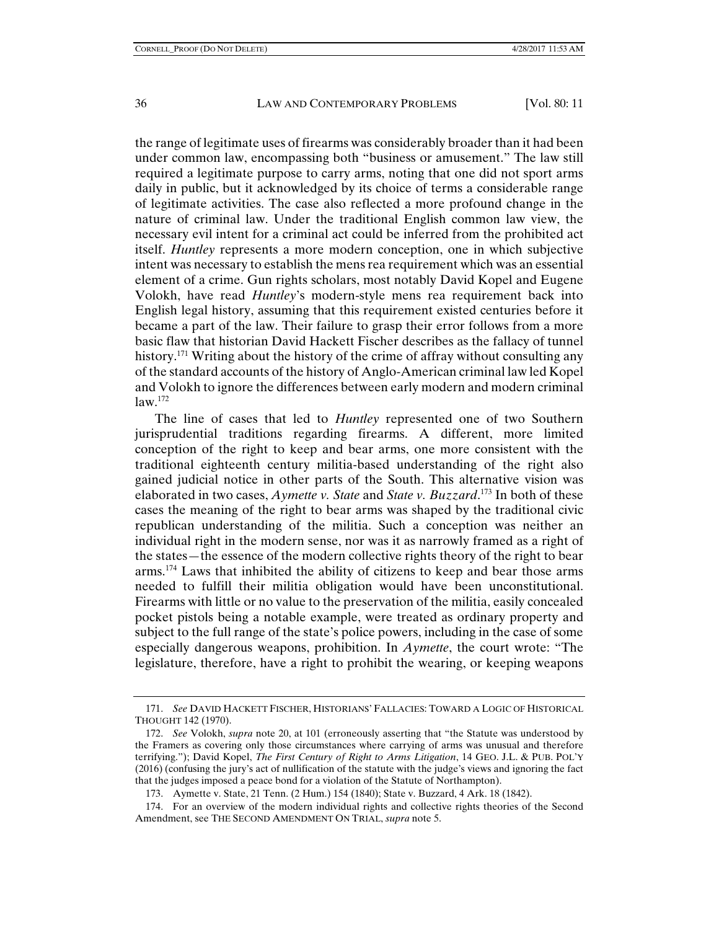the range of legitimate uses of firearms was considerably broader than it had been under common law, encompassing both "business or amusement." The law still required a legitimate purpose to carry arms, noting that one did not sport arms daily in public, but it acknowledged by its choice of terms a considerable range of legitimate activities. The case also reflected a more profound change in the nature of criminal law. Under the traditional English common law view, the necessary evil intent for a criminal act could be inferred from the prohibited act itself. *Huntley* represents a more modern conception, one in which subjective intent was necessary to establish the mens rea requirement which was an essential element of a crime. Gun rights scholars, most notably David Kopel and Eugene Volokh, have read *Huntley*'s modern-style mens rea requirement back into English legal history, assuming that this requirement existed centuries before it became a part of the law. Their failure to grasp their error follows from a more basic flaw that historian David Hackett Fischer describes as the fallacy of tunnel history.<sup>171</sup> Writing about the history of the crime of affray without consulting any of the standard accounts of the history of Anglo-American criminal law led Kopel and Volokh to ignore the differences between early modern and modern criminal  $law.<sup>172</sup>$ 

The line of cases that led to *Huntley* represented one of two Southern jurisprudential traditions regarding firearms. A different, more limited conception of the right to keep and bear arms, one more consistent with the traditional eighteenth century militia-based understanding of the right also gained judicial notice in other parts of the South. This alternative vision was elaborated in two cases, *Aymette v. State* and *State v. Buzzard*. 173 In both of these cases the meaning of the right to bear arms was shaped by the traditional civic republican understanding of the militia. Such a conception was neither an individual right in the modern sense, nor was it as narrowly framed as a right of the states—the essence of the modern collective rights theory of the right to bear arms.174 Laws that inhibited the ability of citizens to keep and bear those arms needed to fulfill their militia obligation would have been unconstitutional. Firearms with little or no value to the preservation of the militia, easily concealed pocket pistols being a notable example, were treated as ordinary property and subject to the full range of the state's police powers, including in the case of some especially dangerous weapons, prohibition. In *Aymette*, the court wrote: "The legislature, therefore, have a right to prohibit the wearing, or keeping weapons

 <sup>171.</sup> *See* DAVID HACKETT FISCHER, HISTORIANS' FALLACIES: TOWARD A LOGIC OF HISTORICAL THOUGHT 142 (1970).

 <sup>172.</sup> *See* Volokh, *supra* note 20, at 101 (erroneously asserting that "the Statute was understood by the Framers as covering only those circumstances where carrying of arms was unusual and therefore terrifying."); David Kopel, *The First Century of Right to Arms Litigation*, 14 GEO. J.L. & PUB. POL'Y (2016) (confusing the jury's act of nullification of the statute with the judge's views and ignoring the fact that the judges imposed a peace bond for a violation of the Statute of Northampton).

 <sup>173.</sup> Aymette v. State, 21 Tenn. (2 Hum.) 154 (1840); State v. Buzzard, 4 Ark. 18 (1842).

 <sup>174.</sup> For an overview of the modern individual rights and collective rights theories of the Second Amendment, see THE SECOND AMENDMENT ON TRIAL, *supra* note 5.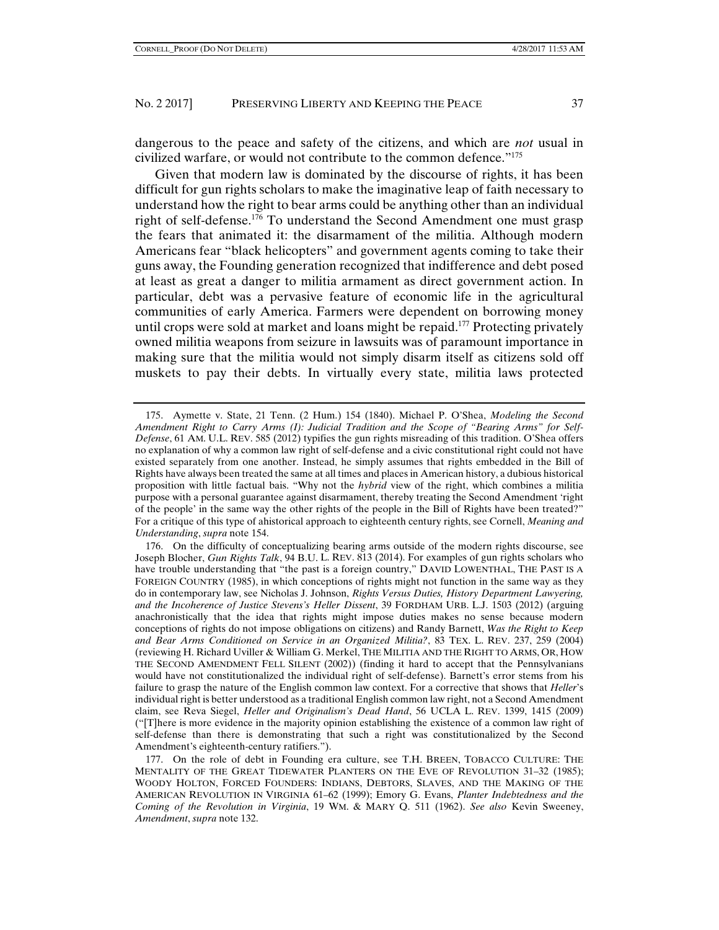dangerous to the peace and safety of the citizens, and which are *not* usual in civilized warfare, or would not contribute to the common defence."175

Given that modern law is dominated by the discourse of rights, it has been difficult for gun rights scholars to make the imaginative leap of faith necessary to understand how the right to bear arms could be anything other than an individual right of self-defense.176 To understand the Second Amendment one must grasp the fears that animated it: the disarmament of the militia. Although modern Americans fear "black helicopters" and government agents coming to take their guns away, the Founding generation recognized that indifference and debt posed at least as great a danger to militia armament as direct government action. In particular, debt was a pervasive feature of economic life in the agricultural communities of early America. Farmers were dependent on borrowing money until crops were sold at market and loans might be repaid.<sup>177</sup> Protecting privately owned militia weapons from seizure in lawsuits was of paramount importance in making sure that the militia would not simply disarm itself as citizens sold off muskets to pay their debts. In virtually every state, militia laws protected

 177. On the role of debt in Founding era culture, see T.H. BREEN, TOBACCO CULTURE: THE MENTALITY OF THE GREAT TIDEWATER PLANTERS ON THE EVE OF REVOLUTION 31–32 (1985); WOODY HOLTON, FORCED FOUNDERS: INDIANS, DEBTORS, SLAVES, AND THE MAKING OF THE AMERICAN REVOLUTION IN VIRGINIA 61–62 (1999); Emory G. Evans, *Planter Indebtedness and the Coming of the Revolution in Virginia*, 19 WM. & MARY Q. 511 (1962). *See also* Kevin Sweeney, *Amendment*, *supra* note 132.

 <sup>175.</sup> Aymette v. State, 21 Tenn. (2 Hum.) 154 (1840). Michael P. O'Shea, *Modeling the Second Amendment Right to Carry Arms (I): Judicial Tradition and the Scope of "Bearing Arms" for Self-Defense*, 61 AM. U.L. REV. 585 (2012) typifies the gun rights misreading of this tradition. O'Shea offers no explanation of why a common law right of self-defense and a civic constitutional right could not have existed separately from one another. Instead, he simply assumes that rights embedded in the Bill of Rights have always been treated the same at all times and places in American history, a dubious historical proposition with little factual bais. "Why not the *hybrid* view of the right, which combines a militia purpose with a personal guarantee against disarmament, thereby treating the Second Amendment 'right of the people' in the same way the other rights of the people in the Bill of Rights have been treated?" For a critique of this type of ahistorical approach to eighteenth century rights, see Cornell, *Meaning and Understanding*, *supra* note 154.

 <sup>176.</sup> On the difficulty of conceptualizing bearing arms outside of the modern rights discourse, see Joseph Blocher, *Gun Rights Talk*, 94 B.U. L. REV. 813 (2014). For examples of gun rights scholars who have trouble understanding that "the past is a foreign country," DAVID LOWENTHAL, THE PAST IS A FOREIGN COUNTRY (1985), in which conceptions of rights might not function in the same way as they do in contemporary law, see Nicholas J. Johnson, *Rights Versus Duties, History Department Lawyering, and the Incoherence of Justice Stevens's Heller Dissent*, 39 FORDHAM URB. L.J. 1503 (2012) (arguing anachronistically that the idea that rights might impose duties makes no sense because modern conceptions of rights do not impose obligations on citizens) and Randy Barnett, *Was the Right to Keep and Bear Arms Conditioned on Service in an Organized Militia?*, 83 TEX. L. REV. 237, 259 (2004) (reviewing H. Richard Uviller & William G. Merkel, THE MILITIA AND THE RIGHT TO ARMS, OR, HOW THE SECOND AMENDMENT FELL SILENT (2002)) (finding it hard to accept that the Pennsylvanians would have not constitutionalized the individual right of self-defense). Barnett's error stems from his failure to grasp the nature of the English common law context. For a corrective that shows that *Heller*'s individual right is better understood as a traditional English common law right, not a Second Amendment claim, see Reva Siegel, *Heller and Originalism's Dead Hand*, 56 UCLA L. REV. 1399, 1415 (2009) ("[T]here is more evidence in the majority opinion establishing the existence of a common law right of self-defense than there is demonstrating that such a right was constitutionalized by the Second Amendment's eighteenth-century ratifiers.").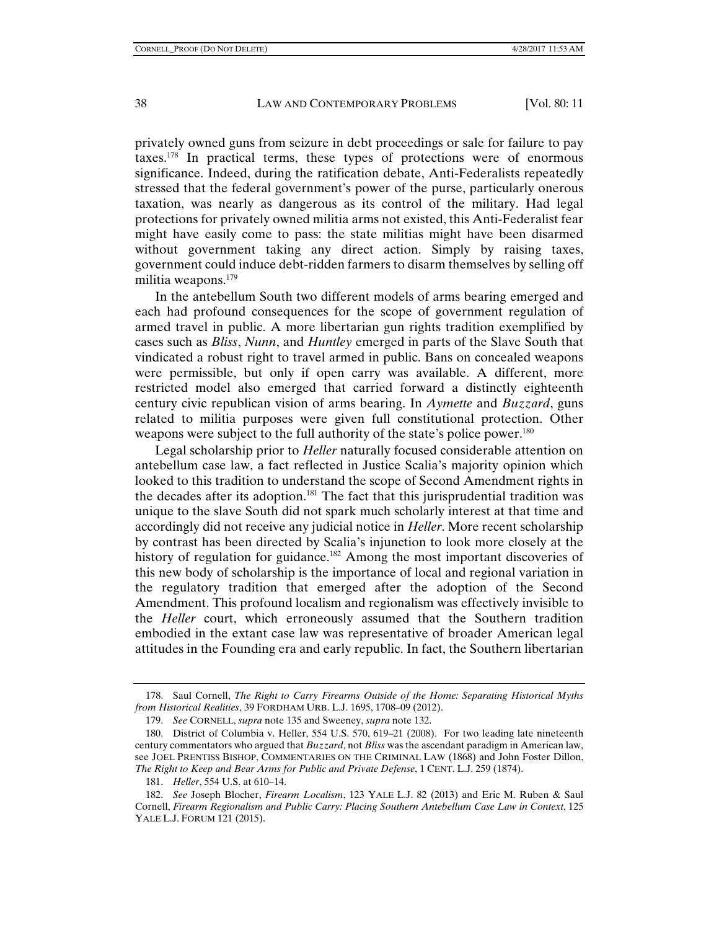privately owned guns from seizure in debt proceedings or sale for failure to pay taxes.178 In practical terms, these types of protections were of enormous significance. Indeed, during the ratification debate, Anti-Federalists repeatedly stressed that the federal government's power of the purse, particularly onerous taxation, was nearly as dangerous as its control of the military. Had legal protections for privately owned militia arms not existed, this Anti-Federalist fear might have easily come to pass: the state militias might have been disarmed without government taking any direct action. Simply by raising taxes, government could induce debt-ridden farmers to disarm themselves by selling off militia weapons.<sup>179</sup>

In the antebellum South two different models of arms bearing emerged and each had profound consequences for the scope of government regulation of armed travel in public. A more libertarian gun rights tradition exemplified by cases such as *Bliss*, *Nunn*, and *Huntley* emerged in parts of the Slave South that vindicated a robust right to travel armed in public. Bans on concealed weapons were permissible, but only if open carry was available. A different, more restricted model also emerged that carried forward a distinctly eighteenth century civic republican vision of arms bearing. In *Aymette* and *Buzzard*, guns related to militia purposes were given full constitutional protection. Other weapons were subject to the full authority of the state's police power.<sup>180</sup>

Legal scholarship prior to *Heller* naturally focused considerable attention on antebellum case law, a fact reflected in Justice Scalia's majority opinion which looked to this tradition to understand the scope of Second Amendment rights in the decades after its adoption.181 The fact that this jurisprudential tradition was unique to the slave South did not spark much scholarly interest at that time and accordingly did not receive any judicial notice in *Heller*. More recent scholarship by contrast has been directed by Scalia's injunction to look more closely at the history of regulation for guidance.<sup>182</sup> Among the most important discoveries of this new body of scholarship is the importance of local and regional variation in the regulatory tradition that emerged after the adoption of the Second Amendment. This profound localism and regionalism was effectively invisible to the *Heller* court, which erroneously assumed that the Southern tradition embodied in the extant case law was representative of broader American legal attitudes in the Founding era and early republic. In fact, the Southern libertarian

 <sup>178.</sup> Saul Cornell, *The Right to Carry Firearms Outside of the Home: Separating Historical Myths from Historical Realities*, 39 FORDHAM URB. L.J. 1695, 1708–09 (2012).

 <sup>179.</sup> *See* CORNELL, *supra* note 135 and Sweeney, *supra* note 132.

 <sup>180.</sup> District of Columbia v. Heller, 554 U.S. 570, 619–21 (2008). For two leading late nineteenth century commentators who argued that *Buzzard*, not *Bliss* was the ascendant paradigm in American law, see JOEL PRENTISS BISHOP, COMMENTARIES ON THE CRIMINAL LAW (1868) and John Foster Dillon, *The Right to Keep and Bear Arms for Public and Private Defense*, 1 CENT. L.J. 259 (1874).

 <sup>181.</sup> *Heller*, 554 U.S. at 610–14.

 <sup>182.</sup> *See* Joseph Blocher, *Firearm Localism*, 123 YALE L.J. 82 (2013) and Eric M. Ruben & Saul Cornell, *Firearm Regionalism and Public Carry: Placing Southern Antebellum Case Law in Context*, 125 YALE L.J. FORUM 121 (2015).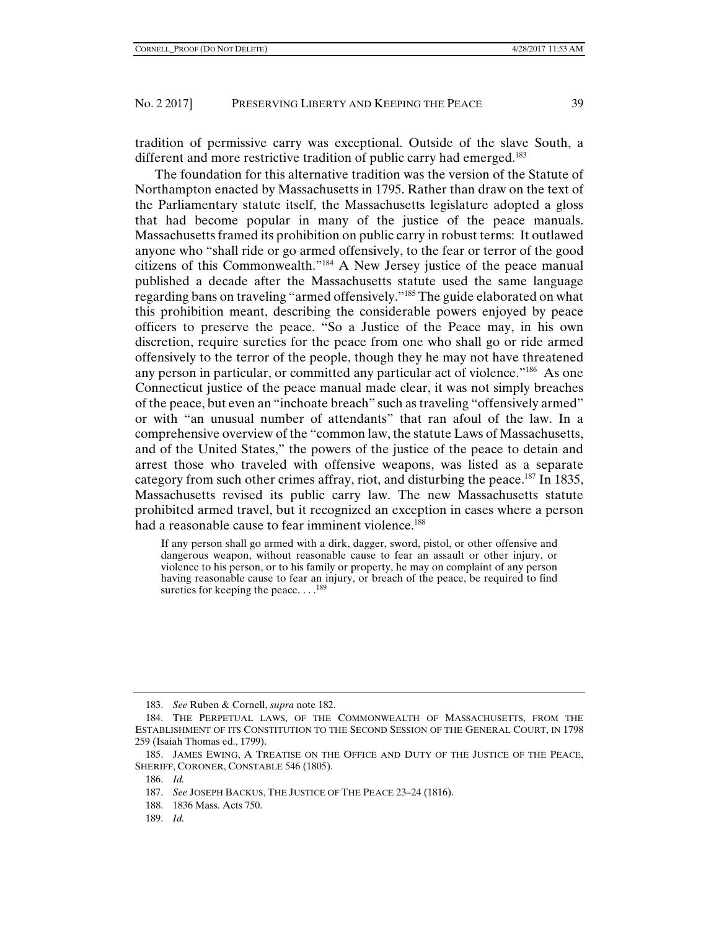tradition of permissive carry was exceptional. Outside of the slave South, a different and more restrictive tradition of public carry had emerged.<sup>183</sup>

The foundation for this alternative tradition was the version of the Statute of Northampton enacted by Massachusetts in 1795. Rather than draw on the text of the Parliamentary statute itself, the Massachusetts legislature adopted a gloss that had become popular in many of the justice of the peace manuals. Massachusetts framed its prohibition on public carry in robust terms: It outlawed anyone who "shall ride or go armed offensively, to the fear or terror of the good citizens of this Commonwealth."184 A New Jersey justice of the peace manual published a decade after the Massachusetts statute used the same language regarding bans on traveling "armed offensively."185 The guide elaborated on what this prohibition meant, describing the considerable powers enjoyed by peace officers to preserve the peace. "So a Justice of the Peace may, in his own discretion, require sureties for the peace from one who shall go or ride armed offensively to the terror of the people, though they he may not have threatened any person in particular, or committed any particular act of violence."186 As one Connecticut justice of the peace manual made clear, it was not simply breaches of the peace, but even an "inchoate breach" such as traveling "offensively armed" or with "an unusual number of attendants" that ran afoul of the law. In a comprehensive overview of the "common law, the statute Laws of Massachusetts, and of the United States," the powers of the justice of the peace to detain and arrest those who traveled with offensive weapons, was listed as a separate category from such other crimes affray, riot, and disturbing the peace.<sup>187</sup> In 1835, Massachusetts revised its public carry law. The new Massachusetts statute prohibited armed travel, but it recognized an exception in cases where a person had a reasonable cause to fear imminent violence.<sup>188</sup>

If any person shall go armed with a dirk, dagger, sword, pistol, or other offensive and dangerous weapon, without reasonable cause to fear an assault or other injury, or violence to his person, or to his family or property, he may on complaint of any person having reasonable cause to fear an injury, or breach of the peace, be required to find sureties for keeping the peace... $^{189}$ 

189. *Id.*

 <sup>183.</sup> *See* Ruben & Cornell, *supra* note 182.

 <sup>184.</sup> THE PERPETUAL LAWS, OF THE COMMONWEALTH OF MASSACHUSETTS, FROM THE ESTABLISHMENT OF ITS CONSTITUTION TO THE SECOND SESSION OF THE GENERAL COURT, IN 1798 259 (Isaiah Thomas ed., 1799).

 <sup>185.</sup> JAMES EWING, A TREATISE ON THE OFFICE AND DUTY OF THE JUSTICE OF THE PEACE, SHERIFF, CORONER, CONSTABLE 546 (1805).

 <sup>186.</sup> *Id.*

 <sup>187.</sup> *See* JOSEPH BACKUS, THE JUSTICE OF THE PEACE 23–24 (1816).

 <sup>188. 1836</sup> Mass. Acts 750.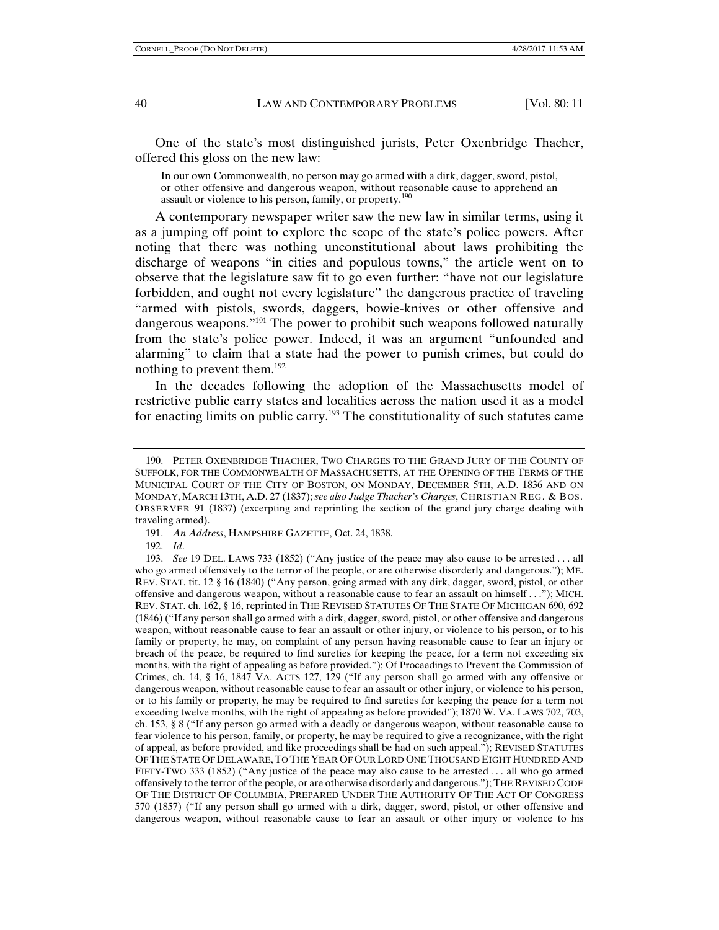One of the state's most distinguished jurists, Peter Oxenbridge Thacher, offered this gloss on the new law:

In our own Commonwealth, no person may go armed with a dirk, dagger, sword, pistol, or other offensive and dangerous weapon, without reasonable cause to apprehend an assault or violence to his person, family, or property.<sup>190</sup>

A contemporary newspaper writer saw the new law in similar terms, using it as a jumping off point to explore the scope of the state's police powers. After noting that there was nothing unconstitutional about laws prohibiting the discharge of weapons "in cities and populous towns," the article went on to observe that the legislature saw fit to go even further: "have not our legislature forbidden, and ought not every legislature" the dangerous practice of traveling "armed with pistols, swords, daggers, bowie-knives or other offensive and dangerous weapons.<sup>"191</sup> The power to prohibit such weapons followed naturally from the state's police power. Indeed, it was an argument "unfounded and alarming" to claim that a state had the power to punish crimes, but could do nothing to prevent them.<sup>192</sup>

In the decades following the adoption of the Massachusetts model of restrictive public carry states and localities across the nation used it as a model for enacting limits on public carry.193 The constitutionality of such statutes came

191. *An Address*, HAMPSHIRE GAZETTE, Oct. 24, 1838.

 <sup>190.</sup> PETER OXENBRIDGE THACHER, TWO CHARGES TO THE GRAND JURY OF THE COUNTY OF SUFFOLK, FOR THE COMMONWEALTH OF MASSACHUSETTS, AT THE OPENING OF THE TERMS OF THE MUNICIPAL COURT OF THE CITY OF BOSTON, ON MONDAY, DECEMBER 5TH, A.D. 1836 AND ON MONDAY, MARCH 13TH, A.D. 27 (1837); *see also Judge Thacher's Charges*, CHRISTIAN REG. & BOS. OBSERVER 91 (1837) (excerpting and reprinting the section of the grand jury charge dealing with traveling armed).

 <sup>192.</sup> *Id*.

 <sup>193.</sup> *See* 19 DEL. LAWS 733 (1852) ("Any justice of the peace may also cause to be arrested . . . all who go armed offensively to the terror of the people, or are otherwise disorderly and dangerous."); ME. REV. STAT. tit. 12 § 16 (1840) ("Any person, going armed with any dirk, dagger, sword, pistol, or other offensive and dangerous weapon, without a reasonable cause to fear an assault on himself . . ."); MICH. REV. STAT. ch. 162, § 16, reprinted in THE REVISED STATUTES OF THE STATE OF MICHIGAN 690, 692 (1846) ("If any person shall go armed with a dirk, dagger, sword, pistol, or other offensive and dangerous weapon, without reasonable cause to fear an assault or other injury, or violence to his person, or to his family or property, he may, on complaint of any person having reasonable cause to fear an injury or breach of the peace, be required to find sureties for keeping the peace, for a term not exceeding six months, with the right of appealing as before provided."); Of Proceedings to Prevent the Commission of Crimes, ch. 14, § 16, 1847 VA. ACTS 127, 129 ("If any person shall go armed with any offensive or dangerous weapon, without reasonable cause to fear an assault or other injury, or violence to his person, or to his family or property, he may be required to find sureties for keeping the peace for a term not exceeding twelve months, with the right of appealing as before provided"); 1870 W. VA. LAWS 702, 703, ch. 153, § 8 ("If any person go armed with a deadly or dangerous weapon, without reasonable cause to fear violence to his person, family, or property, he may be required to give a recognizance, with the right of appeal, as before provided, and like proceedings shall be had on such appeal."); REVISED STATUTES OF THE STATE OF DELAWARE,TO THE YEAR OF OUR LORD ONE THOUSAND EIGHT HUNDRED AND FIFTY-TWO 333 (1852) ("Any justice of the peace may also cause to be arrested . . . all who go armed offensively to the terror of the people, or are otherwise disorderly and dangerous."); THE REVISED CODE OF THE DISTRICT OF COLUMBIA, PREPARED UNDER THE AUTHORITY OF THE ACT OF CONGRESS 570 (1857) ("If any person shall go armed with a dirk, dagger, sword, pistol, or other offensive and dangerous weapon, without reasonable cause to fear an assault or other injury or violence to his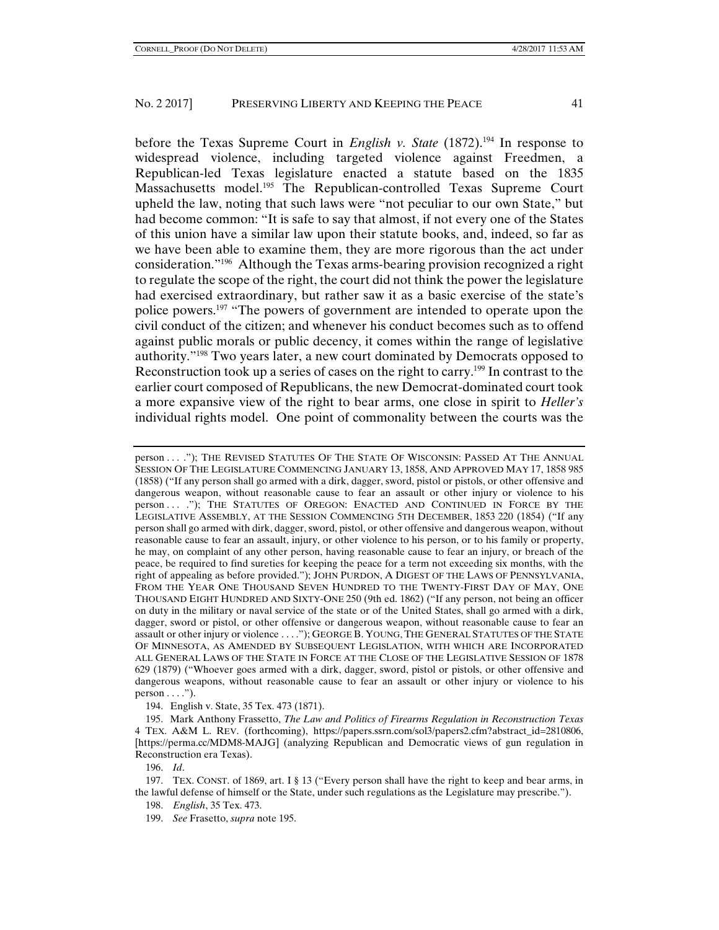before the Texas Supreme Court in *English v. State* (1872).<sup>194</sup> In response to widespread violence, including targeted violence against Freedmen, a Republican-led Texas legislature enacted a statute based on the 1835 Massachusetts model.<sup>195</sup> The Republican-controlled Texas Supreme Court upheld the law, noting that such laws were "not peculiar to our own State," but had become common: "It is safe to say that almost, if not every one of the States of this union have a similar law upon their statute books, and, indeed, so far as we have been able to examine them, they are more rigorous than the act under consideration."196 Although the Texas arms-bearing provision recognized a right to regulate the scope of the right, the court did not think the power the legislature had exercised extraordinary, but rather saw it as a basic exercise of the state's police powers.197 "The powers of government are intended to operate upon the civil conduct of the citizen; and whenever his conduct becomes such as to offend against public morals or public decency, it comes within the range of legislative authority."198 Two years later, a new court dominated by Democrats opposed to Reconstruction took up a series of cases on the right to carry.199 In contrast to the earlier court composed of Republicans, the new Democrat-dominated court took a more expansive view of the right to bear arms, one close in spirit to *Heller's* individual rights model. One point of commonality between the courts was the

person . . . ."); THE REVISED STATUTES OF THE STATE OF WISCONSIN: PASSED AT THE ANNUAL SESSION OF THE LEGISLATURE COMMENCING JANUARY 13, 1858, AND APPROVED MAY 17, 1858 985 (1858) ("If any person shall go armed with a dirk, dagger, sword, pistol or pistols, or other offensive and dangerous weapon, without reasonable cause to fear an assault or other injury or violence to his person . . . ."); THE STATUTES OF OREGON: ENACTED AND CONTINUED IN FORCE BY THE LEGISLATIVE ASSEMBLY, AT THE SESSION COMMENCING 5TH DECEMBER, 1853 220 (1854) ("If any person shall go armed with dirk, dagger, sword, pistol, or other offensive and dangerous weapon, without reasonable cause to fear an assault, injury, or other violence to his person, or to his family or property, he may, on complaint of any other person, having reasonable cause to fear an injury, or breach of the peace, be required to find sureties for keeping the peace for a term not exceeding six months, with the right of appealing as before provided."); JOHN PURDON, A DIGEST OF THE LAWS OF PENNSYLVANIA, FROM THE YEAR ONE THOUSAND SEVEN HUNDRED TO THE TWENTY-FIRST DAY OF MAY, ONE THOUSAND EIGHT HUNDRED AND SIXTY-ONE 250 (9th ed. 1862) ("If any person, not being an officer on duty in the military or naval service of the state or of the United States, shall go armed with a dirk, dagger, sword or pistol, or other offensive or dangerous weapon, without reasonable cause to fear an assault or other injury or violence . . . ."); GEORGE B. YOUNG, THE GENERAL STATUTES OF THE STATE OF MINNESOTA, AS AMENDED BY SUBSEQUENT LEGISLATION, WITH WHICH ARE INCORPORATED ALL GENERAL LAWS OF THE STATE IN FORCE AT THE CLOSE OF THE LEGISLATIVE SESSION OF 1878 629 (1879) ("Whoever goes armed with a dirk, dagger, sword, pistol or pistols, or other offensive and dangerous weapons, without reasonable cause to fear an assault or other injury or violence to his  $person \ldots$ ").

194. English v. State, 35 Tex. 473 (1871).

 195. Mark Anthony Frassetto, *The Law and Politics of Firearms Regulation in Reconstruction Texas*  4 TEX. A&M L. REV. (forthcoming), https://papers.ssrn.com/sol3/papers2.cfm?abstract\_id=2810806, [https://perma.cc/MDM8-MAJG] (analyzing Republican and Democratic views of gun regulation in Reconstruction era Texas).

196. *Id*.

 197. TEX. CONST. of 1869, art. I § 13 ("Every person shall have the right to keep and bear arms, in the lawful defense of himself or the State, under such regulations as the Legislature may prescribe.").

198. *English*, 35 Tex. 473.

199. *See* Frasetto, *supra* note 195.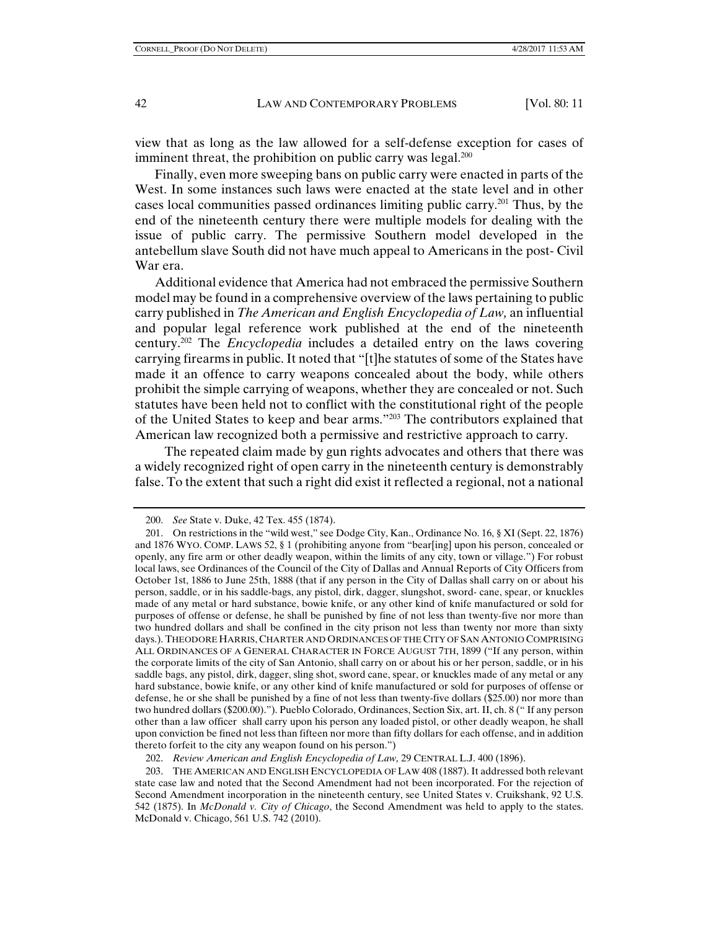view that as long as the law allowed for a self-defense exception for cases of imminent threat, the prohibition on public carry was legal.<sup>200</sup>

Finally, even more sweeping bans on public carry were enacted in parts of the West. In some instances such laws were enacted at the state level and in other cases local communities passed ordinances limiting public carry.201 Thus, by the end of the nineteenth century there were multiple models for dealing with the issue of public carry. The permissive Southern model developed in the antebellum slave South did not have much appeal to Americans in the post- Civil War era.

Additional evidence that America had not embraced the permissive Southern model may be found in a comprehensive overview of the laws pertaining to public carry published in *The American and English Encyclopedia of Law,* an influential and popular legal reference work published at the end of the nineteenth century.202 The *Encyclopedia* includes a detailed entry on the laws covering carrying firearms in public. It noted that "[t]he statutes of some of the States have made it an offence to carry weapons concealed about the body, while others prohibit the simple carrying of weapons, whether they are concealed or not. Such statutes have been held not to conflict with the constitutional right of the people of the United States to keep and bear arms."203 The contributors explained that American law recognized both a permissive and restrictive approach to carry.

 The repeated claim made by gun rights advocates and others that there was a widely recognized right of open carry in the nineteenth century is demonstrably false. To the extent that such a right did exist it reflected a regional, not a national

 <sup>200.</sup> *See* State v. Duke, 42 Tex. 455 (1874).

 <sup>201.</sup> On restrictions in the "wild west," see Dodge City, Kan., Ordinance No. 16, § XI (Sept. 22, 1876) and 1876 WYO. COMP. LAWS 52, § 1 (prohibiting anyone from "bear[ing] upon his person, concealed or openly, any fire arm or other deadly weapon, within the limits of any city, town or village.") For robust local laws, see Ordinances of the Council of the City of Dallas and Annual Reports of City Officers from October 1st, 1886 to June 25th, 1888 (that if any person in the City of Dallas shall carry on or about his person, saddle, or in his saddle-bags, any pistol, dirk, dagger, slungshot, sword- cane, spear, or knuckles made of any metal or hard substance, bowie knife, or any other kind of knife manufactured or sold for purposes of offense or defense, he shall be punished by fine of not less than twenty-five nor more than two hundred dollars and shall be confined in the city prison not less than twenty nor more than sixty days.). THEODORE HARRIS, CHARTER AND ORDINANCES OF THE CITY OF SAN ANTONIO COMPRISING ALL ORDINANCES OF A GENERAL CHARACTER IN FORCE AUGUST 7TH, 1899 ("If any person, within the corporate limits of the city of San Antonio, shall carry on or about his or her person, saddle, or in his saddle bags, any pistol, dirk, dagger, sling shot, sword cane, spear, or knuckles made of any metal or any hard substance, bowie knife, or any other kind of knife manufactured or sold for purposes of offense or defense, he or she shall be punished by a fine of not less than twenty-five dollars (\$25.00) nor more than two hundred dollars (\$200.00)."). Pueblo Colorado, Ordinances, Section Six, art. II, ch. 8 (" If any person other than a law officer shall carry upon his person any loaded pistol, or other deadly weapon, he shall upon conviction be fined not less than fifteen nor more than fifty dollars for each offense, and in addition thereto forfeit to the city any weapon found on his person.")

 <sup>202.</sup> *Review American and English Encyclopedia of Law,* 29 CENTRAL L.J. 400 (1896).

 <sup>203.</sup> THE AMERICAN AND ENGLISH ENCYCLOPEDIA OF LAW 408 (1887). It addressed both relevant state case law and noted that the Second Amendment had not been incorporated. For the rejection of Second Amendment incorporation in the nineteenth century, see United States v. Cruikshank, 92 U.S. 542 (1875). In *McDonald v. City of Chicago*, the Second Amendment was held to apply to the states. McDonald v. Chicago, 561 U.S. 742 (2010).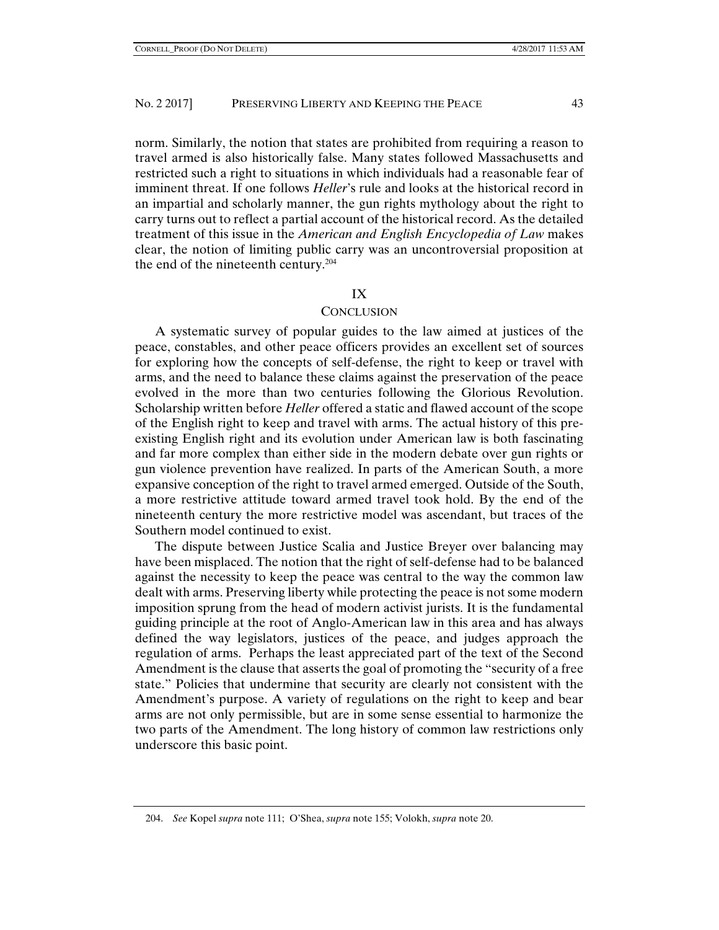norm. Similarly, the notion that states are prohibited from requiring a reason to travel armed is also historically false. Many states followed Massachusetts and restricted such a right to situations in which individuals had a reasonable fear of imminent threat. If one follows *Heller*'s rule and looks at the historical record in an impartial and scholarly manner, the gun rights mythology about the right to carry turns out to reflect a partial account of the historical record. As the detailed treatment of this issue in the *American and English Encyclopedia of Law* makes clear, the notion of limiting public carry was an uncontroversial proposition at the end of the nineteenth century.<sup>204</sup>

## IX

#### CONCLUSION

A systematic survey of popular guides to the law aimed at justices of the peace, constables, and other peace officers provides an excellent set of sources for exploring how the concepts of self-defense, the right to keep or travel with arms, and the need to balance these claims against the preservation of the peace evolved in the more than two centuries following the Glorious Revolution. Scholarship written before *Heller* offered a static and flawed account of the scope of the English right to keep and travel with arms. The actual history of this preexisting English right and its evolution under American law is both fascinating and far more complex than either side in the modern debate over gun rights or gun violence prevention have realized. In parts of the American South, a more expansive conception of the right to travel armed emerged. Outside of the South, a more restrictive attitude toward armed travel took hold. By the end of the nineteenth century the more restrictive model was ascendant, but traces of the Southern model continued to exist.

The dispute between Justice Scalia and Justice Breyer over balancing may have been misplaced. The notion that the right of self-defense had to be balanced against the necessity to keep the peace was central to the way the common law dealt with arms. Preserving liberty while protecting the peace is not some modern imposition sprung from the head of modern activist jurists. It is the fundamental guiding principle at the root of Anglo-American law in this area and has always defined the way legislators, justices of the peace, and judges approach the regulation of arms. Perhaps the least appreciated part of the text of the Second Amendment is the clause that asserts the goal of promoting the "security of a free state." Policies that undermine that security are clearly not consistent with the Amendment's purpose. A variety of regulations on the right to keep and bear arms are not only permissible, but are in some sense essential to harmonize the two parts of the Amendment. The long history of common law restrictions only underscore this basic point.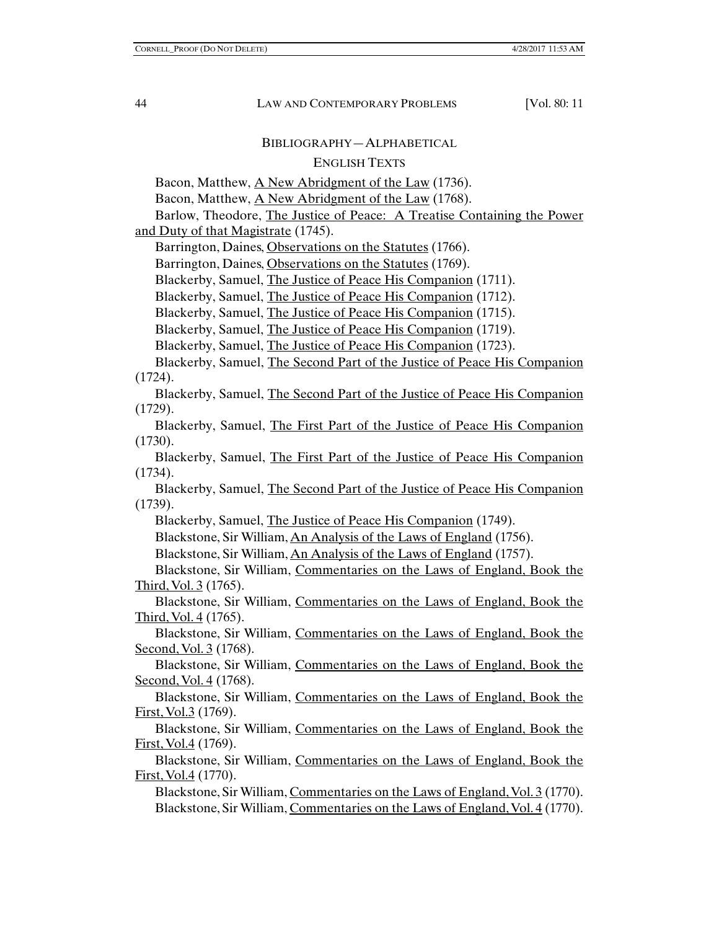## BIBLIOGRAPHY—ALPHABETICAL

## ENGLISH TEXTS

Bacon, Matthew, A New Abridgment of the Law (1736).

Bacon, Matthew, <u>A New Abridgment of the Law</u> (1768).

Barlow, Theodore, The Justice of Peace: A Treatise Containing the Power and Duty of that Magistrate (1745).

Barrington, Daines, Observations on the Statutes (1766).

Barrington, Daines, Observations on the Statutes (1769).

Blackerby, Samuel, The Justice of Peace His Companion (1711).

Blackerby, Samuel, The Justice of Peace His Companion (1712).

Blackerby, Samuel, The Justice of Peace His Companion (1715).

Blackerby, Samuel, The Justice of Peace His Companion (1719).

Blackerby, Samuel, The Justice of Peace His Companion (1723).

Blackerby, Samuel, The Second Part of the Justice of Peace His Companion (1724).

Blackerby, Samuel, The Second Part of the Justice of Peace His Companion (1729).

Blackerby, Samuel, The First Part of the Justice of Peace His Companion (1730).

Blackerby, Samuel, The First Part of the Justice of Peace His Companion (1734).

Blackerby, Samuel, The Second Part of the Justice of Peace His Companion (1739).

Blackerby, Samuel, The Justice of Peace His Companion (1749).

Blackstone, Sir William, An Analysis of the Laws of England (1756).

Blackstone, Sir William, An Analysis of the Laws of England (1757).

Blackstone, Sir William, Commentaries on the Laws of England, Book the Third, Vol. 3 (1765).

Blackstone, Sir William, Commentaries on the Laws of England, Book the Third, Vol. 4 (1765).

Blackstone, Sir William, Commentaries on the Laws of England, Book the Second, Vol. 3 (1768).

Blackstone, Sir William, Commentaries on the Laws of England, Book the Second, Vol. 4 (1768).

Blackstone, Sir William, Commentaries on the Laws of England, Book the First, Vol.3 (1769).

Blackstone, Sir William, Commentaries on the Laws of England, Book the First, Vol.4 (1769).

Blackstone, Sir William, Commentaries on the Laws of England, Book the First, Vol.4 (1770).

Blackstone, Sir William, Commentaries on the Laws of England, Vol. 3 (1770). Blackstone, Sir William, Commentaries on the Laws of England, Vol. 4 (1770).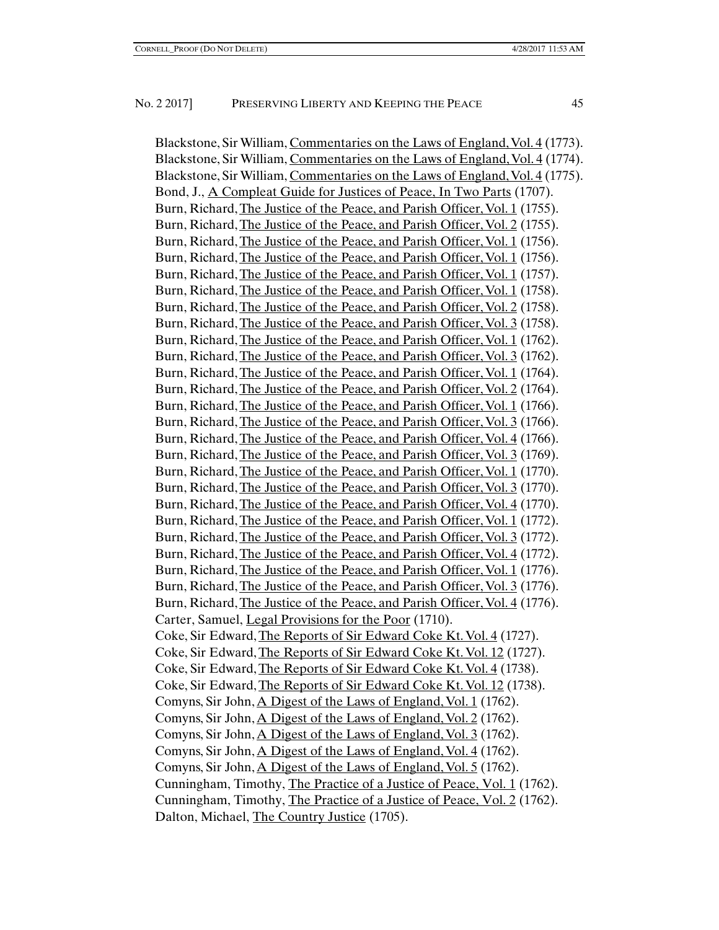Blackstone, Sir William, Commentaries on the Laws of England, Vol. 4 (1773). Blackstone, Sir William, Commentaries on the Laws of England, Vol. 4 (1774). Blackstone, Sir William, Commentaries on the Laws of England, Vol. 4 (1775). Bond, J., A Compleat Guide for Justices of Peace, In Two Parts (1707). Burn, Richard, The Justice of the Peace, and Parish Officer, Vol. 1 (1755). Burn, Richard, The Justice of the Peace, and Parish Officer, Vol. 2 (1755). Burn, Richard, The Justice of the Peace, and Parish Officer, Vol. 1 (1756). Burn, Richard, The Justice of the Peace, and Parish Officer, Vol. 1 (1756). Burn, Richard, The Justice of the Peace, and Parish Officer, Vol. 1 (1757). Burn, Richard, The Justice of the Peace, and Parish Officer, Vol. 1 (1758). Burn, Richard, The Justice of the Peace, and Parish Officer, Vol. 2 (1758). Burn, Richard, The Justice of the Peace, and Parish Officer, Vol. 3 (1758). Burn, Richard, The Justice of the Peace, and Parish Officer, Vol. 1 (1762). Burn, Richard, The Justice of the Peace, and Parish Officer, Vol. 3 (1762). Burn, Richard, The Justice of the Peace, and Parish Officer, Vol. 1 (1764). Burn, Richard, The Justice of the Peace, and Parish Officer, Vol. 2 (1764). Burn, Richard, The Justice of the Peace, and Parish Officer, Vol. 1 (1766). Burn, Richard, The Justice of the Peace, and Parish Officer, Vol. 3 (1766). Burn, Richard, The Justice of the Peace, and Parish Officer, Vol. 4 (1766). Burn, Richard, The Justice of the Peace, and Parish Officer, Vol. 3 (1769). Burn, Richard, The Justice of the Peace, and Parish Officer, Vol. 1 (1770). Burn, Richard, The Justice of the Peace, and Parish Officer, Vol. 3 (1770). Burn, Richard, The Justice of the Peace, and Parish Officer, Vol. 4 (1770). Burn, Richard, The Justice of the Peace, and Parish Officer, Vol. 1 (1772). Burn, Richard, The Justice of the Peace, and Parish Officer, Vol. 3 (1772). Burn, Richard, The Justice of the Peace, and Parish Officer, Vol. 4 (1772). Burn, Richard, The Justice of the Peace, and Parish Officer, Vol. 1 (1776). Burn, Richard, The Justice of the Peace, and Parish Officer, Vol. 3 (1776). Burn, Richard, The Justice of the Peace, and Parish Officer, Vol. 4 (1776). Carter, Samuel, Legal Provisions for the Poor (1710). Coke, Sir Edward, The Reports of Sir Edward Coke Kt. Vol. 4 (1727). Coke, Sir Edward, The Reports of Sir Edward Coke Kt. Vol. 12 (1727). Coke, Sir Edward, The Reports of Sir Edward Coke Kt. Vol. 4 (1738). Coke, Sir Edward, The Reports of Sir Edward Coke Kt. Vol. 12 (1738). Comyns, Sir John, A Digest of the Laws of England, Vol. 1 (1762). Comyns, Sir John, A Digest of the Laws of England, Vol. 2 (1762). Comyns, Sir John, A Digest of the Laws of England, Vol. 3 (1762). Comyns, Sir John, A Digest of the Laws of England, Vol. 4 (1762). Comyns, Sir John, A Digest of the Laws of England, Vol. 5 (1762). Cunningham, Timothy, The Practice of a Justice of Peace, Vol. 1 (1762). Cunningham, Timothy, The Practice of a Justice of Peace, Vol. 2 (1762). Dalton, Michael, The Country Justice (1705).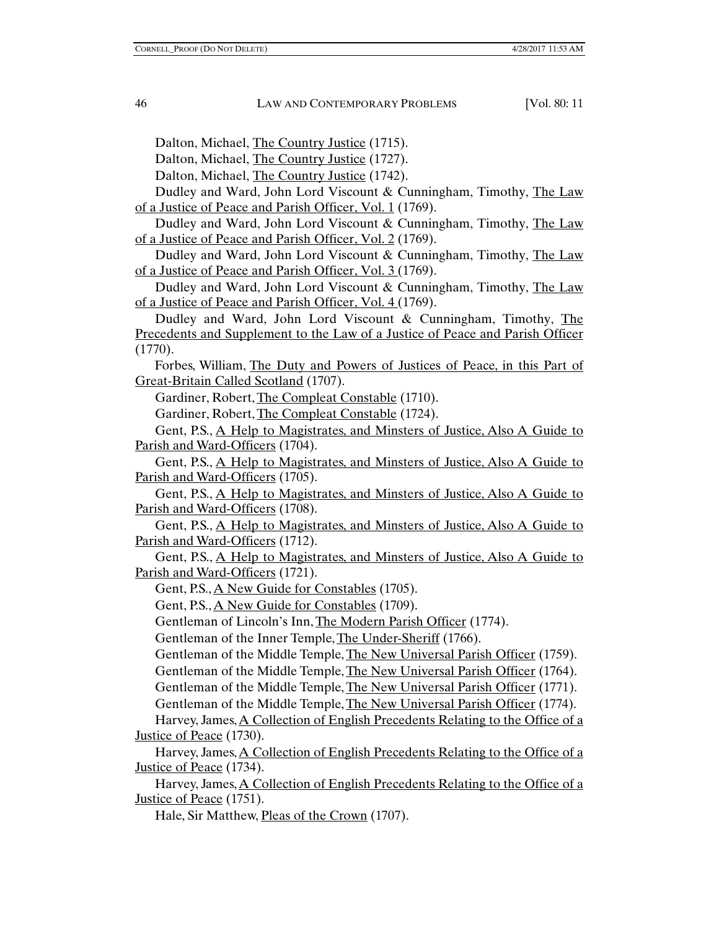Dalton, Michael, The Country Justice (1715).

Dalton, Michael, The Country Justice (1727).

Dalton, Michael, The Country Justice (1742).

Dudley and Ward, John Lord Viscount & Cunningham, Timothy, The Law of a Justice of Peace and Parish Officer, Vol. 1 (1769).

Dudley and Ward, John Lord Viscount & Cunningham, Timothy, The Law of a Justice of Peace and Parish Officer, Vol. 2 (1769).

Dudley and Ward, John Lord Viscount & Cunningham, Timothy, The Law of a Justice of Peace and Parish Officer, Vol. 3 (1769).

Dudley and Ward, John Lord Viscount & Cunningham, Timothy, The Law of a Justice of Peace and Parish Officer, Vol. 4 (1769).

Dudley and Ward, John Lord Viscount & Cunningham, Timothy, The Precedents and Supplement to the Law of a Justice of Peace and Parish Officer (1770).

Forbes, William, The Duty and Powers of Justices of Peace, in this Part of Great-Britain Called Scotland (1707).

Gardiner, Robert, The Compleat Constable (1710).

Gardiner, Robert, The Compleat Constable (1724).

Gent, P.S., A Help to Magistrates, and Minsters of Justice, Also A Guide to Parish and Ward-Officers (1704).

Gent, P.S., A Help to Magistrates, and Minsters of Justice, Also A Guide to Parish and Ward-Officers (1705).

Gent, P.S., A Help to Magistrates, and Minsters of Justice, Also A Guide to Parish and Ward-Officers (1708).

Gent, P.S., A Help to Magistrates, and Minsters of Justice, Also A Guide to Parish and Ward-Officers (1712).

Gent, P.S., A Help to Magistrates, and Minsters of Justice, Also A Guide to Parish and Ward-Officers (1721).

Gent, P.S., <u>A New Guide for Constables</u> (1705).

Gent, P.S., A New Guide for Constables (1709).

Gentleman of Lincoln's Inn, The Modern Parish Officer (1774).

Gentleman of the Inner Temple, The Under-Sheriff (1766).

Gentleman of the Middle Temple, The New Universal Parish Officer (1759).

Gentleman of the Middle Temple, The New Universal Parish Officer (1764).

Gentleman of the Middle Temple, The New Universal Parish Officer (1771).

Gentleman of the Middle Temple, The New Universal Parish Officer (1774).

Harvey, James, A Collection of English Precedents Relating to the Office of a Justice of Peace (1730).

Harvey, James, A Collection of English Precedents Relating to the Office of a Justice of Peace (1734).

Harvey, James, A Collection of English Precedents Relating to the Office of a Justice of Peace (1751).

Hale, Sir Matthew, Pleas of the Crown (1707).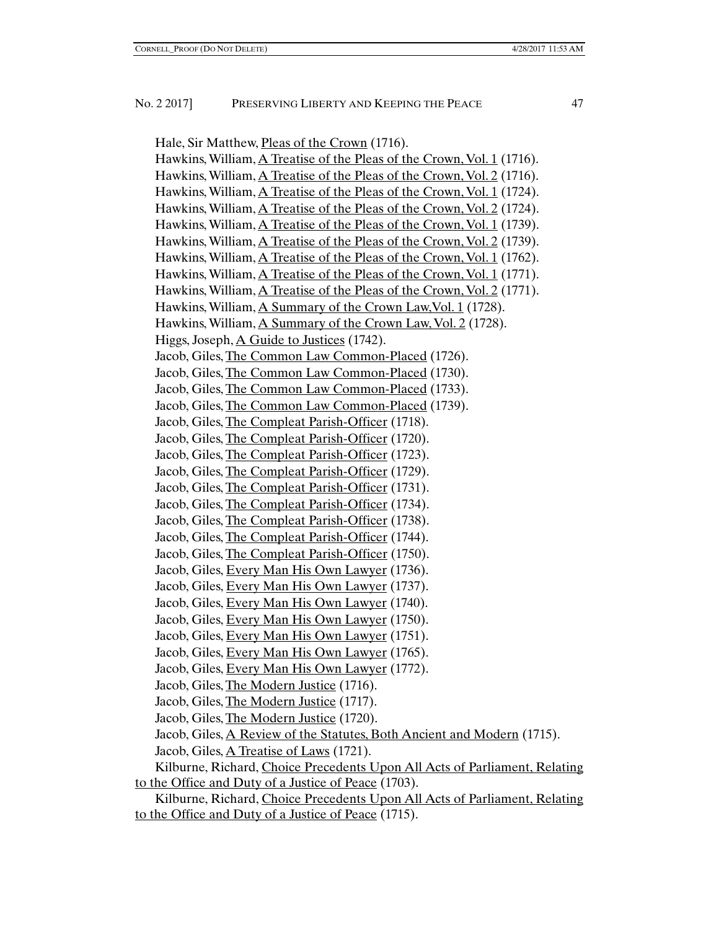Hale, Sir Matthew, Pleas of the Crown (1716). Hawkins, William, A Treatise of the Pleas of the Crown, Vol. 1 (1716). Hawkins, William, A Treatise of the Pleas of the Crown, Vol. 2 (1716). Hawkins, William, A Treatise of the Pleas of the Crown, Vol. 1 (1724). Hawkins, William, A Treatise of the Pleas of the Crown, Vol. 2 (1724). Hawkins, William, A Treatise of the Pleas of the Crown, Vol. 1 (1739). Hawkins, William, A Treatise of the Pleas of the Crown, Vol. 2 (1739). Hawkins, William, A Treatise of the Pleas of the Crown, Vol. 1 (1762). Hawkins, William, A Treatise of the Pleas of the Crown, Vol. 1 (1771). Hawkins, William, A Treatise of the Pleas of the Crown, Vol. 2 (1771). Hawkins, William, A Summary of the Crown Law, Vol. 1 (1728). Hawkins, William, A Summary of the Crown Law, Vol. 2 (1728). Higgs, Joseph, A Guide to Justices (1742). Jacob, Giles, The Common Law Common-Placed (1726). Jacob, Giles, The Common Law Common-Placed (1730). Jacob, Giles, The Common Law Common-Placed (1733). Jacob, Giles, The Common Law Common-Placed (1739). Jacob, Giles, The Compleat Parish-Officer (1718). Jacob, Giles, The Compleat Parish-Officer (1720). Jacob, Giles, The Compleat Parish-Officer (1723). Jacob, Giles, The Compleat Parish-Officer (1729). Jacob, Giles, The Compleat Parish-Officer (1731). Jacob, Giles, The Compleat Parish-Officer (1734). Jacob, Giles, The Compleat Parish-Officer (1738). Jacob, Giles, The Compleat Parish-Officer (1744). Jacob, Giles, The Compleat Parish-Officer (1750). Jacob, Giles, Every Man His Own Lawyer (1736). Jacob, Giles, Every Man His Own Lawyer (1737). Jacob, Giles, Every Man His Own Lawyer (1740). Jacob, Giles, Every Man His Own Lawyer (1750). Jacob, Giles, Every Man His Own Lawyer (1751). Jacob, Giles, Every Man His Own Lawyer (1765). Jacob, Giles, Every Man His Own Lawyer (1772). Jacob, Giles, The Modern Justice (1716). Jacob, Giles, The Modern Justice (1717). Jacob, Giles, The Modern Justice (1720). Jacob, Giles, A Review of the Statutes, Both Ancient and Modern (1715). Jacob, Giles, A Treatise of Laws (1721). Kilburne, Richard, Choice Precedents Upon All Acts of Parliament, Relating to the Office and Duty of a Justice of Peace (1703). Kilburne, Richard, Choice Precedents Upon All Acts of Parliament, Relating to the Office and Duty of a Justice of Peace (1715).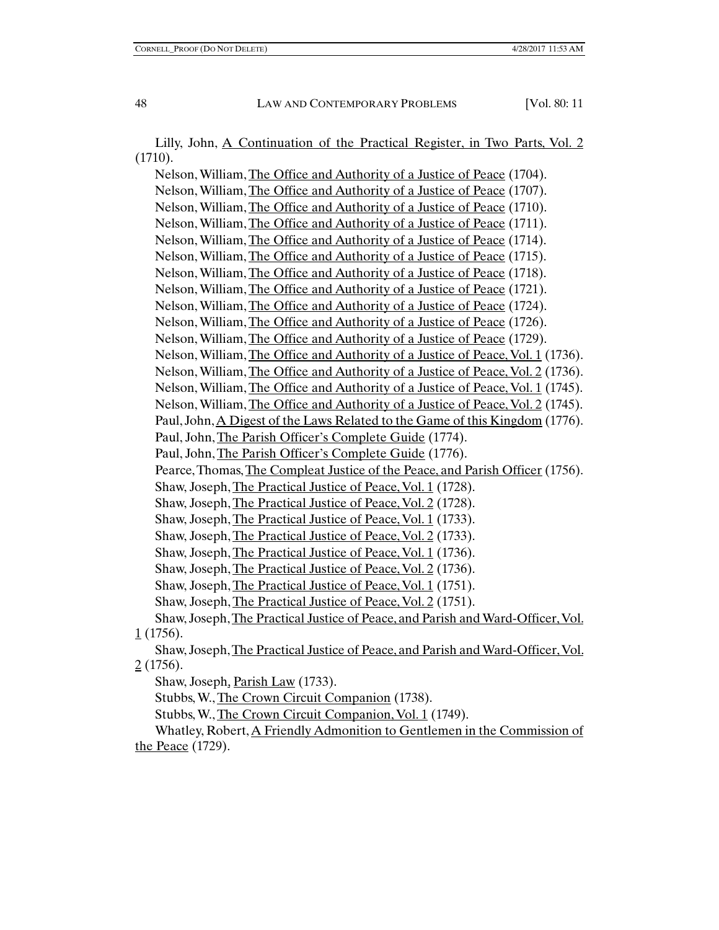Lilly, John, A Continuation of the Practical Register, in Two Parts, Vol. 2 (1710).

Nelson, William, The Office and Authority of a Justice of Peace (1704). Nelson, William, The Office and Authority of a Justice of Peace (1707). Nelson, William, The Office and Authority of a Justice of Peace (1710). Nelson, William, The Office and Authority of a Justice of Peace (1711). Nelson, William, The Office and Authority of a Justice of Peace (1714). Nelson, William, The Office and Authority of a Justice of Peace (1715). Nelson, William, The Office and Authority of a Justice of Peace (1718). Nelson, William, The Office and Authority of a Justice of Peace (1721). Nelson, William, The Office and Authority of a Justice of Peace (1724). Nelson, William, The Office and Authority of a Justice of Peace (1726). Nelson, William, The Office and Authority of a Justice of Peace (1729). Nelson, William, The Office and Authority of a Justice of Peace, Vol. 1 (1736). Nelson, William, The Office and Authority of a Justice of Peace, Vol. 2 (1736). Nelson, William, The Office and Authority of a Justice of Peace, Vol. 1 (1745). Nelson, William, The Office and Authority of a Justice of Peace, Vol. 2 (1745). Paul, John, A Digest of the Laws Related to the Game of this Kingdom (1776). Paul, John, The Parish Officer's Complete Guide (1774). Paul, John, The Parish Officer's Complete Guide (1776). Pearce, Thomas, The Compleat Justice of the Peace, and Parish Officer (1756). Shaw, Joseph, The Practical Justice of Peace, Vol. 1 (1728). Shaw, Joseph, The Practical Justice of Peace, Vol. 2 (1728). Shaw, Joseph, The Practical Justice of Peace, Vol. 1 (1733). Shaw, Joseph, The Practical Justice of Peace, Vol. 2 (1733). Shaw, Joseph, The Practical Justice of Peace, Vol. 1 (1736). Shaw, Joseph, The Practical Justice of Peace, Vol. 2 (1736). Shaw, Joseph, The Practical Justice of Peace, Vol. 1 (1751). Shaw, Joseph, The Practical Justice of Peace, Vol. 2 (1751). Shaw, Joseph, The Practical Justice of Peace, and Parish and Ward-Officer, Vol. 1 (1756). Shaw, Joseph, The Practical Justice of Peace, and Parish and Ward-Officer, Vol.  $2(1756)$ . Shaw, Joseph, Parish Law (1733). Stubbs, W., The Crown Circuit Companion (1738). Stubbs, W., The Crown Circuit Companion, Vol. 1 (1749).

Whatley, Robert, A Friendly Admonition to Gentlemen in the Commission of the Peace (1729).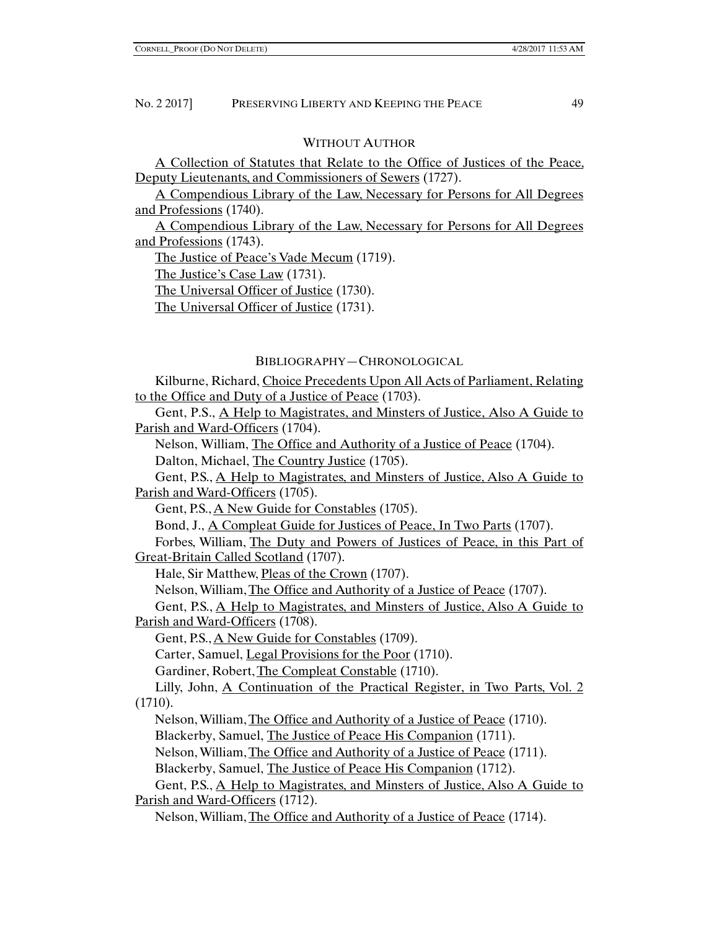## WITHOUT AUTHOR

A Collection of Statutes that Relate to the Office of Justices of the Peace, Deputy Lieutenants, and Commissioners of Sewers (1727).

A Compendious Library of the Law, Necessary for Persons for All Degrees and Professions (1740).

A Compendious Library of the Law, Necessary for Persons for All Degrees and Professions (1743).

The Justice of Peace's Vade Mecum (1719).

The Justice's Case Law (1731).

The Universal Officer of Justice (1730).

The Universal Officer of Justice (1731).

# BIBLIOGRAPHY—CHRONOLOGICAL

Kilburne, Richard, Choice Precedents Upon All Acts of Parliament, Relating to the Office and Duty of a Justice of Peace (1703).

Gent, P.S., A Help to Magistrates, and Minsters of Justice, Also A Guide to Parish and Ward-Officers (1704).

Nelson, William, The Office and Authority of a Justice of Peace (1704).

Dalton, Michael, The Country Justice (1705).

Gent, P.S., A Help to Magistrates, and Minsters of Justice, Also A Guide to Parish and Ward-Officers (1705).

Gent, P.S., A New Guide for Constables (1705).

Bond, J., A Compleat Guide for Justices of Peace, In Two Parts (1707).

Forbes, William, The Duty and Powers of Justices of Peace, in this Part of Great-Britain Called Scotland (1707).

Hale, Sir Matthew, Pleas of the Crown (1707).

Nelson, William, The Office and Authority of a Justice of Peace (1707).

Gent, P.S., A Help to Magistrates, and Minsters of Justice, Also A Guide to Parish and Ward-Officers (1708).

Gent, P.S., A New Guide for Constables (1709).

Carter, Samuel, Legal Provisions for the Poor (1710).

Gardiner, Robert, The Compleat Constable (1710).

Lilly, John, A Continuation of the Practical Register, in Two Parts, Vol. 2 (1710).

Nelson, William, The Office and Authority of a Justice of Peace (1710). Blackerby, Samuel, The Justice of Peace His Companion (1711).

Nelson, William, The Office and Authority of a Justice of Peace (1711).

Blackerby, Samuel, The Justice of Peace His Companion (1712).

Gent, P.S., A Help to Magistrates, and Minsters of Justice, Also A Guide to Parish and Ward-Officers (1712).

Nelson, William, The Office and Authority of a Justice of Peace (1714).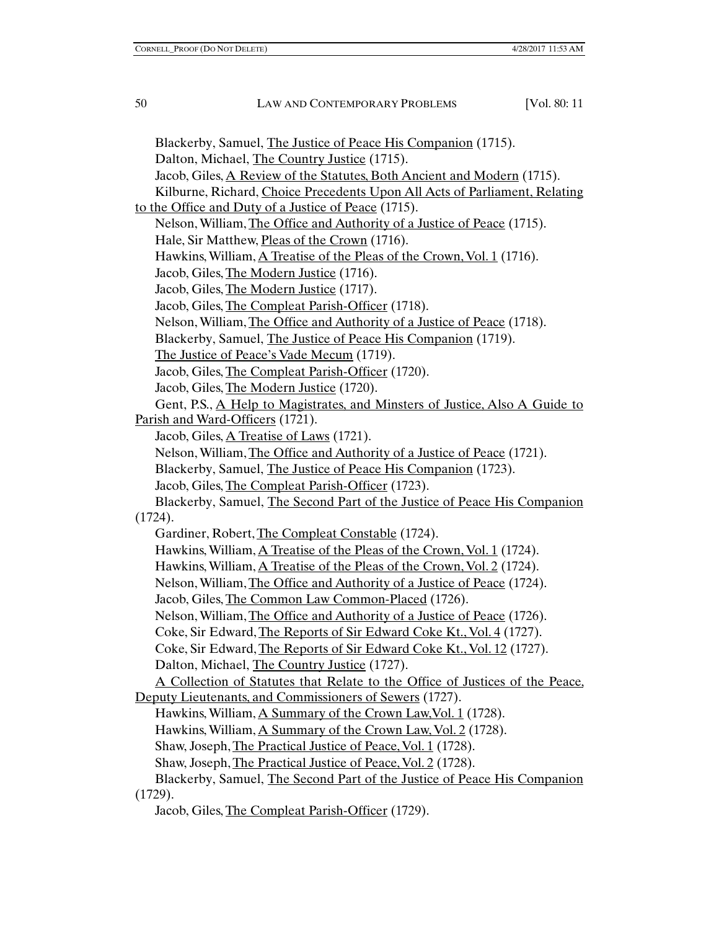Blackerby, Samuel, The Justice of Peace His Companion (1715). Dalton, Michael, The Country Justice (1715). Jacob, Giles, A Review of the Statutes, Both Ancient and Modern (1715). Kilburne, Richard, Choice Precedents Upon All Acts of Parliament, Relating to the Office and Duty of a Justice of Peace (1715). Nelson, William, The Office and Authority of a Justice of Peace (1715). Hale, Sir Matthew, Pleas of the Crown (1716). Hawkins, William, A Treatise of the Pleas of the Crown, Vol. 1 (1716). Jacob, Giles, The Modern Justice (1716). Jacob, Giles, The Modern Justice (1717). Jacob, Giles, The Compleat Parish-Officer (1718). Nelson, William, The Office and Authority of a Justice of Peace (1718). Blackerby, Samuel, The Justice of Peace His Companion (1719). The Justice of Peace's Vade Mecum (1719). Jacob, Giles, The Compleat Parish-Officer (1720). Jacob, Giles, The Modern Justice (1720). Gent, P.S., A Help to Magistrates, and Minsters of Justice, Also A Guide to Parish and Ward-Officers (1721). Jacob, Giles, A Treatise of Laws (1721). Nelson, William, The Office and Authority of a Justice of Peace (1721). Blackerby, Samuel, The Justice of Peace His Companion (1723). Jacob, Giles, The Compleat Parish-Officer (1723). Blackerby, Samuel, The Second Part of the Justice of Peace His Companion (1724). Gardiner, Robert, The Compleat Constable (1724). Hawkins, William, A Treatise of the Pleas of the Crown, Vol. 1 (1724). Hawkins, William, A Treatise of the Pleas of the Crown, Vol. 2 (1724). Nelson, William, The Office and Authority of a Justice of Peace (1724). Jacob, Giles, The Common Law Common-Placed (1726). Nelson, William, The Office and Authority of a Justice of Peace (1726). Coke, Sir Edward, The Reports of Sir Edward Coke Kt., Vol. 4 (1727). Coke, Sir Edward, The Reports of Sir Edward Coke Kt., Vol. 12 (1727). Dalton, Michael, The Country Justice (1727). A Collection of Statutes that Relate to the Office of Justices of the Peace, Deputy Lieutenants, and Commissioners of Sewers (1727). Hawkins, William, A Summary of the Crown Law,Vol. 1 (1728). Hawkins, William, A Summary of the Crown Law, Vol. 2 (1728). Shaw, Joseph, The Practical Justice of Peace, Vol. 1 (1728). Shaw, Joseph, The Practical Justice of Peace, Vol. 2 (1728). Blackerby, Samuel, The Second Part of the Justice of Peace His Companion (1729). Jacob, Giles, The Compleat Parish-Officer (1729).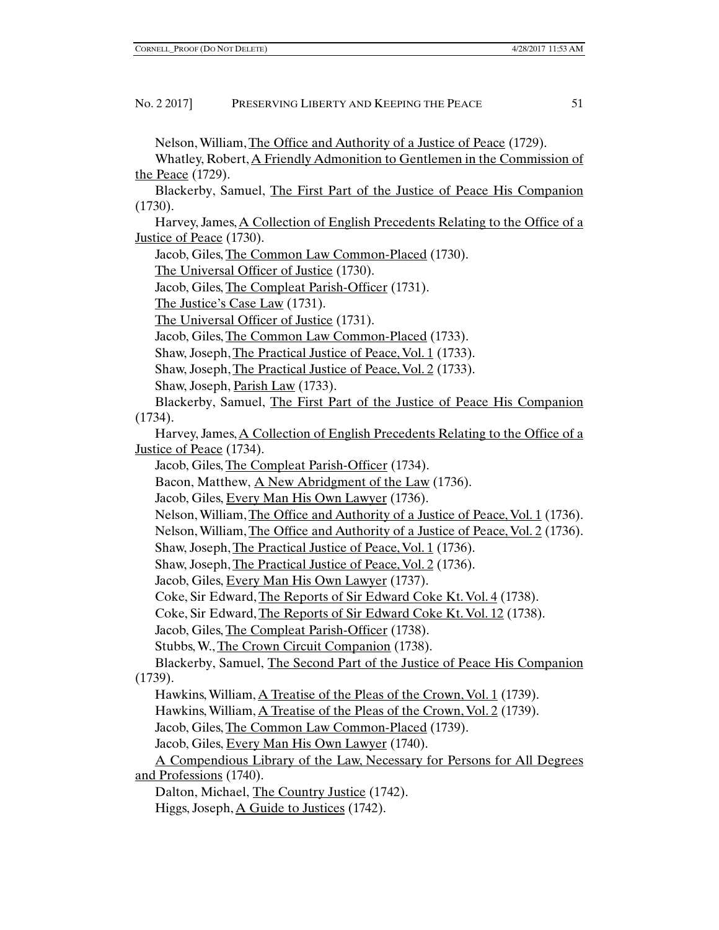Nelson, William, The Office and Authority of a Justice of Peace (1729).

Whatley, Robert, A Friendly Admonition to Gentlemen in the Commission of the Peace (1729).

Blackerby, Samuel, The First Part of the Justice of Peace His Companion (1730).

Harvey, James, A Collection of English Precedents Relating to the Office of a Justice of Peace (1730).

Jacob, Giles, The Common Law Common-Placed (1730).

The Universal Officer of Justice (1730).

Jacob, Giles, The Compleat Parish-Officer (1731).

The Justice's Case Law (1731).

The Universal Officer of Justice (1731).

Jacob, Giles, The Common Law Common-Placed (1733).

Shaw, Joseph, The Practical Justice of Peace, Vol. 1 (1733).

Shaw, Joseph, The Practical Justice of Peace, Vol. 2 (1733).

Shaw, Joseph, Parish Law (1733).

Blackerby, Samuel, The First Part of the Justice of Peace His Companion (1734).

Harvey, James, A Collection of English Precedents Relating to the Office of a Justice of Peace (1734).

Jacob, Giles, The Compleat Parish-Officer (1734).

Bacon, Matthew, A New Abridgment of the Law (1736).

Jacob, Giles, Every Man His Own Lawyer (1736).

Nelson, William, The Office and Authority of a Justice of Peace, Vol. 1 (1736).

Nelson, William, The Office and Authority of a Justice of Peace, Vol. 2 (1736).

Shaw, Joseph, The Practical Justice of Peace, Vol. 1 (1736).

Shaw, Joseph, The Practical Justice of Peace, Vol. 2 (1736).

Jacob, Giles, Every Man His Own Lawyer (1737).

Coke, Sir Edward, The Reports of Sir Edward Coke Kt. Vol. 4 (1738).

Coke, Sir Edward, The Reports of Sir Edward Coke Kt. Vol. 12 (1738).

Jacob, Giles, The Compleat Parish-Officer (1738).

Stubbs, W., The Crown Circuit Companion (1738).

Blackerby, Samuel, The Second Part of the Justice of Peace His Companion (1739).

Hawkins, William, A Treatise of the Pleas of the Crown, Vol. 1 (1739).

Hawkins, William, A Treatise of the Pleas of the Crown, Vol. 2 (1739).

Jacob, Giles, The Common Law Common-Placed (1739).

Jacob, Giles, Every Man His Own Lawyer (1740).

A Compendious Library of the Law, Necessary for Persons for All Degrees and Professions (1740).

Dalton, Michael, The Country Justice (1742).

Higgs, Joseph, A Guide to Justices (1742).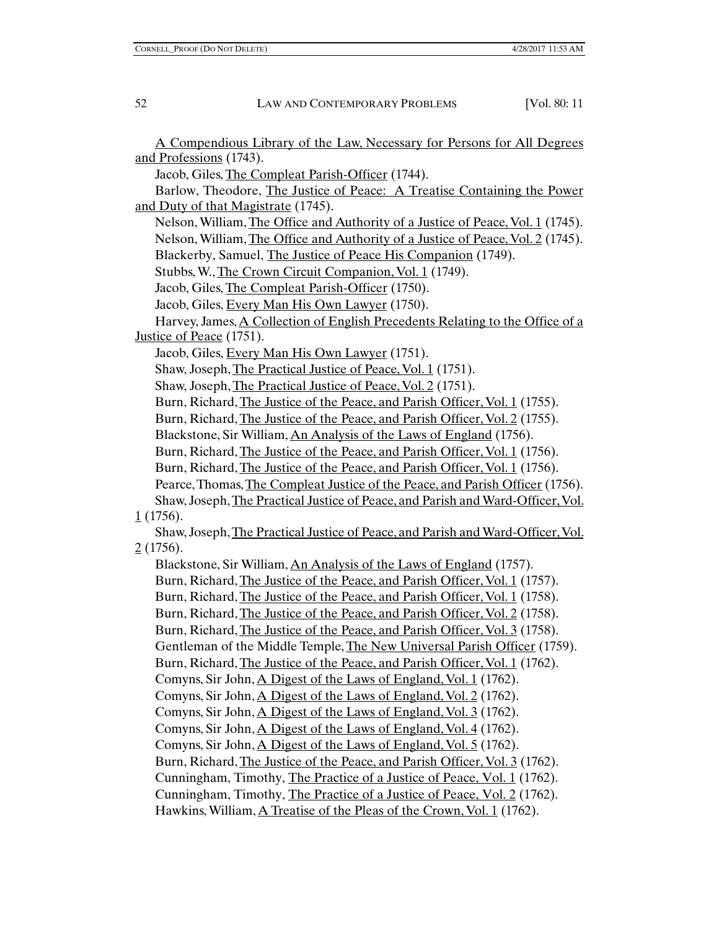A Compendious Library of the Law, Necessary for Persons for All Degrees and Professions (1743). Jacob, Giles, The Compleat Parish-Officer (1744). Barlow, Theodore, The Justice of Peace: A Treatise Containing the Power and Duty of that Magistrate (1745). Nelson, William, The Office and Authority of a Justice of Peace, Vol. 1 (1745). Nelson, William, The Office and Authority of a Justice of Peace, Vol. 2 (1745). Blackerby, Samuel, The Justice of Peace His Companion (1749). Stubbs, W., The Crown Circuit Companion, Vol. 1 (1749). Jacob, Giles, The Compleat Parish-Officer (1750). Jacob, Giles, Every Man His Own Lawyer (1750). Harvey, James, A Collection of English Precedents Relating to the Office of a Justice of Peace (1751). Jacob, Giles, Every Man His Own Lawyer (1751). Shaw, Joseph, The Practical Justice of Peace, Vol. 1 (1751). Shaw, Joseph, The Practical Justice of Peace, Vol. 2 (1751). Burn, Richard, The Justice of the Peace, and Parish Officer, Vol. 1 (1755). Burn, Richard, The Justice of the Peace, and Parish Officer, Vol. 2 (1755). Blackstone, Sir William, An Analysis of the Laws of England (1756). Burn, Richard, The Justice of the Peace, and Parish Officer, Vol. 1 (1756). Burn, Richard, The Justice of the Peace, and Parish Officer, Vol. 1 (1756). Pearce, Thomas, The Compleat Justice of the Peace, and Parish Officer (1756). Shaw, Joseph, The Practical Justice of Peace, and Parish and Ward-Officer, Vol. 1 (1756). Shaw, Joseph, The Practical Justice of Peace, and Parish and Ward-Officer, Vol.  $2(1756)$ . Blackstone, Sir William, An Analysis of the Laws of England (1757). Burn, Richard, The Justice of the Peace, and Parish Officer, Vol. 1 (1757). Burn, Richard, The Justice of the Peace, and Parish Officer, Vol. 1 (1758). Burn, Richard, The Justice of the Peace, and Parish Officer, Vol. 2 (1758). Burn, Richard, The Justice of the Peace, and Parish Officer, Vol. 3 (1758). Gentleman of the Middle Temple, The New Universal Parish Officer (1759). Burn, Richard, The Justice of the Peace, and Parish Officer, Vol. 1 (1762). Comyns, Sir John, A Digest of the Laws of England, Vol. 1 (1762). Comyns, Sir John, A Digest of the Laws of England, Vol. 2 (1762). Comyns, Sir John, A Digest of the Laws of England, Vol. 3 (1762). Comyns, Sir John, A Digest of the Laws of England, Vol. 4 (1762). Comyns, Sir John, A Digest of the Laws of England, Vol. 5 (1762). Burn, Richard, The Justice of the Peace, and Parish Officer, Vol. 3 (1762). Cunningham, Timothy, The Practice of a Justice of Peace, Vol. 1 (1762). Cunningham, Timothy, The Practice of a Justice of Peace, Vol. 2 (1762). Hawkins, William, A Treatise of the Pleas of the Crown, Vol. 1 (1762).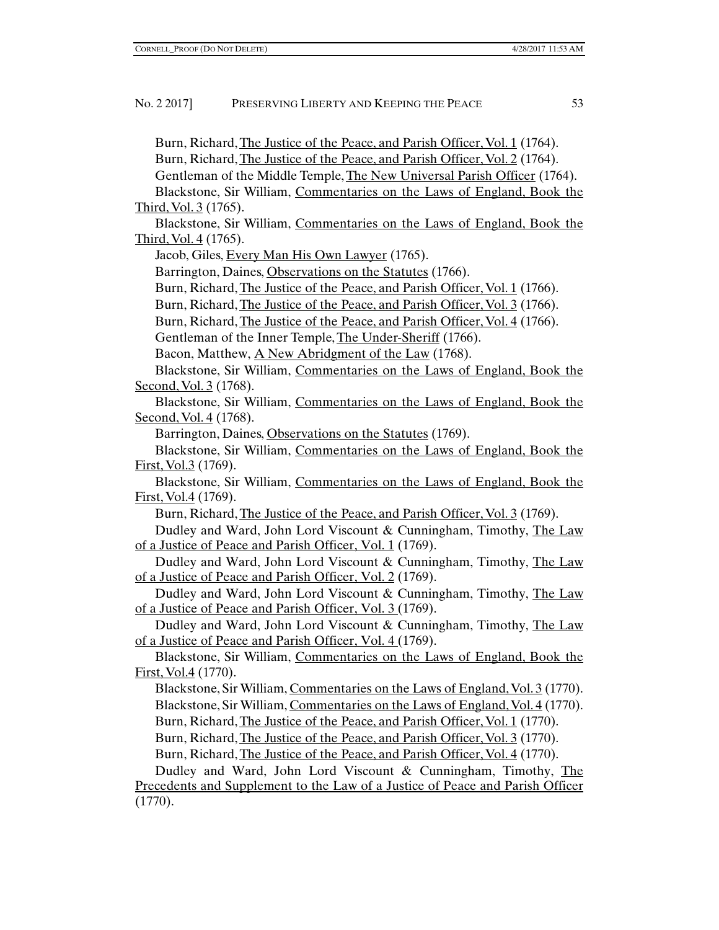Burn, Richard, The Justice of the Peace, and Parish Officer, Vol. 1 (1764). Burn, Richard, The Justice of the Peace, and Parish Officer, Vol. 2 (1764). Gentleman of the Middle Temple, The New Universal Parish Officer (1764). Blackstone, Sir William, Commentaries on the Laws of England, Book the Third, Vol. 3 (1765). Blackstone, Sir William, Commentaries on the Laws of England, Book the Third, Vol. 4 (1765). Jacob, Giles, Every Man His Own Lawyer (1765). Barrington, Daines, Observations on the Statutes (1766). Burn, Richard, The Justice of the Peace, and Parish Officer, Vol. 1 (1766). Burn, Richard, The Justice of the Peace, and Parish Officer, Vol. 3 (1766). Burn, Richard, The Justice of the Peace, and Parish Officer, Vol. 4 (1766). Gentleman of the Inner Temple, The Under-Sheriff (1766). Bacon, Matthew, A New Abridgment of the Law (1768). Blackstone, Sir William, Commentaries on the Laws of England, Book the Second, Vol. 3 (1768). Blackstone, Sir William, Commentaries on the Laws of England, Book the Second, Vol. 4 (1768). Barrington, Daines, Observations on the Statutes (1769). Blackstone, Sir William, Commentaries on the Laws of England, Book the First, Vol.3 (1769). Blackstone, Sir William, Commentaries on the Laws of England, Book the First, Vol.4 (1769). Burn, Richard, The Justice of the Peace, and Parish Officer, Vol. 3 (1769). Dudley and Ward, John Lord Viscount & Cunningham, Timothy, The Law of a Justice of Peace and Parish Officer, Vol. 1 (1769). Dudley and Ward, John Lord Viscount & Cunningham, Timothy, The Law of a Justice of Peace and Parish Officer, Vol. 2 (1769). Dudley and Ward, John Lord Viscount & Cunningham, Timothy, The Law of a Justice of Peace and Parish Officer, Vol. 3 (1769). Dudley and Ward, John Lord Viscount & Cunningham, Timothy, The Law of a Justice of Peace and Parish Officer, Vol. 4 (1769). Blackstone, Sir William, Commentaries on the Laws of England, Book the First, Vol.4 (1770). Blackstone, Sir William, Commentaries on the Laws of England, Vol. 3 (1770). Blackstone, Sir William, Commentaries on the Laws of England, Vol. 4 (1770). Burn, Richard, The Justice of the Peace, and Parish Officer, Vol. 1 (1770). Burn, Richard, The Justice of the Peace, and Parish Officer, Vol. 3 (1770). Burn, Richard, The Justice of the Peace, and Parish Officer, Vol. 4 (1770). Dudley and Ward, John Lord Viscount & Cunningham, Timothy, The Precedents and Supplement to the Law of a Justice of Peace and Parish Officer (1770).